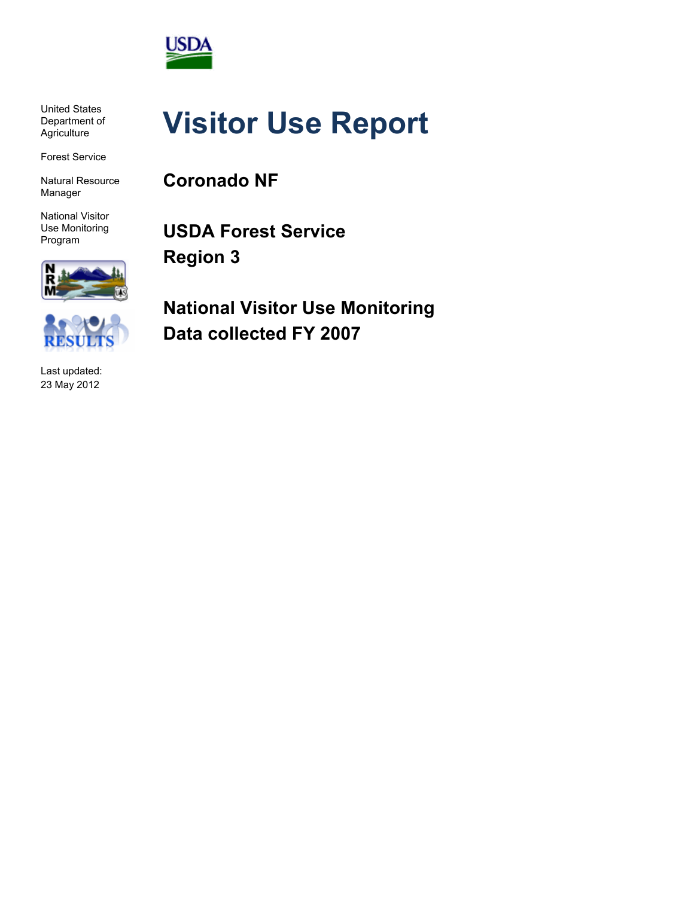

United States Department of **Agriculture** 

Forest Service

Natural Resource Manager

National Visitor Use Monitoring Program



Last updated: 23 May 2012

# **Visitor Use Report**

**Coronado NF**

**USDA Forest Service Region 3**

**National Visitor Use Monitoring Data collected FY 2007**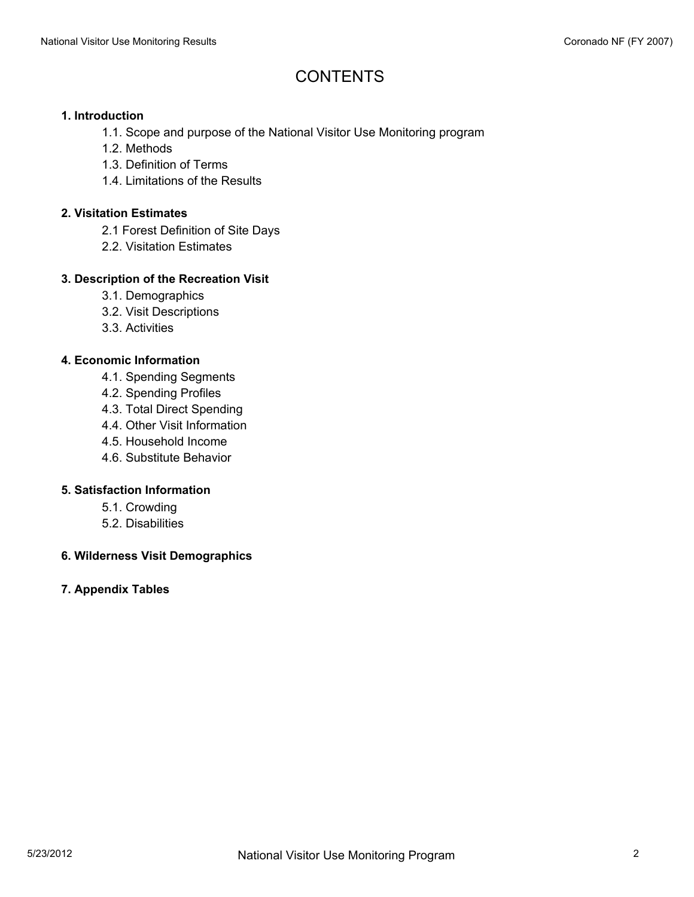# **CONTENTS**

#### **1. Introduction**

- 1.1. Scope and purpose of the National Visitor Use Monitoring program
- 1.2. Methods
- 1.3. Definition of Terms
- 1.4. Limitations of the Results

#### **2. Visitation Estimates**

- 2.1 Forest Definition of Site Days
- 2.2. Visitation Estimates

#### **3. Description of the Recreation Visit**

- 3.1. Demographics
- 3.2. Visit Descriptions
- 3.3. Activities

#### **4. Economic Information**

- 4.1. Spending Segments
- 4.2. Spending Profiles
- 4.3. Total Direct Spending
- 4.4. Other Visit Information
- 4.5. Household Income
- 4.6. Substitute Behavior

#### **5. Satisfaction Information**

- 5.1. Crowding
- 5.2. Disabilities

#### **6. Wilderness Visit Demographics**

#### **7. Appendix Tables**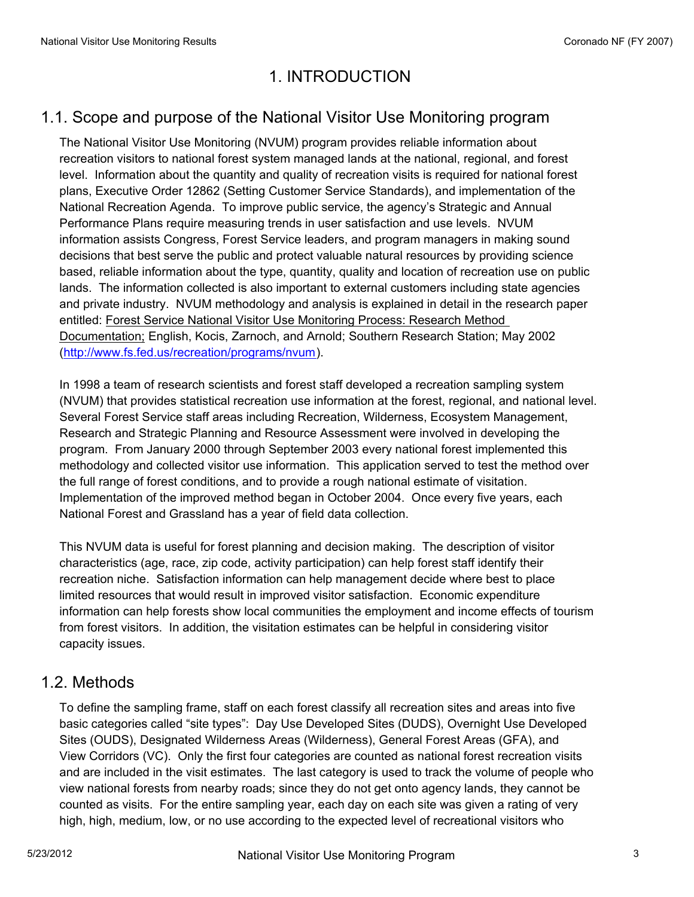# 1. INTRODUCTION

# 1.1. Scope and purpose of the National Visitor Use Monitoring program

The National Visitor Use Monitoring (NVUM) program provides reliable information about recreation visitors to national forest system managed lands at the national, regional, and forest level. Information about the quantity and quality of recreation visits is required for national forest plans, Executive Order 12862 (Setting Customer Service Standards), and implementation of the National Recreation Agenda. To improve public service, the agency's Strategic and Annual Performance Plans require measuring trends in user satisfaction and use levels. NVUM information assists Congress, Forest Service leaders, and program managers in making sound decisions that best serve the public and protect valuable natural resources by providing science based, reliable information about the type, quantity, quality and location of recreation use on public lands. The information collected is also important to external customers including state agencies and private industry. NVUM methodology and analysis is explained in detail in the research paper entitled: Forest Service National Visitor Use Monitoring Process: Research Method Documentation; English, Kocis, Zarnoch, and Arnold; Southern Research Station; May 2002 (http://www.fs.fed.us/recreation/programs/nvum).

In 1998 a team of research scientists and forest staff developed a recreation sampling system (NVUM) that provides statistical recreation use information at the forest, regional, and national level. Several Forest Service staff areas including Recreation, Wilderness, Ecosystem Management, Research and Strategic Planning and Resource Assessment were involved in developing the program. From January 2000 through September 2003 every national forest implemented this methodology and collected visitor use information. This application served to test the method over the full range of forest conditions, and to provide a rough national estimate of visitation. Implementation of the improved method began in October 2004. Once every five years, each National Forest and Grassland has a year of field data collection.

This NVUM data is useful for forest planning and decision making. The description of visitor characteristics (age, race, zip code, activity participation) can help forest staff identify their recreation niche. Satisfaction information can help management decide where best to place limited resources that would result in improved visitor satisfaction. Economic expenditure information can help forests show local communities the employment and income effects of tourism from forest visitors. In addition, the visitation estimates can be helpful in considering visitor capacity issues.

#### 1.2. Methods

To define the sampling frame, staff on each forest classify all recreation sites and areas into five basic categories called "site types": Day Use Developed Sites (DUDS), Overnight Use Developed Sites (OUDS), Designated Wilderness Areas (Wilderness), General Forest Areas (GFA), and View Corridors (VC). Only the first four categories are counted as national forest recreation visits and are included in the visit estimates. The last category is used to track the volume of people who view national forests from nearby roads; since they do not get onto agency lands, they cannot be counted as visits. For the entire sampling year, each day on each site was given a rating of very high, high, medium, low, or no use according to the expected level of recreational visitors who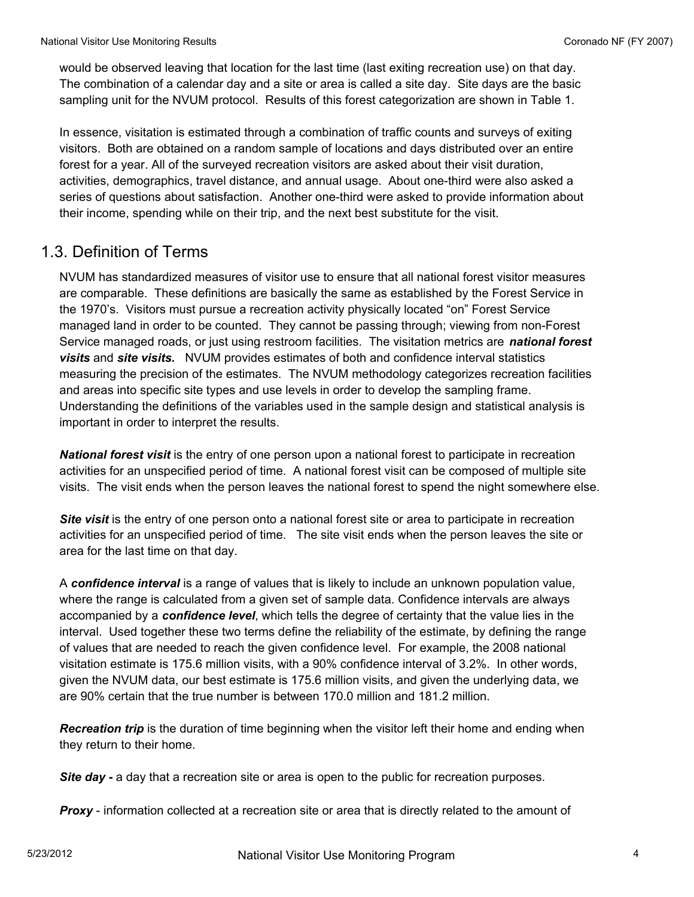would be observed leaving that location for the last time (last exiting recreation use) on that day. The combination of a calendar day and a site or area is called a site day. Site days are the basic sampling unit for the NVUM protocol. Results of this forest categorization are shown in Table 1.

In essence, visitation is estimated through a combination of traffic counts and surveys of exiting visitors. Both are obtained on a random sample of locations and days distributed over an entire forest for a year. All of the surveyed recreation visitors are asked about their visit duration, activities, demographics, travel distance, and annual usage. About one-third were also asked a series of questions about satisfaction. Another one-third were asked to provide information about their income, spending while on their trip, and the next best substitute for the visit.

#### 1.3. Definition of Terms

NVUM has standardized measures of visitor use to ensure that all national forest visitor measures are comparable. These definitions are basically the same as established by the Forest Service in the 1970's. Visitors must pursue a recreation activity physically located "on" Forest Service managed land in order to be counted. They cannot be passing through; viewing from non-Forest Service managed roads, or just using restroom facilities. The visitation metrics are *national forest visits* and *site visits.* NVUM provides estimates of both and confidence interval statistics measuring the precision of the estimates. The NVUM methodology categorizes recreation facilities and areas into specific site types and use levels in order to develop the sampling frame. Understanding the definitions of the variables used in the sample design and statistical analysis is important in order to interpret the results.

*National forest visit* is the entry of one person upon a national forest to participate in recreation activities for an unspecified period of time. A national forest visit can be composed of multiple site visits. The visit ends when the person leaves the national forest to spend the night somewhere else.

**Site visit** is the entry of one person onto a national forest site or area to participate in recreation activities for an unspecified period of time. The site visit ends when the person leaves the site or area for the last time on that day.

A *confidence interval* is a range of values that is likely to include an unknown population value, where the range is calculated from a given set of sample data. Confidence intervals are always accompanied by a *confidence level*, which tells the degree of certainty that the value lies in the interval. Used together these two terms define the reliability of the estimate, by defining the range of values that are needed to reach the given confidence level. For example, the 2008 national visitation estimate is 175.6 million visits, with a 90% confidence interval of 3.2%. In other words, given the NVUM data, our best estimate is 175.6 million visits, and given the underlying data, we are 90% certain that the true number is between 170.0 million and 181.2 million.

*Recreation trip* is the duration of time beginning when the visitor left their home and ending when they return to their home.

*Site day* **-** a day that a recreation site or area is open to the public for recreation purposes.

**Proxy** - information collected at a recreation site or area that is directly related to the amount of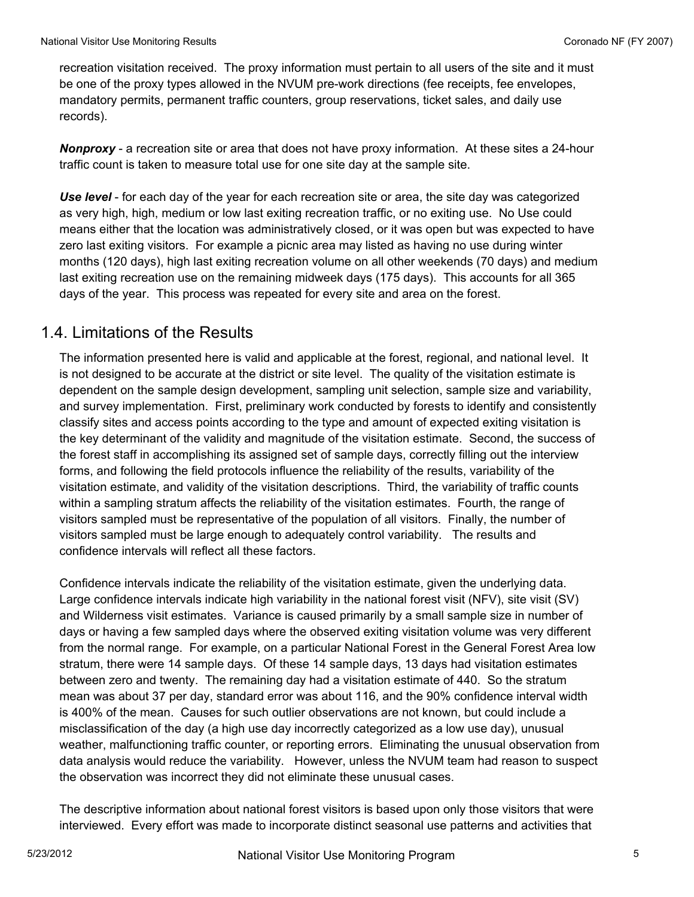recreation visitation received. The proxy information must pertain to all users of the site and it must be one of the proxy types allowed in the NVUM pre-work directions (fee receipts, fee envelopes, mandatory permits, permanent traffic counters, group reservations, ticket sales, and daily use records).

*Nonproxy* - a recreation site or area that does not have proxy information. At these sites a 24-hour traffic count is taken to measure total use for one site day at the sample site.

*Use level* - for each day of the year for each recreation site or area, the site day was categorized as very high, high, medium or low last exiting recreation traffic, or no exiting use. No Use could means either that the location was administratively closed, or it was open but was expected to have zero last exiting visitors. For example a picnic area may listed as having no use during winter months (120 days), high last exiting recreation volume on all other weekends (70 days) and medium last exiting recreation use on the remaining midweek days (175 days). This accounts for all 365 days of the year. This process was repeated for every site and area on the forest.

#### 1.4. Limitations of the Results

The information presented here is valid and applicable at the forest, regional, and national level. It is not designed to be accurate at the district or site level. The quality of the visitation estimate is dependent on the sample design development, sampling unit selection, sample size and variability, and survey implementation. First, preliminary work conducted by forests to identify and consistently classify sites and access points according to the type and amount of expected exiting visitation is the key determinant of the validity and magnitude of the visitation estimate. Second, the success of the forest staff in accomplishing its assigned set of sample days, correctly filling out the interview forms, and following the field protocols influence the reliability of the results, variability of the visitation estimate, and validity of the visitation descriptions. Third, the variability of traffic counts within a sampling stratum affects the reliability of the visitation estimates. Fourth, the range of visitors sampled must be representative of the population of all visitors. Finally, the number of visitors sampled must be large enough to adequately control variability. The results and confidence intervals will reflect all these factors.

Confidence intervals indicate the reliability of the visitation estimate, given the underlying data. Large confidence intervals indicate high variability in the national forest visit (NFV), site visit (SV) and Wilderness visit estimates. Variance is caused primarily by a small sample size in number of days or having a few sampled days where the observed exiting visitation volume was very different from the normal range. For example, on a particular National Forest in the General Forest Area low stratum, there were 14 sample days. Of these 14 sample days, 13 days had visitation estimates between zero and twenty. The remaining day had a visitation estimate of 440. So the stratum mean was about 37 per day, standard error was about 116, and the 90% confidence interval width is 400% of the mean. Causes for such outlier observations are not known, but could include a misclassification of the day (a high use day incorrectly categorized as a low use day), unusual weather, malfunctioning traffic counter, or reporting errors. Eliminating the unusual observation from data analysis would reduce the variability. However, unless the NVUM team had reason to suspect the observation was incorrect they did not eliminate these unusual cases.

The descriptive information about national forest visitors is based upon only those visitors that were interviewed. Every effort was made to incorporate distinct seasonal use patterns and activities that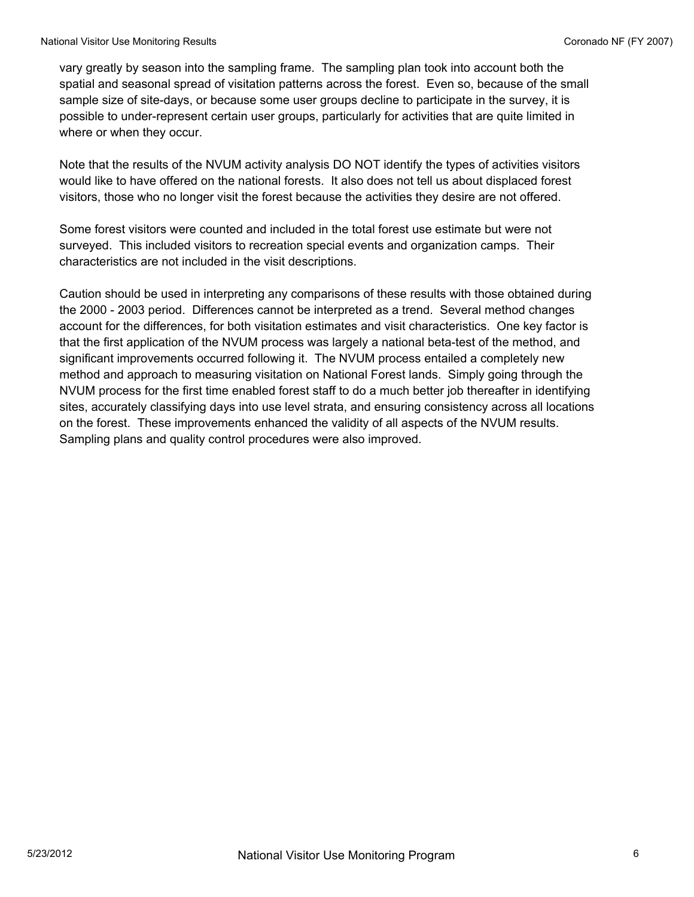vary greatly by season into the sampling frame. The sampling plan took into account both the spatial and seasonal spread of visitation patterns across the forest. Even so, because of the small sample size of site-days, or because some user groups decline to participate in the survey, it is possible to under-represent certain user groups, particularly for activities that are quite limited in where or when they occur.

Note that the results of the NVUM activity analysis DO NOT identify the types of activities visitors would like to have offered on the national forests. It also does not tell us about displaced forest visitors, those who no longer visit the forest because the activities they desire are not offered.

Some forest visitors were counted and included in the total forest use estimate but were not surveyed. This included visitors to recreation special events and organization camps. Their characteristics are not included in the visit descriptions.

Caution should be used in interpreting any comparisons of these results with those obtained during the 2000 - 2003 period. Differences cannot be interpreted as a trend. Several method changes account for the differences, for both visitation estimates and visit characteristics. One key factor is that the first application of the NVUM process was largely a national beta-test of the method, and significant improvements occurred following it. The NVUM process entailed a completely new method and approach to measuring visitation on National Forest lands. Simply going through the NVUM process for the first time enabled forest staff to do a much better job thereafter in identifying sites, accurately classifying days into use level strata, and ensuring consistency across all locations on the forest. These improvements enhanced the validity of all aspects of the NVUM results. Sampling plans and quality control procedures were also improved.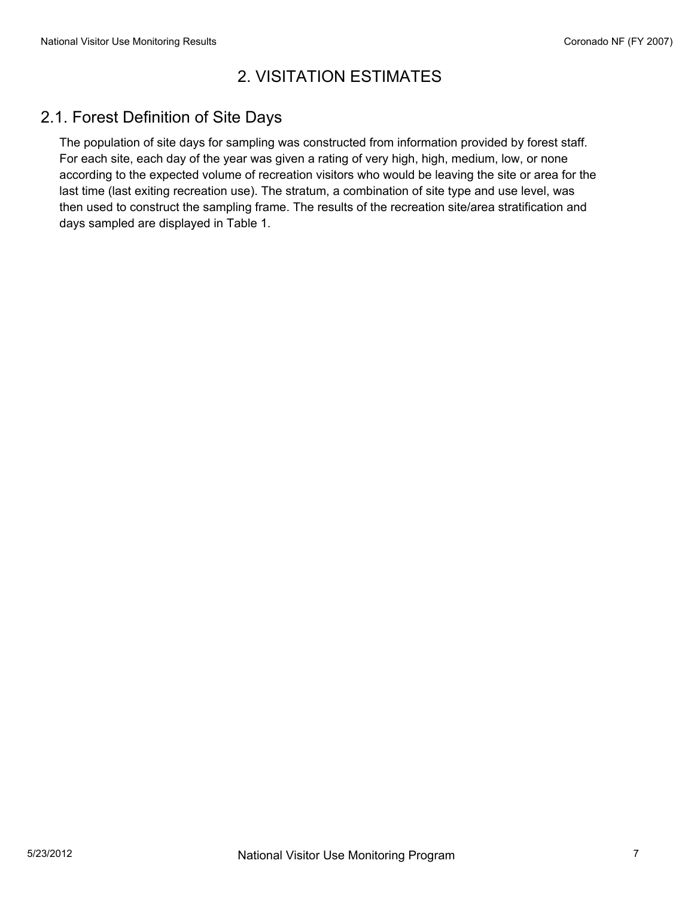# 2. VISITATION ESTIMATES

# 2.1. Forest Definition of Site Days

The population of site days for sampling was constructed from information provided by forest staff. For each site, each day of the year was given a rating of very high, high, medium, low, or none according to the expected volume of recreation visitors who would be leaving the site or area for the last time (last exiting recreation use). The stratum, a combination of site type and use level, was then used to construct the sampling frame. The results of the recreation site/area stratification and days sampled are displayed in Table 1.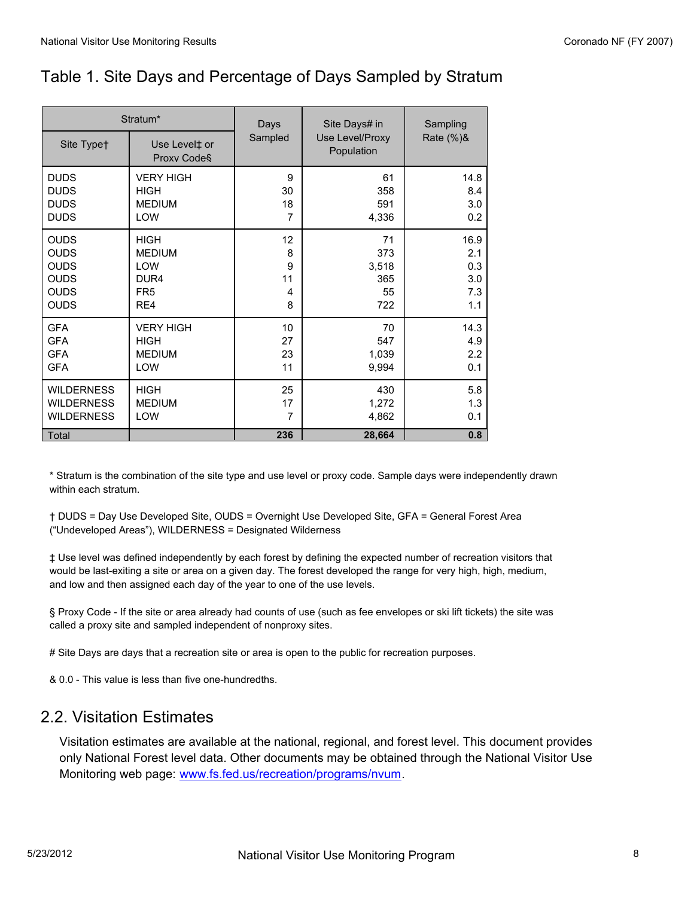# Table 1. Site Days and Percentage of Days Sampled by Stratum

| Sampled<br>Use Level/Proxy<br>Site Typet<br>Use Level‡ or<br>Population<br>Proxy Code <sup>§</sup><br><b>DUDS</b><br>9<br>61<br><b>VERY HIGH</b><br><b>DUDS</b><br><b>HIGH</b><br>30<br>358<br><b>DUDS</b><br><b>MEDIUM</b><br>18<br>591<br><b>DUDS</b><br>7<br>LOW<br>4,336<br><b>OUDS</b><br><b>HIGH</b><br>12<br>71<br><b>OUDS</b><br>373<br><b>MEDIUM</b><br>8<br><b>OUDS</b><br>9<br>3,518<br><b>LOW</b><br><b>OUDS</b><br>11<br>365<br>DUR <sub>4</sub><br><b>OUDS</b><br>FR <sub>5</sub><br>55<br>4<br><b>OUDS</b><br>8<br>722<br>RE4<br><b>VERY HIGH</b><br><b>GFA</b><br>10<br>70<br><b>GFA</b><br><b>HIGH</b><br>27<br>547<br><b>GFA</b><br><b>MEDIUM</b><br>23<br>1,039<br><b>GFA</b><br>LOW<br>11<br>9,994 |                   | Stratum*    | Days | Site Days# in | Sampling                                |
|------------------------------------------------------------------------------------------------------------------------------------------------------------------------------------------------------------------------------------------------------------------------------------------------------------------------------------------------------------------------------------------------------------------------------------------------------------------------------------------------------------------------------------------------------------------------------------------------------------------------------------------------------------------------------------------------------------------------|-------------------|-------------|------|---------------|-----------------------------------------|
|                                                                                                                                                                                                                                                                                                                                                                                                                                                                                                                                                                                                                                                                                                                        |                   |             |      |               | Rate (%)&                               |
|                                                                                                                                                                                                                                                                                                                                                                                                                                                                                                                                                                                                                                                                                                                        |                   |             |      |               | 14.8<br>8.4<br>3.0<br>0.2               |
|                                                                                                                                                                                                                                                                                                                                                                                                                                                                                                                                                                                                                                                                                                                        |                   |             |      |               | 16.9<br>2.1<br>0.3<br>3.0<br>7.3<br>1.1 |
|                                                                                                                                                                                                                                                                                                                                                                                                                                                                                                                                                                                                                                                                                                                        |                   |             |      |               | 14.3<br>4.9<br>2.2<br>0.1               |
| <b>WILDERNESS</b><br><b>MEDIUM</b><br>17<br>1,272<br><b>WILDERNESS</b><br>LOW<br>7<br>4,862<br>236<br>28,664<br>Total                                                                                                                                                                                                                                                                                                                                                                                                                                                                                                                                                                                                  | <b>WILDERNESS</b> | <b>HIGH</b> | 25   | 430           | 5.8<br>1.3<br>0.1<br>0.8                |

\* Stratum is the combination of the site type and use level or proxy code. Sample days were independently drawn within each stratum.

† DUDS = Day Use Developed Site, OUDS = Overnight Use Developed Site, GFA = General Forest Area ("Undeveloped Areas"), WILDERNESS = Designated Wilderness

‡ Use level was defined independently by each forest by defining the expected number of recreation visitors that would be last-exiting a site or area on a given day. The forest developed the range for very high, high, medium, and low and then assigned each day of the year to one of the use levels.

§ Proxy Code - If the site or area already had counts of use (such as fee envelopes or ski lift tickets) the site was called a proxy site and sampled independent of nonproxy sites.

# Site Days are days that a recreation site or area is open to the public for recreation purposes.

& 0.0 - This value is less than five one-hundredths.

#### 2.2. Visitation Estimates

Visitation estimates are available at the national, regional, and forest level. This document provides only National Forest level data. Other documents may be obtained through the National Visitor Use Monitoring web page: www.fs.fed.us/recreation/programs/nvum.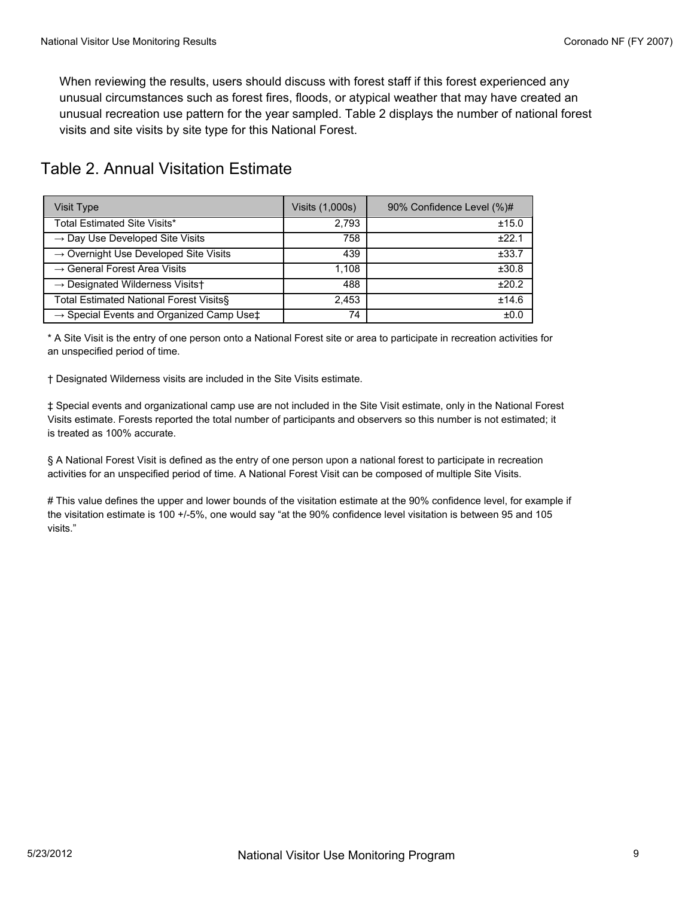When reviewing the results, users should discuss with forest staff if this forest experienced any unusual circumstances such as forest fires, floods, or atypical weather that may have created an unusual recreation use pattern for the year sampled. Table 2 displays the number of national forest visits and site visits by site type for this National Forest.

| Table 2. Annual Visitation Estimate |  |  |
|-------------------------------------|--|--|
|-------------------------------------|--|--|

| Visit Type                                                     | Visits (1,000s) | 90% Confidence Level (%)# |
|----------------------------------------------------------------|-----------------|---------------------------|
| Total Estimated Site Visits*                                   | 2,793           | ±15.0                     |
| $\rightarrow$ Day Use Developed Site Visits                    | 758             | ±22.1                     |
| $\rightarrow$ Overnight Use Developed Site Visits              | 439             | ±33.7                     |
| $\rightarrow$ General Forest Area Visits                       | 1.108           | ±30.8                     |
| $\rightarrow$ Designated Wilderness Visits†                    | 488             | ±20.2                     |
| Total Estimated National Forest Visits§                        | 2,453           | ±14.6                     |
| $\rightarrow$ Special Events and Organized Camp Use $\ddagger$ | 74              | ±0.0                      |

\* A Site Visit is the entry of one person onto a National Forest site or area to participate in recreation activities for an unspecified period of time.

† Designated Wilderness visits are included in the Site Visits estimate.

‡ Special events and organizational camp use are not included in the Site Visit estimate, only in the National Forest Visits estimate. Forests reported the total number of participants and observers so this number is not estimated; it is treated as 100% accurate.

§ A National Forest Visit is defined as the entry of one person upon a national forest to participate in recreation activities for an unspecified period of time. A National Forest Visit can be composed of multiple Site Visits.

# This value defines the upper and lower bounds of the visitation estimate at the 90% confidence level, for example if the visitation estimate is 100 +/-5%, one would say "at the 90% confidence level visitation is between 95 and 105 visits."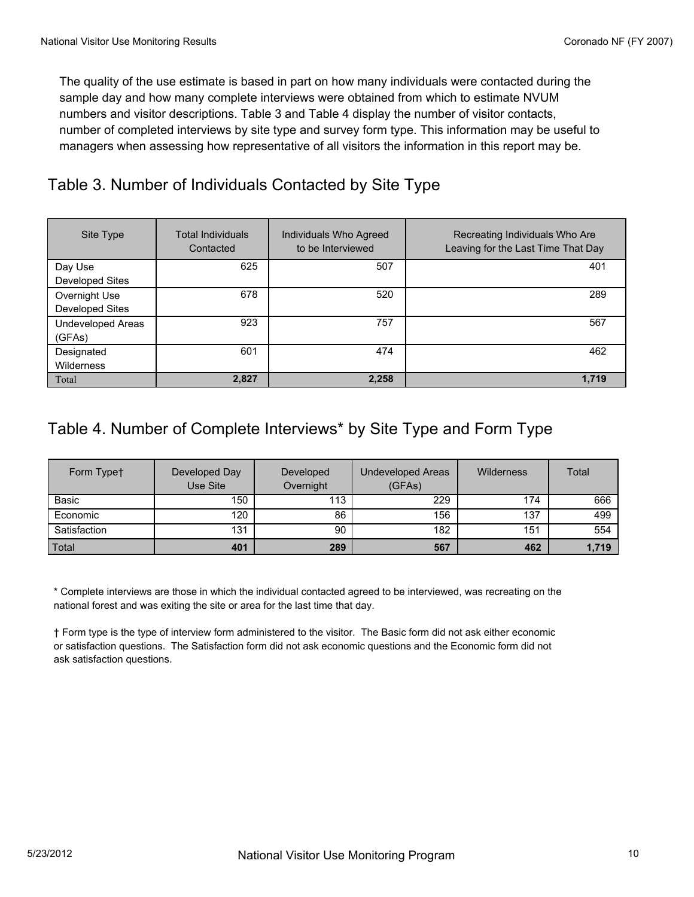The quality of the use estimate is based in part on how many individuals were contacted during the sample day and how many complete interviews were obtained from which to estimate NVUM numbers and visitor descriptions. Table 3 and Table 4 display the number of visitor contacts, number of completed interviews by site type and survey form type. This information may be useful to managers when assessing how representative of all visitors the information in this report may be.

# Table 3. Number of Individuals Contacted by Site Type

| Site Type                               | <b>Total Individuals</b><br>Contacted | Individuals Who Agreed<br>to be Interviewed | Recreating Individuals Who Are<br>Leaving for the Last Time That Day |
|-----------------------------------------|---------------------------------------|---------------------------------------------|----------------------------------------------------------------------|
| Day Use<br>Developed Sites              | 625                                   | 507                                         | 401                                                                  |
| Overnight Use<br><b>Developed Sites</b> | 678                                   | 520                                         | 289                                                                  |
| <b>Undeveloped Areas</b><br>(GFAs)      | 923                                   | 757                                         | 567                                                                  |
| Designated<br>Wilderness                | 601                                   | 474                                         | 462                                                                  |
| Total                                   | 2,827                                 | 2,258                                       | 1,719                                                                |

# Table 4. Number of Complete Interviews\* by Site Type and Form Type

| Form Typet   | Developed Day<br>Use Site | Developed<br>Overnight | Undeveloped Areas<br>(GFAs) | Wilderness | Total |
|--------------|---------------------------|------------------------|-----------------------------|------------|-------|
| Basic        | 150                       | 113                    | 229                         | 174        | 666   |
| Economic     | 120                       | 86                     | 156                         | 137        | 499   |
| Satisfaction | 131                       | 90                     | 182                         | 151        | 554   |
| Total        | 401                       | 289                    | 567                         | 462        | 1,719 |

\* Complete interviews are those in which the individual contacted agreed to be interviewed, was recreating on the national forest and was exiting the site or area for the last time that day.

† Form type is the type of interview form administered to the visitor. The Basic form did not ask either economic or satisfaction questions. The Satisfaction form did not ask economic questions and the Economic form did not ask satisfaction questions.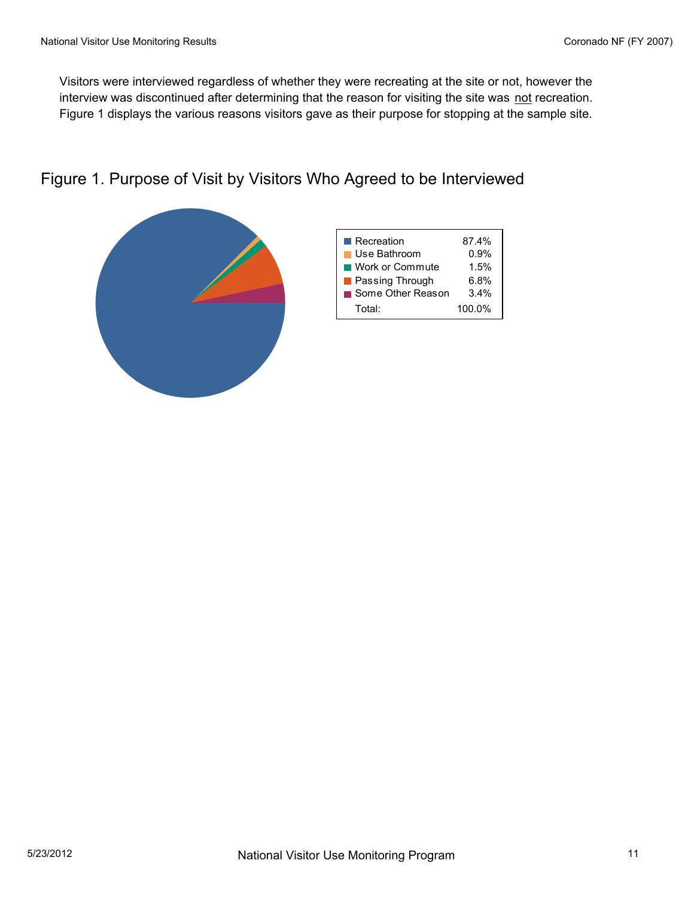Visitors were interviewed regardless of whether they were recreating at the site or not, however the interview was discontinued after determining that the reason for visiting the site was not recreation. Figure 1 displays the various reasons visitors gave as their purpose for stopping at the sample site.

## Figure 1. Purpose of Visit by Visitors Who Agreed to be Interviewed

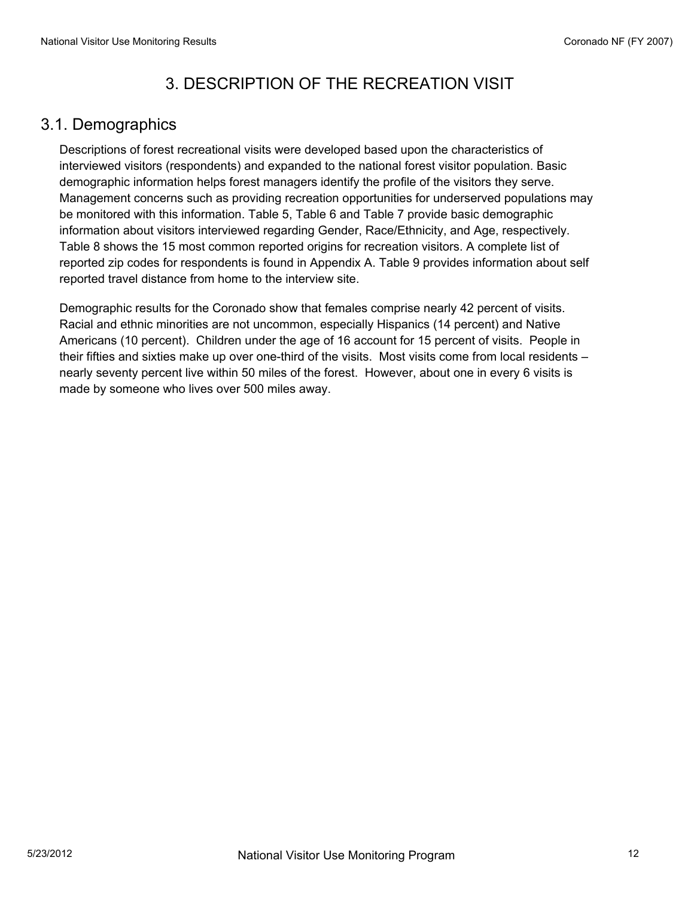# 3. DESCRIPTION OF THE RECREATION VISIT

#### 3.1. Demographics

Descriptions of forest recreational visits were developed based upon the characteristics of interviewed visitors (respondents) and expanded to the national forest visitor population. Basic demographic information helps forest managers identify the profile of the visitors they serve. Management concerns such as providing recreation opportunities for underserved populations may be monitored with this information. Table 5, Table 6 and Table 7 provide basic demographic information about visitors interviewed regarding Gender, Race/Ethnicity, and Age, respectively. Table 8 shows the 15 most common reported origins for recreation visitors. A complete list of reported zip codes for respondents is found in Appendix A. Table 9 provides information about self reported travel distance from home to the interview site.

Demographic results for the Coronado show that females comprise nearly 42 percent of visits. Racial and ethnic minorities are not uncommon, especially Hispanics (14 percent) and Native Americans (10 percent). Children under the age of 16 account for 15 percent of visits. People in their fifties and sixties make up over one-third of the visits. Most visits come from local residents – nearly seventy percent live within 50 miles of the forest. However, about one in every 6 visits is made by someone who lives over 500 miles away.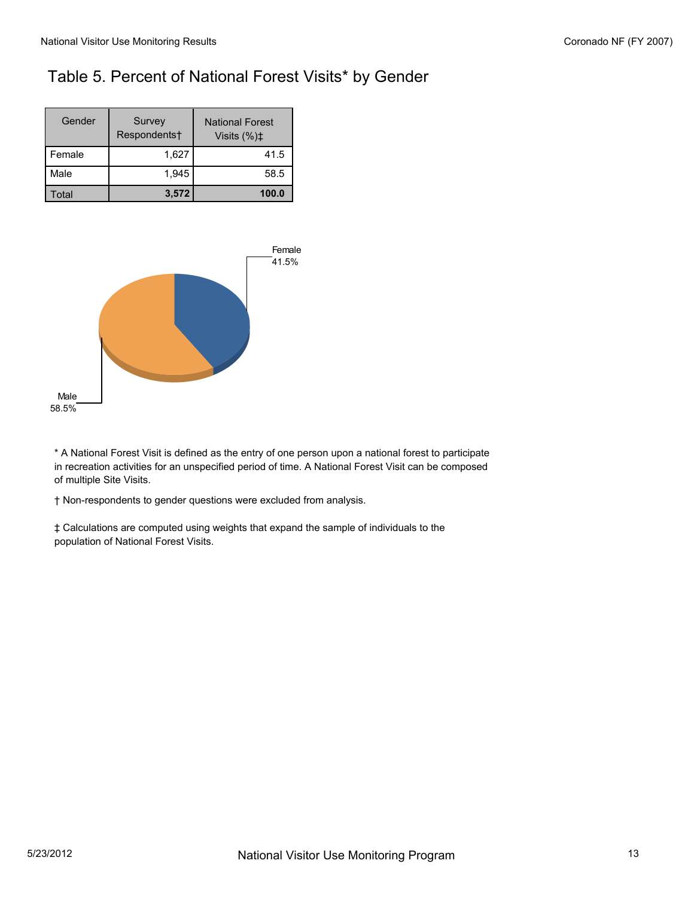# Table 5. Percent of National Forest Visits\* by Gender

| Gender   | Survey<br>Respondents† | <b>National Forest</b><br>Visits $(\%)\sharp$ |
|----------|------------------------|-----------------------------------------------|
| l Female | 1,627                  | 41.5                                          |
| Male     | 1.945                  | 58.5                                          |
| otal     | 3,572                  | 100.0                                         |



\* A National Forest Visit is defined as the entry of one person upon a national forest to participate in recreation activities for an unspecified period of time. A National Forest Visit can be composed of multiple Site Visits.

† Non-respondents to gender questions were excluded from analysis.

‡ Calculations are computed using weights that expand the sample of individuals to the population of National Forest Visits.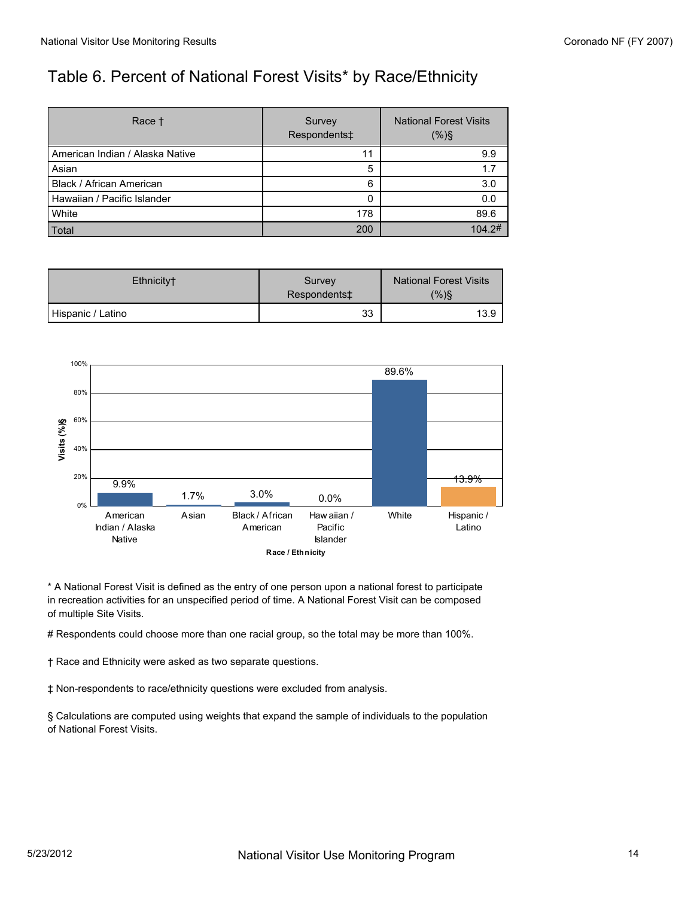# Table 6. Percent of National Forest Visits\* by Race/Ethnicity

| Race <sup>+</sup>                 | Survey<br>Respondents‡ | <b>National Forest Visits</b><br>(% ) |
|-----------------------------------|------------------------|---------------------------------------|
| l American Indian / Alaska Native | 11                     | 9.9                                   |
| Asian                             | 5                      | 1.7                                   |
| Black / African American          | 6                      | 3.0                                   |
| l Hawaiian / Pacific Islander     | Ω                      | 0.0                                   |
| <b>White</b>                      | 178                    | 89.6                                  |
| Total                             | 200                    | 104.2#                                |

| Ethnicity <sup>+</sup> | Survey<br>Respondents‡ | <b>National Forest Visits</b><br>(%)§ |
|------------------------|------------------------|---------------------------------------|
| Hispanic / Latino      | 33                     | 13.9                                  |



\* A National Forest Visit is defined as the entry of one person upon a national forest to participate in recreation activities for an unspecified period of time. A National Forest Visit can be composed of multiple Site Visits.

# Respondents could choose more than one racial group, so the total may be more than 100%.

† Race and Ethnicity were asked as two separate questions.

‡ Non-respondents to race/ethnicity questions were excluded from analysis.

§ Calculations are computed using weights that expand the sample of individuals to the population of National Forest Visits.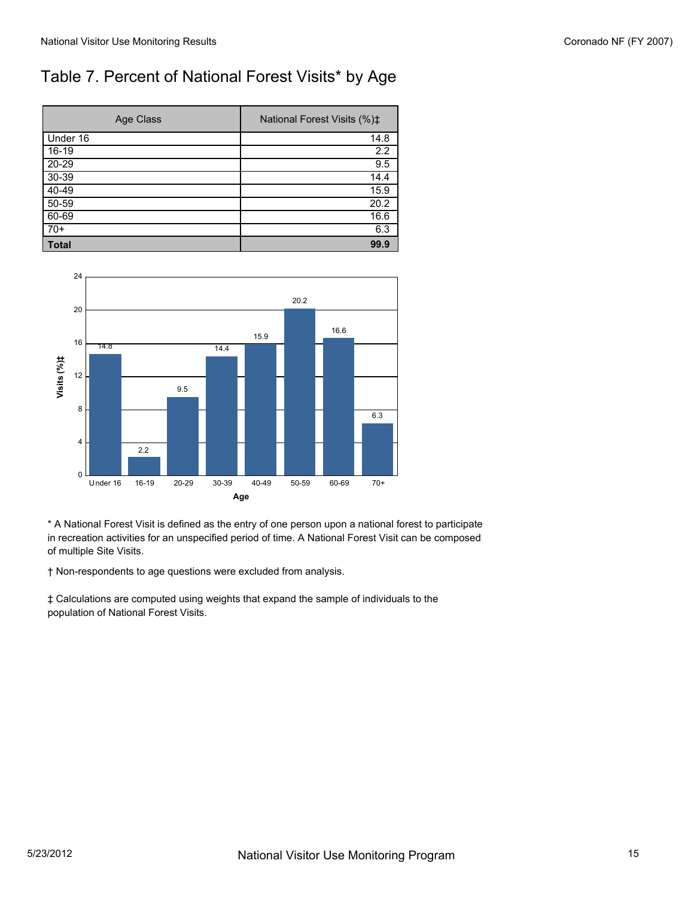# Table 7. Percent of National Forest Visits\* by Age

| Age Class    | National Forest Visits (%) <sup>±</sup> |
|--------------|-----------------------------------------|
| Under 16     | 14.8                                    |
| 16-19        | 2.2                                     |
| $20 - 29$    | 9.5                                     |
| 30-39        | 14.4                                    |
| 40-49        | 15.9                                    |
| $50 - 59$    | 20.2                                    |
| $60 - 69$    | 16.6                                    |
| $70+$        | 6.3                                     |
| <b>Total</b> | 99.9                                    |



\* A National Forest Visit is defined as the entry of one person upon a national forest to participate in recreation activities for an unspecified period of time. A National Forest Visit can be composed of multiple Site Visits.

† Non-respondents to age questions were excluded from analysis.

‡ Calculations are computed using weights that expand the sample of individuals to the population of National Forest Visits.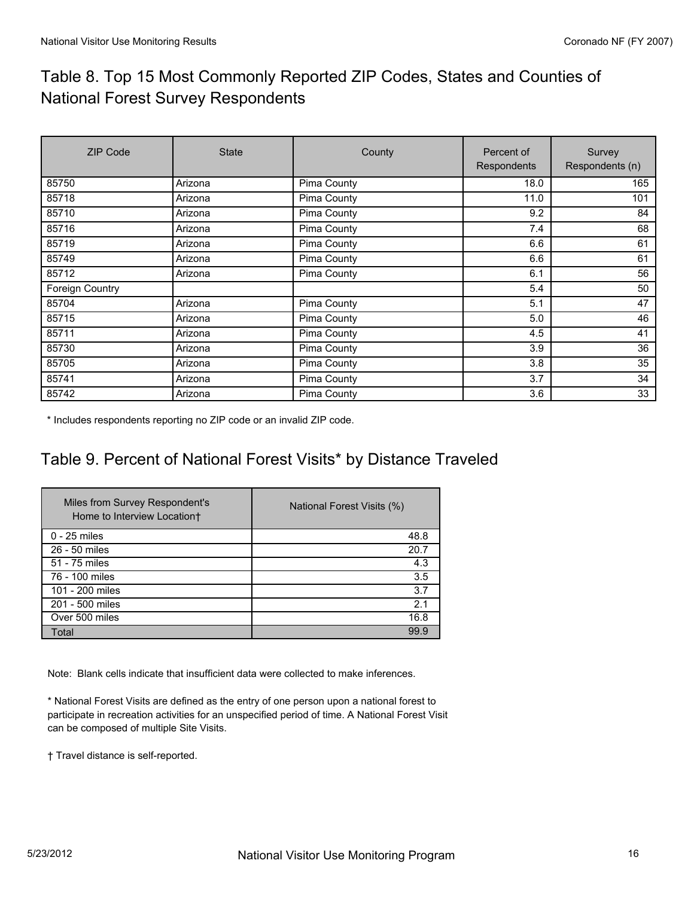# Table 8. Top 15 Most Commonly Reported ZIP Codes, States and Counties of National Forest Survey Respondents

| <b>ZIP Code</b> | <b>State</b> | County      | Percent of<br>Respondents | Survey<br>Respondents (n) |
|-----------------|--------------|-------------|---------------------------|---------------------------|
| 85750           | Arizona      | Pima County | 18.0                      | 165                       |
| 85718           | Arizona      | Pima County | 11.0                      | 101                       |
| 85710           | Arizona      | Pima County | 9.2                       | 84                        |
| 85716           | Arizona      | Pima County | 7.4                       | 68                        |
| 85719           | Arizona      | Pima County | 6.6                       | 61                        |
| 85749           | Arizona      | Pima County | 6.6                       | 61                        |
| 85712           | Arizona      | Pima County | 6.1                       | 56                        |
| Foreign Country |              |             | 5.4                       | 50                        |
| 85704           | Arizona      | Pima County | 5.1                       | 47                        |
| 85715           | Arizona      | Pima County | 5.0                       | 46                        |
| 85711           | Arizona      | Pima County | 4.5                       | 41                        |
| 85730           | Arizona      | Pima County | 3.9                       | 36                        |
| 85705           | Arizona      | Pima County | 3.8                       | 35                        |
| 85741           | Arizona      | Pima County | 3.7                       | 34                        |
| 85742           | Arizona      | Pima County | 3.6                       | 33                        |

\* Includes respondents reporting no ZIP code or an invalid ZIP code.

# Table 9. Percent of National Forest Visits\* by Distance Traveled

| Miles from Survey Respondent's<br>Home to Interview Location+ | National Forest Visits (%) |
|---------------------------------------------------------------|----------------------------|
| $0 - 25$ miles                                                | 48.8                       |
| 26 - 50 miles                                                 | 20.7                       |
| 51 - 75 miles                                                 | 4.3                        |
| 76 - 100 miles                                                | 3.5                        |
| 101 - 200 miles                                               | 3.7                        |
| 201 - 500 miles                                               | 2.1                        |
| Over 500 miles                                                | 16.8                       |
| Total                                                         | 99.9                       |

Note: Blank cells indicate that insufficient data were collected to make inferences.

\* National Forest Visits are defined as the entry of one person upon a national forest to participate in recreation activities for an unspecified period of time. A National Forest Visit can be composed of multiple Site Visits.

† Travel distance is self-reported.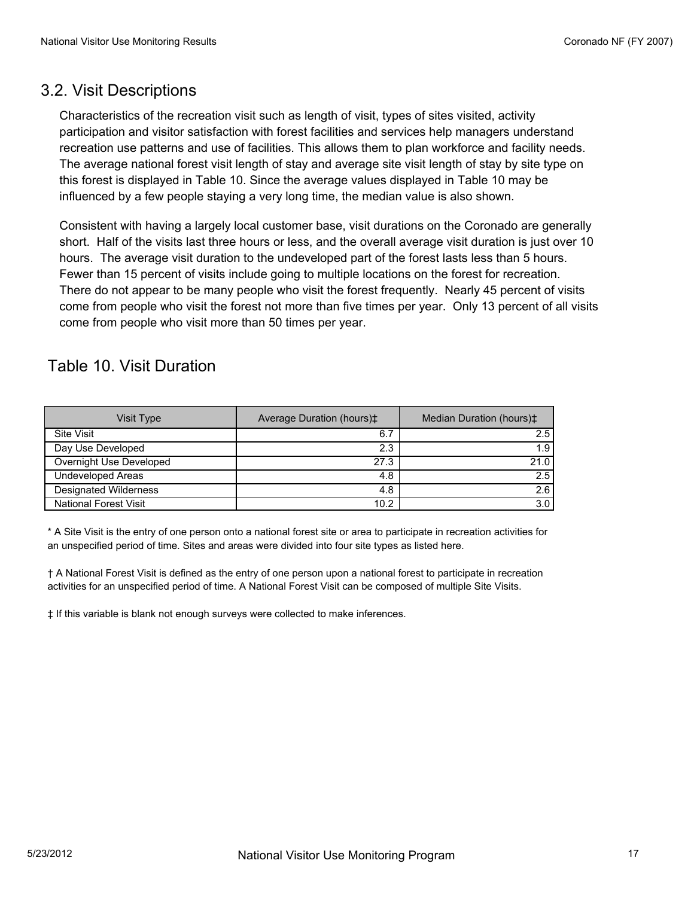#### 3.2. Visit Descriptions

Characteristics of the recreation visit such as length of visit, types of sites visited, activity participation and visitor satisfaction with forest facilities and services help managers understand recreation use patterns and use of facilities. This allows them to plan workforce and facility needs. The average national forest visit length of stay and average site visit length of stay by site type on this forest is displayed in Table 10. Since the average values displayed in Table 10 may be influenced by a few people staying a very long time, the median value is also shown.

Consistent with having a largely local customer base, visit durations on the Coronado are generally short. Half of the visits last three hours or less, and the overall average visit duration is just over 10 hours. The average visit duration to the undeveloped part of the forest lasts less than 5 hours. Fewer than 15 percent of visits include going to multiple locations on the forest for recreation. There do not appear to be many people who visit the forest frequently. Nearly 45 percent of visits come from people who visit the forest not more than five times per year. Only 13 percent of all visits come from people who visit more than 50 times per year.

#### Table 10. Visit Duration

| Visit Type                   | Average Duration (hours) <sup><math>\pm</math></sup> | Median Duration (hours) <sup><math>\ddagger</math></sup> |
|------------------------------|------------------------------------------------------|----------------------------------------------------------|
| <b>Site Visit</b>            | 6.7                                                  | 2.5                                                      |
| Day Use Developed            | 2.3                                                  | 1.9                                                      |
| Overnight Use Developed      | 27.3                                                 | 21.0                                                     |
| <b>Undeveloped Areas</b>     | 4.8                                                  | 2.5                                                      |
| <b>Designated Wilderness</b> | 4.8                                                  | 2.6                                                      |
| <b>National Forest Visit</b> | 10.2                                                 | 3.0                                                      |

\* A Site Visit is the entry of one person onto a national forest site or area to participate in recreation activities for an unspecified period of time. Sites and areas were divided into four site types as listed here.

† A National Forest Visit is defined as the entry of one person upon a national forest to participate in recreation activities for an unspecified period of time. A National Forest Visit can be composed of multiple Site Visits.

‡ If this variable is blank not enough surveys were collected to make inferences.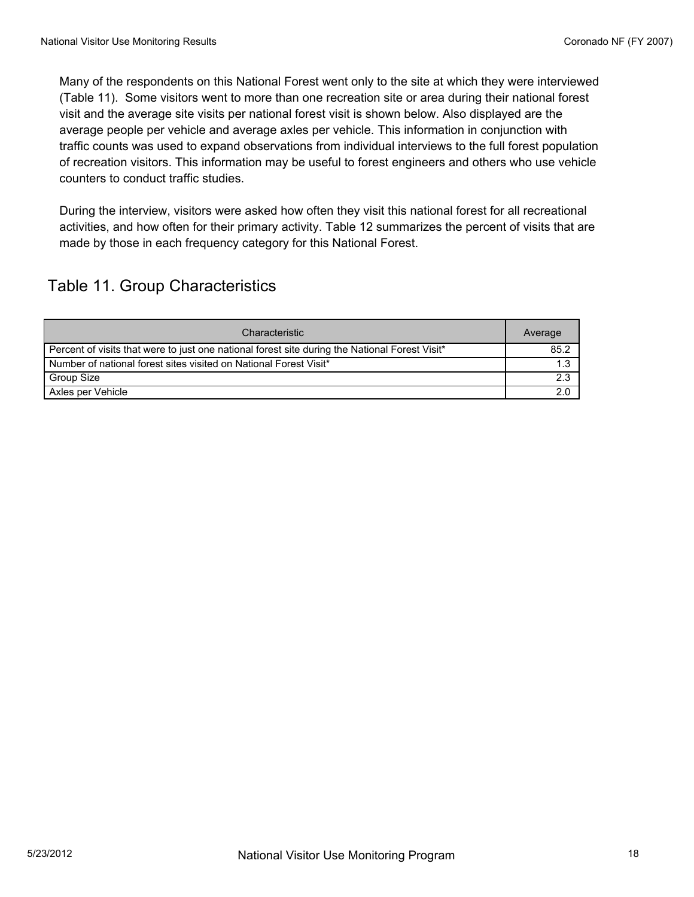Many of the respondents on this National Forest went only to the site at which they were interviewed (Table 11). Some visitors went to more than one recreation site or area during their national forest visit and the average site visits per national forest visit is shown below. Also displayed are the average people per vehicle and average axles per vehicle. This information in conjunction with traffic counts was used to expand observations from individual interviews to the full forest population of recreation visitors. This information may be useful to forest engineers and others who use vehicle counters to conduct traffic studies.

During the interview, visitors were asked how often they visit this national forest for all recreational activities, and how often for their primary activity. Table 12 summarizes the percent of visits that are made by those in each frequency category for this National Forest.

# Table 11. Group Characteristics

| Characteristic                                                                                 | Average |
|------------------------------------------------------------------------------------------------|---------|
| Percent of visits that were to just one national forest site during the National Forest Visit* | 85.2    |
| Number of national forest sites visited on National Forest Visit*                              | 1.3     |
| Group Size                                                                                     | 2.3     |
| Axles per Vehicle                                                                              | 2.0     |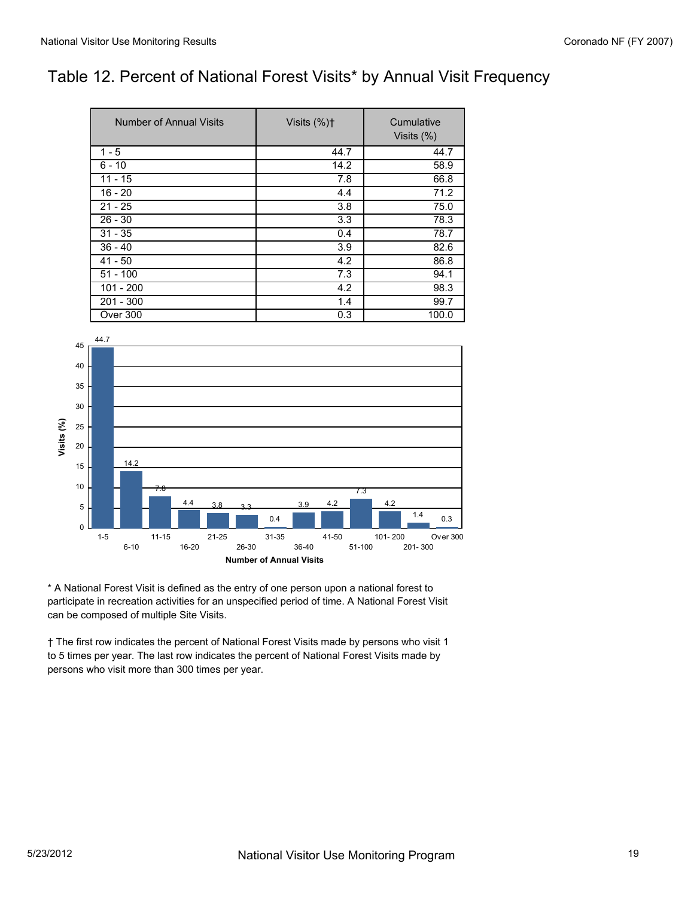## Table 12. Percent of National Forest Visits\* by Annual Visit Frequency

| Number of Annual Visits | Visits $(\%)\uparrow$ | Cumulative<br>Visits $(\%)$ |
|-------------------------|-----------------------|-----------------------------|
| $1 - 5$                 | 44.7                  | 44.7                        |
| $6 - 10$                | 14.2                  | 58.9                        |
| $11 - 15$               | 7.8                   | 66.8                        |
| $16 - 20$               | 4.4                   | 71.2                        |
| $21 - 25$               | 3.8                   | 75.0                        |
| $26 - 30$               | 3.3                   | 78.3                        |
| $31 - 35$               | 0.4                   | 78.7                        |
| $36 - 40$               | 3.9                   | 82.6                        |
| $41 - 50$               | 4.2                   | 86.8                        |
| $51 - 100$              | 7.3                   | 94.1                        |
| $101 - 200$             | 4.2                   | 98.3                        |
| $201 - 300$             | 1.4                   | 99.7                        |
| Over 300                | 0.3                   | 100.0                       |



\* A National Forest Visit is defined as the entry of one person upon a national forest to participate in recreation activities for an unspecified period of time. A National Forest Visit can be composed of multiple Site Visits.

† The first row indicates the percent of National Forest Visits made by persons who visit 1 to 5 times per year. The last row indicates the percent of National Forest Visits made by persons who visit more than 300 times per year.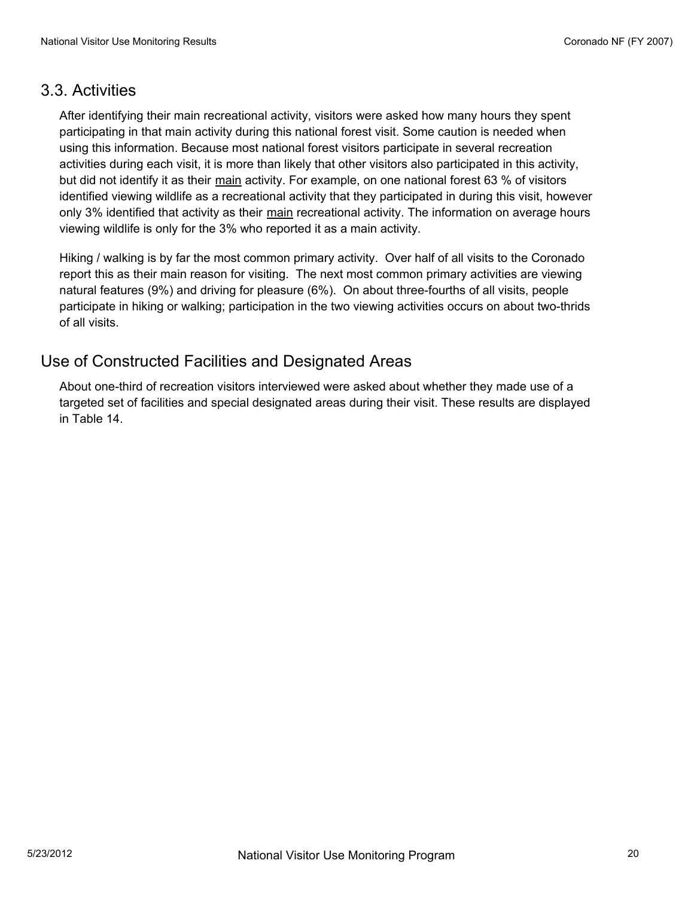#### 3.3. Activities

After identifying their main recreational activity, visitors were asked how many hours they spent participating in that main activity during this national forest visit. Some caution is needed when using this information. Because most national forest visitors participate in several recreation activities during each visit, it is more than likely that other visitors also participated in this activity, but did not identify it as their main activity. For example, on one national forest 63 % of visitors identified viewing wildlife as a recreational activity that they participated in during this visit, however only 3% identified that activity as their main recreational activity. The information on average hours viewing wildlife is only for the 3% who reported it as a main activity.

Hiking / walking is by far the most common primary activity. Over half of all visits to the Coronado report this as their main reason for visiting. The next most common primary activities are viewing natural features (9%) and driving for pleasure (6%). On about three-fourths of all visits, people participate in hiking or walking; participation in the two viewing activities occurs on about two-thrids of all visits.

#### Use of Constructed Facilities and Designated Areas

About one-third of recreation visitors interviewed were asked about whether they made use of a targeted set of facilities and special designated areas during their visit. These results are displayed in Table 14.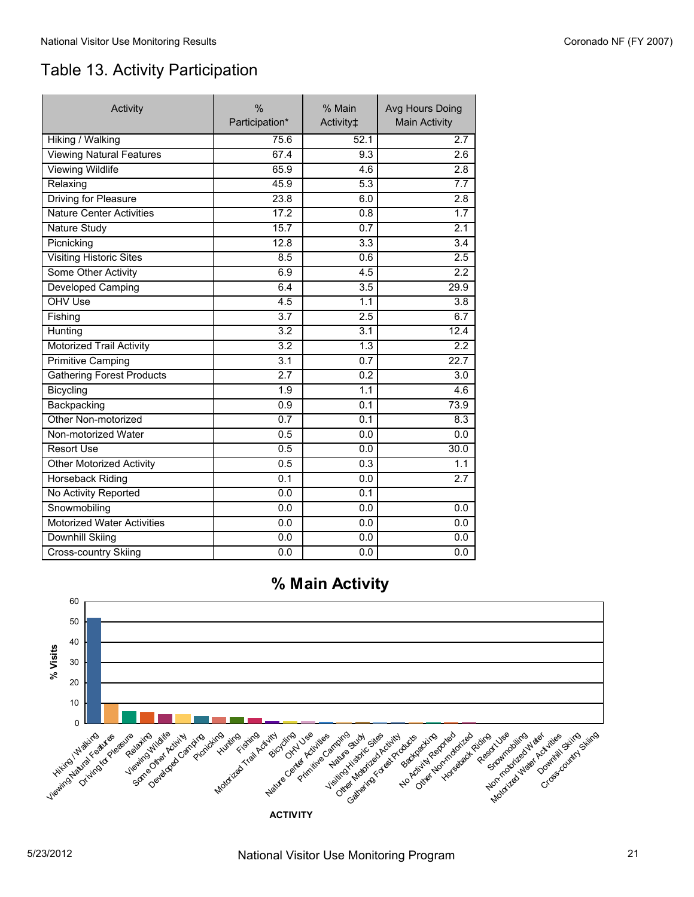# Table 13. Activity Participation

| Activity                          | $\frac{0}{0}$<br>Participation* | % Main<br>Activity‡ | Avg Hours Doing<br><b>Main Activity</b> |
|-----------------------------------|---------------------------------|---------------------|-----------------------------------------|
| Hiking / Walking                  | 75.6                            | 52.1                | 2.7                                     |
| <b>Viewing Natural Features</b>   | 67.4                            | 9.3                 | 2.6                                     |
| <b>Viewing Wildlife</b>           | 65.9                            | 4.6                 | 2.8                                     |
| Relaxing                          | 45.9                            | 5.3                 | 7.7                                     |
| <b>Driving for Pleasure</b>       | 23.8                            | 6.0                 | 2.8                                     |
| <b>Nature Center Activities</b>   | 17.2                            | 0.8                 | 1.7                                     |
| <b>Nature Study</b>               | 15.7                            | 0.7                 | 2.1                                     |
| Picnicking                        | 12.8                            | 3.3                 | 3.4                                     |
| <b>Visiting Historic Sites</b>    | 8.5                             | 0.6                 | 2.5                                     |
| Some Other Activity               | 6.9                             | 4.5                 | 2.2                                     |
| <b>Developed Camping</b>          | 6.4                             | $\overline{3.5}$    | 29.9                                    |
| OHV Use                           | 4.5                             | 1.1                 | 3.8                                     |
| Fishing                           | $\overline{3.7}$                | 2.5                 | 6.7                                     |
| Hunting                           | 3.2                             | 3.1                 | 12.4                                    |
| <b>Motorized Trail Activity</b>   | $\overline{3.2}$                | $\overline{1.3}$    | 2.2                                     |
| <b>Primitive Camping</b>          | 3.1                             | 0.7                 | 22.7                                    |
| <b>Gathering Forest Products</b>  | 2.7                             | 0.2                 | 3.0                                     |
| Bicycling                         | 1.9                             | $\overline{1.1}$    | 4.6                                     |
| Backpacking                       | 0.9                             | 0.1                 | 73.9                                    |
| Other Non-motorized               | 0.7                             | 0.1                 | 8.3                                     |
| Non-motorized Water               | 0.5                             | 0.0                 | 0.0                                     |
| <b>Resort Use</b>                 | 0.5                             | 0.0                 | 30.0                                    |
| <b>Other Motorized Activity</b>   | 0.5                             | $\overline{0.3}$    | 1.1                                     |
| <b>Horseback Riding</b>           | 0.1                             | 0.0                 | 2.7                                     |
| No Activity Reported              | 0.0                             | 0.1                 |                                         |
| Snowmobiling                      | 0.0                             | 0.0                 | 0.0                                     |
| <b>Motorized Water Activities</b> | 0.0                             | 0.0                 | 0.0                                     |
| <b>Downhill Skiing</b>            | 0.0                             | 0.0                 | 0.0                                     |
| Cross-country Skiing              | 0.0                             | 0.0                 | 0.0                                     |



## **% Main Activity**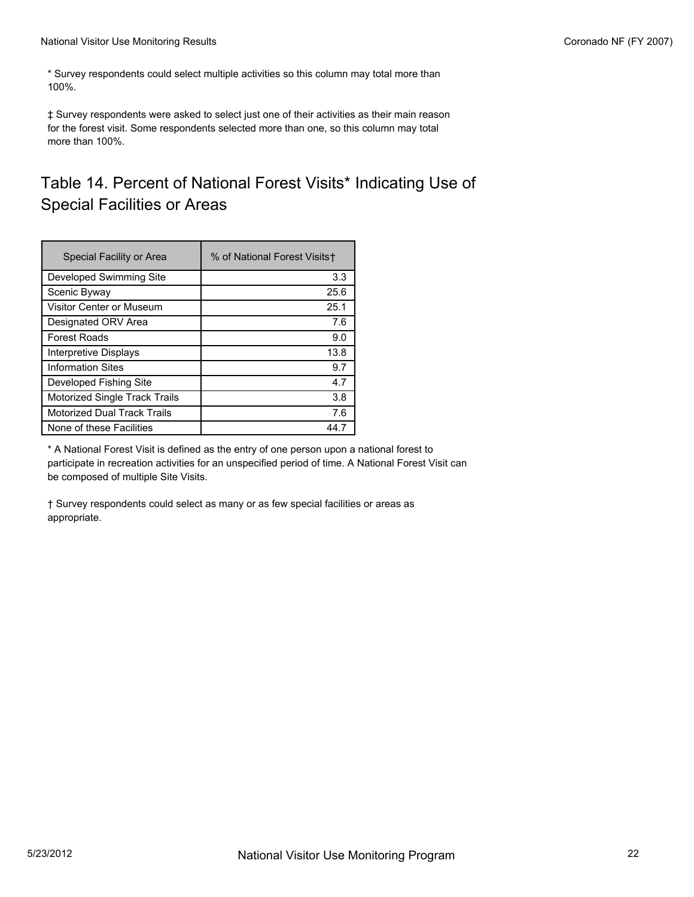\* Survey respondents could select multiple activities so this column may total more than 100%.

‡ Survey respondents were asked to select just one of their activities as their main reason for the forest visit. Some respondents selected more than one, so this column may total more than 100%.

# Table 14. Percent of National Forest Visits\* Indicating Use of Special Facilities or Areas

| Special Facility or Area           | % of National Forest Visits+ |
|------------------------------------|------------------------------|
| Developed Swimming Site            | 3.3                          |
| Scenic Byway                       | 25.6                         |
| Visitor Center or Museum           | 25.1                         |
| Designated ORV Area                | 7.6                          |
| <b>Forest Roads</b>                | 9.0                          |
| Interpretive Displays              | 13.8                         |
| <b>Information Sites</b>           | 9.7                          |
| Developed Fishing Site             | 4.7                          |
| Motorized Single Track Trails      | 3.8                          |
| <b>Motorized Dual Track Trails</b> | 7.6                          |
| None of these Facilities           | 44 7                         |

\* A National Forest Visit is defined as the entry of one person upon a national forest to participate in recreation activities for an unspecified period of time. A National Forest Visit can be composed of multiple Site Visits.

† Survey respondents could select as many or as few special facilities or areas as appropriate.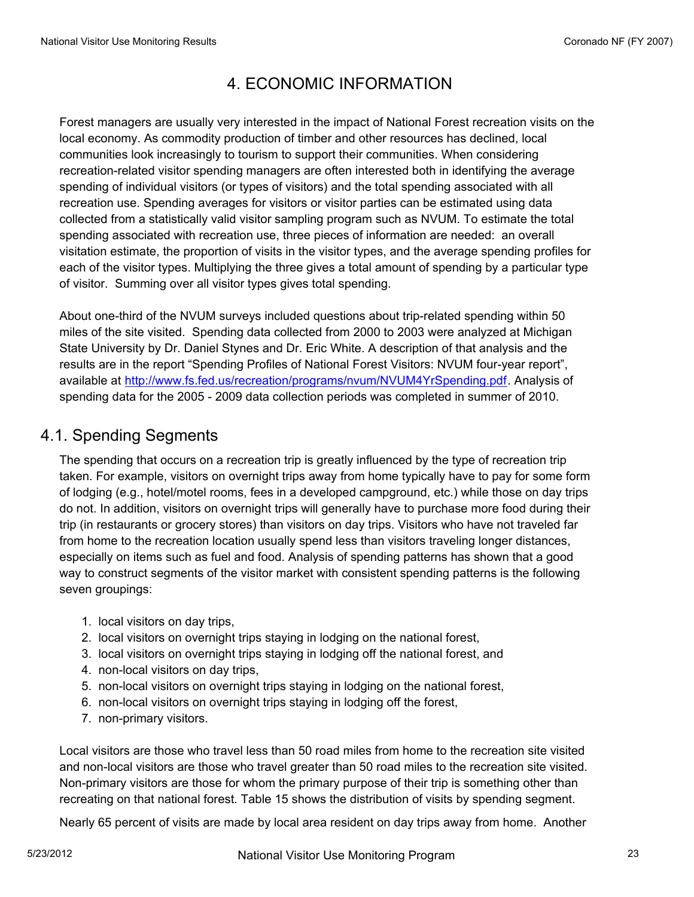# 4. ECONOMIC INFORMATION

Forest managers are usually very interested in the impact of National Forest recreation visits on the local economy. As commodity production of timber and other resources has declined, local communities look increasingly to tourism to support their communities. When considering recreation-related visitor spending managers are often interested both in identifying the average spending of individual visitors (or types of visitors) and the total spending associated with all recreation use. Spending averages for visitors or visitor parties can be estimated using data collected from a statistically valid visitor sampling program such as NVUM. To estimate the total spending associated with recreation use, three pieces of information are needed: an overall visitation estimate, the proportion of visits in the visitor types, and the average spending profiles for each of the visitor types. Multiplying the three gives a total amount of spending by a particular type of visitor. Summing over all visitor types gives total spending.

About one-third of the NVUM surveys included questions about trip-related spending within 50 miles of the site visited. Spending data collected from 2000 to 2003 were analyzed at Michigan State University by Dr. Daniel Stynes and Dr. Eric White. A description of that analysis and the results are in the report "Spending Profiles of National Forest Visitors: NVUM four-year report", available at http://www.fs.fed.us/recreation/programs/nvum/NVUM4YrSpending.pdf. Analysis of spending data for the 2005 - 2009 data collection periods was completed in summer of 2010.

## 4.1. Spending Segments

The spending that occurs on a recreation trip is greatly influenced by the type of recreation trip taken. For example, visitors on overnight trips away from home typically have to pay for some form of lodging (e.g., hotel/motel rooms, fees in a developed campground, etc.) while those on day trips do not. In addition, visitors on overnight trips will generally have to purchase more food during their trip (in restaurants or grocery stores) than visitors on day trips. Visitors who have not traveled far from home to the recreation location usually spend less than visitors traveling longer distances, especially on items such as fuel and food. Analysis of spending patterns has shown that a good way to construct segments of the visitor market with consistent spending patterns is the following seven groupings:

- 1. local visitors on day trips,
- 2. local visitors on overnight trips staying in lodging on the national forest,
- 3. local visitors on overnight trips staying in lodging off the national forest, and
- 4. non-local visitors on day trips,
- 5. non-local visitors on overnight trips staying in lodging on the national forest,
- 6. non-local visitors on overnight trips staying in lodging off the forest,
- 7. non-primary visitors.

Local visitors are those who travel less than 50 road miles from home to the recreation site visited and non-local visitors are those who travel greater than 50 road miles to the recreation site visited. Non-primary visitors are those for whom the primary purpose of their trip is something other than recreating on that national forest. Table 15 shows the distribution of visits by spending segment.

Nearly 65 percent of visits are made by local area resident on day trips away from home. Another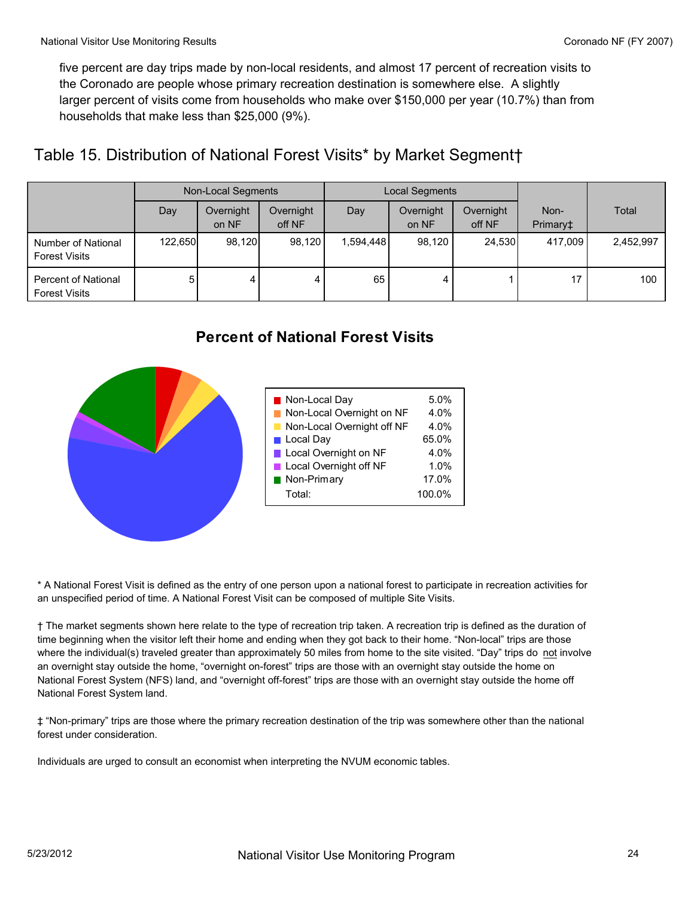five percent are day trips made by non-local residents, and almost 17 percent of recreation visits to the Coronado are people whose primary recreation destination is somewhere else. A slightly larger percent of visits come from households who make over \$150,000 per year (10.7%) than from households that make less than \$25,000 (9%).

# Table 15. Distribution of National Forest Visits\* by Market Segment†

|                                                    |         | Non-Local Segments |                     |           | Local Segments     |                     |                  |           |
|----------------------------------------------------|---------|--------------------|---------------------|-----------|--------------------|---------------------|------------------|-----------|
|                                                    | Day     | Overnight<br>on NF | Overnight<br>off NF | Day       | Overnight<br>on NF | Overnight<br>off NF | Non-<br>Primary‡ | Total     |
| Number of National<br><b>Forest Visits</b>         | 122,650 | 98,120             | 98,120              | 1,594,448 | 98,120             | 24,530              | 417,009          | 2,452,997 |
| <b>Percent of National</b><br><b>Forest Visits</b> | 5       | 4                  | 4                   | 65        |                    |                     | 17               | 100       |



\* A National Forest Visit is defined as the entry of one person upon a national forest to participate in recreation activities for an unspecified period of time. A National Forest Visit can be composed of multiple Site Visits.

† The market segments shown here relate to the type of recreation trip taken. A recreation trip is defined as the duration of time beginning when the visitor left their home and ending when they got back to their home. "Non-local" trips are those where the individual(s) traveled greater than approximately 50 miles from home to the site visited. "Day" trips do not involve an overnight stay outside the home, "overnight on-forest" trips are those with an overnight stay outside the home on National Forest System (NFS) land, and "overnight off-forest" trips are those with an overnight stay outside the home off National Forest System land.

‡ "Non-primary" trips are those where the primary recreation destination of the trip was somewhere other than the national forest under consideration.

Individuals are urged to consult an economist when interpreting the NVUM economic tables.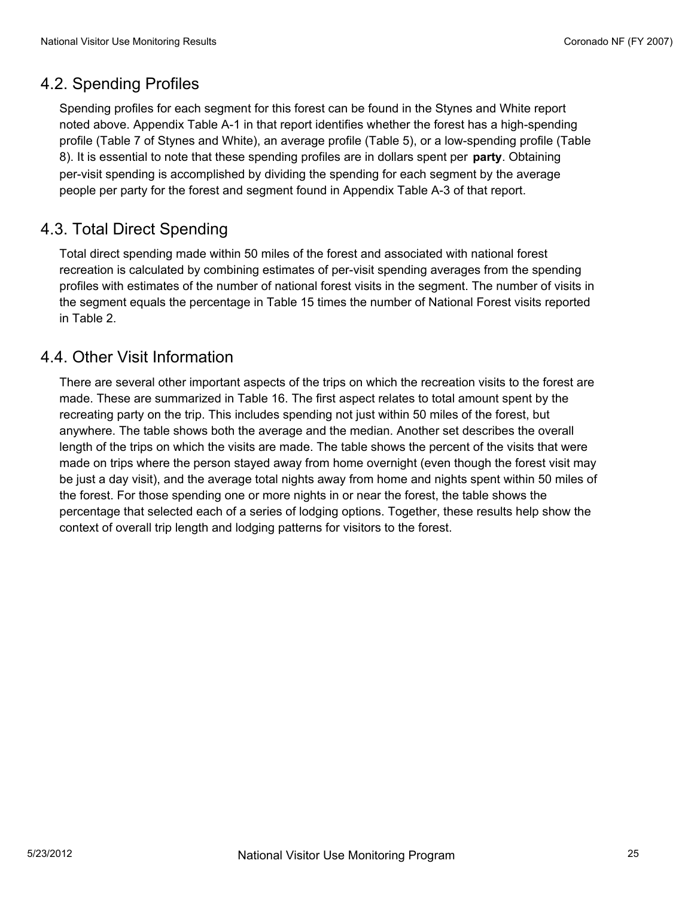## 4.2. Spending Profiles

Spending profiles for each segment for this forest can be found in the Stynes and White report noted above. Appendix Table A-1 in that report identifies whether the forest has a high-spending profile (Table 7 of Stynes and White), an average profile (Table 5), or a low-spending profile (Table 8). It is essential to note that these spending profiles are in dollars spent per **party**. Obtaining per-visit spending is accomplished by dividing the spending for each segment by the average people per party for the forest and segment found in Appendix Table A-3 of that report.

# 4.3. Total Direct Spending

Total direct spending made within 50 miles of the forest and associated with national forest recreation is calculated by combining estimates of per-visit spending averages from the spending profiles with estimates of the number of national forest visits in the segment. The number of visits in the segment equals the percentage in Table 15 times the number of National Forest visits reported in Table 2.

#### 4.4. Other Visit Information

There are several other important aspects of the trips on which the recreation visits to the forest are made. These are summarized in Table 16. The first aspect relates to total amount spent by the recreating party on the trip. This includes spending not just within 50 miles of the forest, but anywhere. The table shows both the average and the median. Another set describes the overall length of the trips on which the visits are made. The table shows the percent of the visits that were made on trips where the person stayed away from home overnight (even though the forest visit may be just a day visit), and the average total nights away from home and nights spent within 50 miles of the forest. For those spending one or more nights in or near the forest, the table shows the percentage that selected each of a series of lodging options. Together, these results help show the context of overall trip length and lodging patterns for visitors to the forest.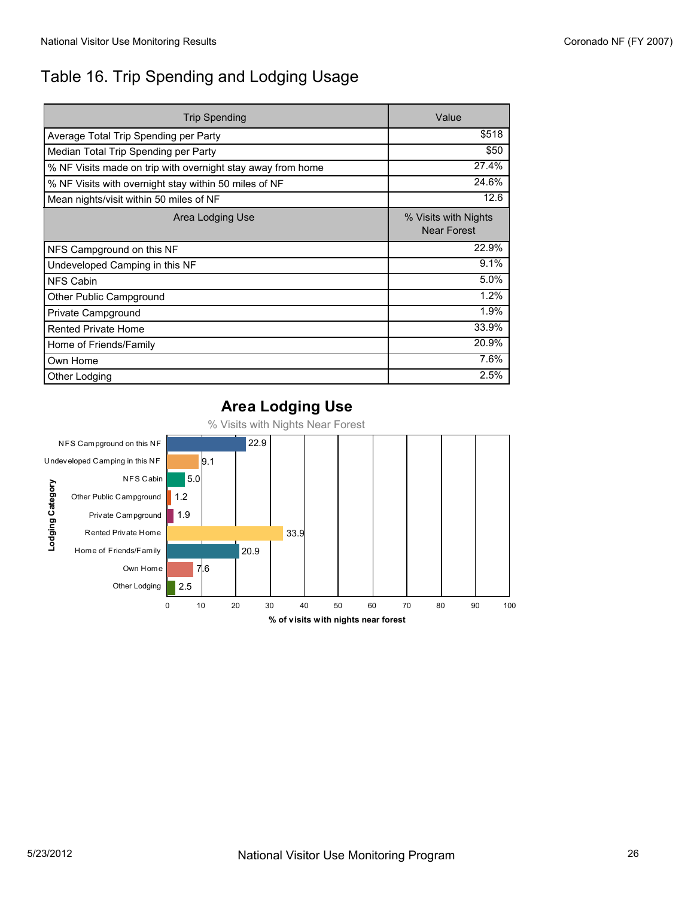# Table 16. Trip Spending and Lodging Usage

| <b>Trip Spending</b>                                        | Value                                      |
|-------------------------------------------------------------|--------------------------------------------|
| Average Total Trip Spending per Party                       | \$518                                      |
| Median Total Trip Spending per Party                        | \$50                                       |
| % NF Visits made on trip with overnight stay away from home | 27.4%                                      |
| % NF Visits with overnight stay within 50 miles of NF       | 24.6%                                      |
| Mean nights/visit within 50 miles of NF                     | 12.6                                       |
| Area Lodging Use                                            | % Visits with Nights<br><b>Near Forest</b> |
| NFS Campground on this NF                                   | 22.9%                                      |
| Undeveloped Camping in this NF                              | 9.1%                                       |
| <b>NFS Cabin</b>                                            | 5.0%                                       |
| Other Public Campground                                     | 1.2%                                       |
| Private Campground                                          | 1.9%                                       |
| <b>Rented Private Home</b>                                  | 33.9%                                      |
| Home of Friends/Family                                      | 20.9%                                      |
| Own Home                                                    | 7.6%                                       |
| Other Lodging                                               | 2.5%                                       |

#### **Area Lodging Use**



% Visits with Nights Near Forest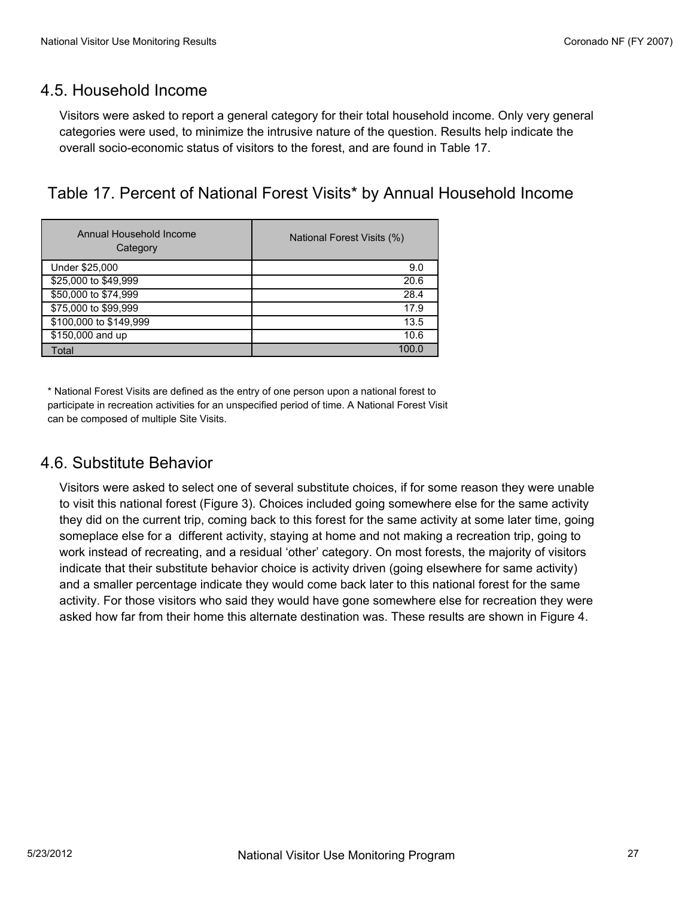#### 4.5. Household Income

Visitors were asked to report a general category for their total household income. Only very general categories were used, to minimize the intrusive nature of the question. Results help indicate the overall socio-economic status of visitors to the forest, and are found in Table 17.

#### Table 17. Percent of National Forest Visits\* by Annual Household Income

| Annual Household Income<br>Category | National Forest Visits (%) |
|-------------------------------------|----------------------------|
| Under \$25,000                      | 9.0                        |
| \$25,000 to \$49,999                | 20.6                       |
| \$50,000 to \$74,999                | 28.4                       |
| \$75,000 to \$99,999                | 17.9                       |
| \$100,000 to \$149,999              | 13.5                       |
| \$150,000 and up                    | 10.6                       |
| Total                               | 100.0                      |

\* National Forest Visits are defined as the entry of one person upon a national forest to participate in recreation activities for an unspecified period of time. A National Forest Visit can be composed of multiple Site Visits.

#### 4.6. Substitute Behavior

Visitors were asked to select one of several substitute choices, if for some reason they were unable to visit this national forest (Figure 3). Choices included going somewhere else for the same activity they did on the current trip, coming back to this forest for the same activity at some later time, going someplace else for a different activity, staying at home and not making a recreation trip, going to work instead of recreating, and a residual 'other' category. On most forests, the majority of visitors indicate that their substitute behavior choice is activity driven (going elsewhere for same activity) and a smaller percentage indicate they would come back later to this national forest for the same activity. For those visitors who said they would have gone somewhere else for recreation they were asked how far from their home this alternate destination was. These results are shown in Figure 4.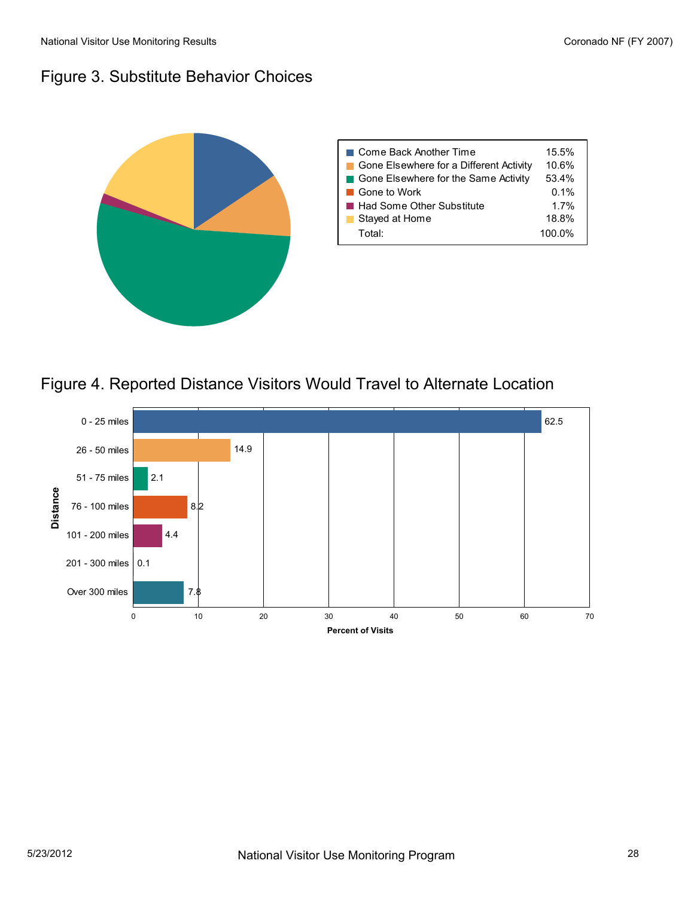# Figure 3. Substitute Behavior Choices





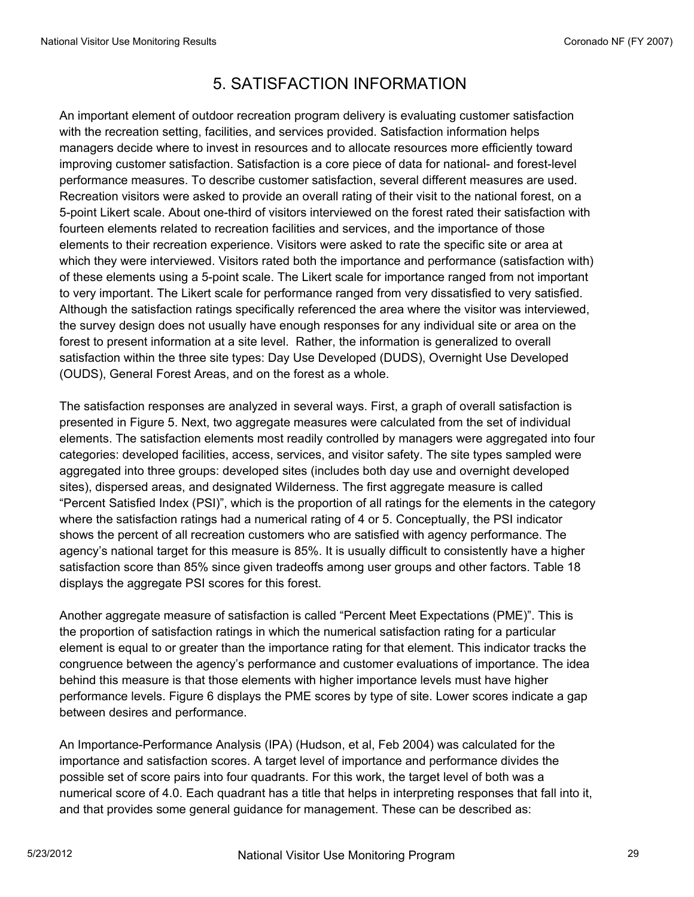# 5. SATISFACTION INFORMATION

An important element of outdoor recreation program delivery is evaluating customer satisfaction with the recreation setting, facilities, and services provided. Satisfaction information helps managers decide where to invest in resources and to allocate resources more efficiently toward improving customer satisfaction. Satisfaction is a core piece of data for national- and forest-level performance measures. To describe customer satisfaction, several different measures are used. Recreation visitors were asked to provide an overall rating of their visit to the national forest, on a 5-point Likert scale. About one-third of visitors interviewed on the forest rated their satisfaction with fourteen elements related to recreation facilities and services, and the importance of those elements to their recreation experience. Visitors were asked to rate the specific site or area at which they were interviewed. Visitors rated both the importance and performance (satisfaction with) of these elements using a 5-point scale. The Likert scale for importance ranged from not important to very important. The Likert scale for performance ranged from very dissatisfied to very satisfied. Although the satisfaction ratings specifically referenced the area where the visitor was interviewed, the survey design does not usually have enough responses for any individual site or area on the forest to present information at a site level. Rather, the information is generalized to overall satisfaction within the three site types: Day Use Developed (DUDS), Overnight Use Developed (OUDS), General Forest Areas, and on the forest as a whole.

The satisfaction responses are analyzed in several ways. First, a graph of overall satisfaction is presented in Figure 5. Next, two aggregate measures were calculated from the set of individual elements. The satisfaction elements most readily controlled by managers were aggregated into four categories: developed facilities, access, services, and visitor safety. The site types sampled were aggregated into three groups: developed sites (includes both day use and overnight developed sites), dispersed areas, and designated Wilderness. The first aggregate measure is called "Percent Satisfied Index (PSI)", which is the proportion of all ratings for the elements in the category where the satisfaction ratings had a numerical rating of 4 or 5. Conceptually, the PSI indicator shows the percent of all recreation customers who are satisfied with agency performance. The agency's national target for this measure is 85%. It is usually difficult to consistently have a higher satisfaction score than 85% since given tradeoffs among user groups and other factors. Table 18 displays the aggregate PSI scores for this forest.

Another aggregate measure of satisfaction is called "Percent Meet Expectations (PME)". This is the proportion of satisfaction ratings in which the numerical satisfaction rating for a particular element is equal to or greater than the importance rating for that element. This indicator tracks the congruence between the agency's performance and customer evaluations of importance. The idea behind this measure is that those elements with higher importance levels must have higher performance levels. Figure 6 displays the PME scores by type of site. Lower scores indicate a gap between desires and performance.

An Importance-Performance Analysis (IPA) (Hudson, et al, Feb 2004) was calculated for the importance and satisfaction scores. A target level of importance and performance divides the possible set of score pairs into four quadrants. For this work, the target level of both was a numerical score of 4.0. Each quadrant has a title that helps in interpreting responses that fall into it, and that provides some general guidance for management. These can be described as: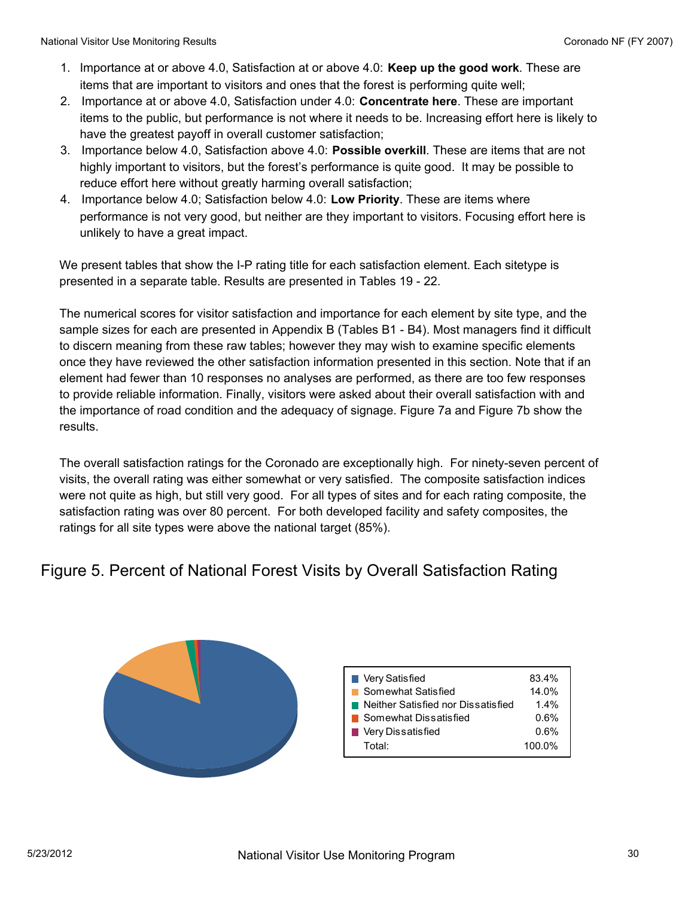- 1. Importance at or above 4.0, Satisfaction at or above 4.0: **Keep up the good work**. These are items that are important to visitors and ones that the forest is performing quite well;
- 2. Importance at or above 4.0, Satisfaction under 4.0: **Concentrate here**. These are important items to the public, but performance is not where it needs to be. Increasing effort here is likely to have the greatest payoff in overall customer satisfaction;
- 3. Importance below 4.0, Satisfaction above 4.0: **Possible overkill**. These are items that are not highly important to visitors, but the forest's performance is quite good. It may be possible to reduce effort here without greatly harming overall satisfaction;
- 4. Importance below 4.0; Satisfaction below 4.0: **Low Priority**. These are items where performance is not very good, but neither are they important to visitors. Focusing effort here is unlikely to have a great impact.

We present tables that show the I-P rating title for each satisfaction element. Each sitetype is presented in a separate table. Results are presented in Tables 19 - 22.

The numerical scores for visitor satisfaction and importance for each element by site type, and the sample sizes for each are presented in Appendix B (Tables B1 - B4). Most managers find it difficult to discern meaning from these raw tables; however they may wish to examine specific elements once they have reviewed the other satisfaction information presented in this section. Note that if an element had fewer than 10 responses no analyses are performed, as there are too few responses to provide reliable information. Finally, visitors were asked about their overall satisfaction with and the importance of road condition and the adequacy of signage. Figure 7a and Figure 7b show the results.

The overall satisfaction ratings for the Coronado are exceptionally high. For ninety-seven percent of visits, the overall rating was either somewhat or very satisfied. The composite satisfaction indices were not quite as high, but still very good. For all types of sites and for each rating composite, the satisfaction rating was over 80 percent. For both developed facility and safety composites, the ratings for all site types were above the national target (85%).

# Figure 5. Percent of National Forest Visits by Overall Satisfaction Rating

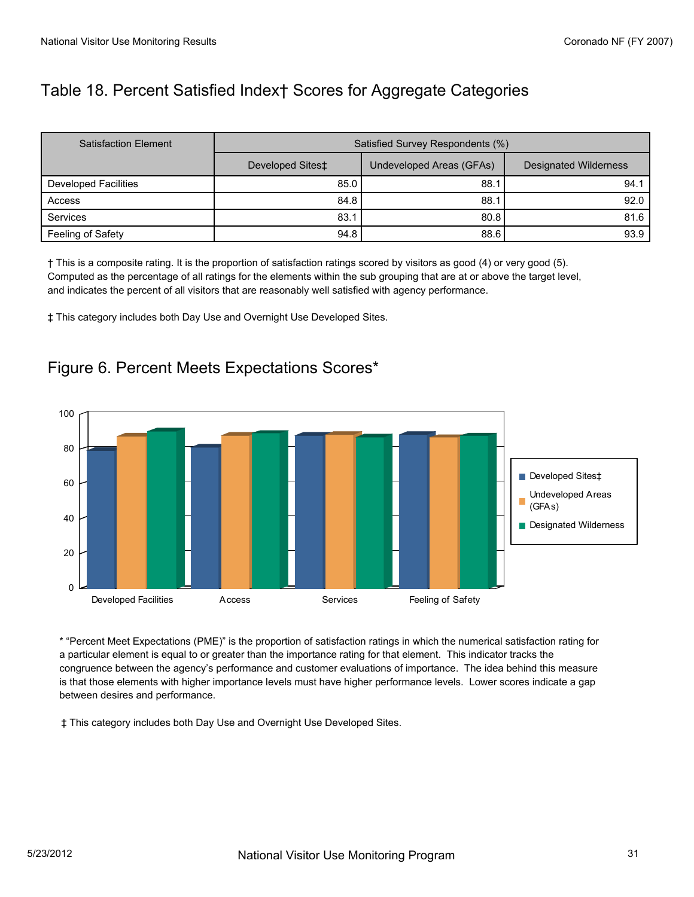# Table 18. Percent Satisfied Index† Scores for Aggregate Categories

| <b>Satisfaction Element</b> | Satisfied Survey Respondents (%) |                          |                              |
|-----------------------------|----------------------------------|--------------------------|------------------------------|
|                             | Developed Sites‡                 | Undeveloped Areas (GFAs) | <b>Designated Wilderness</b> |
| Developed Facilities        | 85.0                             | 88.1                     | 94.1                         |
| Access                      | 84.8                             | 88.1                     | 92.0                         |
| Services                    | 83.1                             | 80.8                     | 81.6                         |
| Feeling of Safety           | 94.8                             | 88.6                     | 93.9                         |

† This is a composite rating. It is the proportion of satisfaction ratings scored by visitors as good (4) or very good (5). Computed as the percentage of all ratings for the elements within the sub grouping that are at or above the target level, and indicates the percent of all visitors that are reasonably well satisfied with agency performance.

‡ This category includes both Day Use and Overnight Use Developed Sites.

#### Figure 6. Percent Meets Expectations Scores\*



\* "Percent Meet Expectations (PME)" is the proportion of satisfaction ratings in which the numerical satisfaction rating for a particular element is equal to or greater than the importance rating for that element. This indicator tracks the congruence between the agency's performance and customer evaluations of importance. The idea behind this measure is that those elements with higher importance levels must have higher performance levels. Lower scores indicate a gap between desires and performance.

‡ This category includes both Day Use and Overnight Use Developed Sites.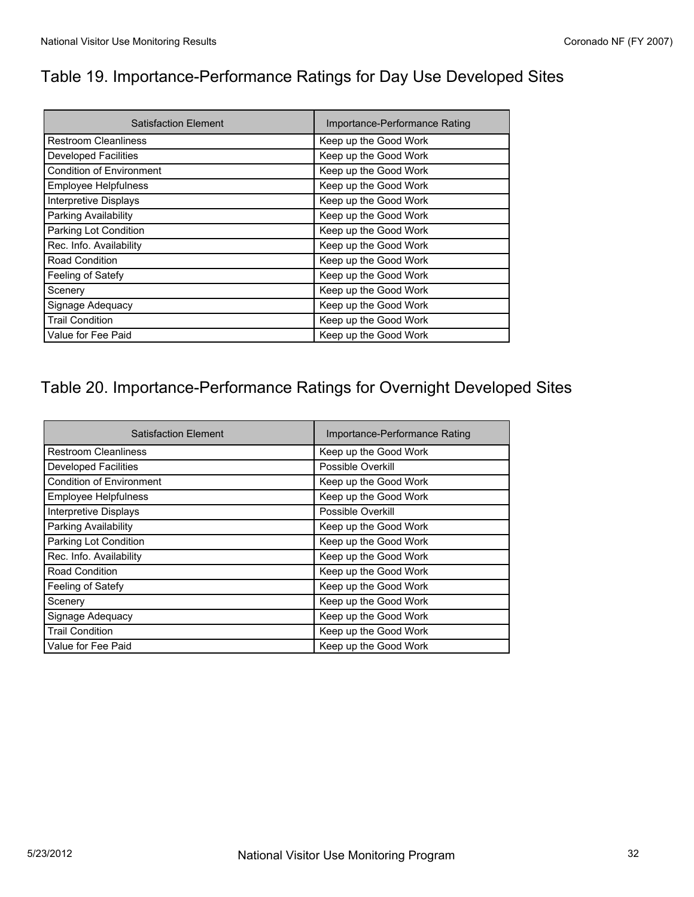L,

# Table 19. Importance-Performance Ratings for Day Use Developed Sites

| <b>Satisfaction Element</b>     | Importance-Performance Rating |
|---------------------------------|-------------------------------|
| <b>Restroom Cleanliness</b>     | Keep up the Good Work         |
| <b>Developed Facilities</b>     | Keep up the Good Work         |
| <b>Condition of Environment</b> | Keep up the Good Work         |
| Employee Helpfulness            | Keep up the Good Work         |
| Interpretive Displays           | Keep up the Good Work         |
| Parking Availability            | Keep up the Good Work         |
| Parking Lot Condition           | Keep up the Good Work         |
| Rec. Info. Availability         | Keep up the Good Work         |
| Road Condition                  | Keep up the Good Work         |
| Feeling of Satefy               | Keep up the Good Work         |
| Scenery                         | Keep up the Good Work         |
| Signage Adequacy                | Keep up the Good Work         |
| <b>Trail Condition</b>          | Keep up the Good Work         |
| Value for Fee Paid              | Keep up the Good Work         |

# Table 20. Importance-Performance Ratings for Overnight Developed Sites

| <b>Satisfaction Element</b>     | Importance-Performance Rating |
|---------------------------------|-------------------------------|
| <b>Restroom Cleanliness</b>     | Keep up the Good Work         |
| <b>Developed Facilities</b>     | Possible Overkill             |
| <b>Condition of Environment</b> | Keep up the Good Work         |
| <b>Employee Helpfulness</b>     | Keep up the Good Work         |
| <b>Interpretive Displays</b>    | Possible Overkill             |
| Parking Availability            | Keep up the Good Work         |
| Parking Lot Condition           | Keep up the Good Work         |
| Rec. Info. Availability         | Keep up the Good Work         |
| Road Condition                  | Keep up the Good Work         |
| Feeling of Satefy               | Keep up the Good Work         |
| Scenery                         | Keep up the Good Work         |
| Signage Adequacy                | Keep up the Good Work         |
| <b>Trail Condition</b>          | Keep up the Good Work         |
| Value for Fee Paid              | Keep up the Good Work         |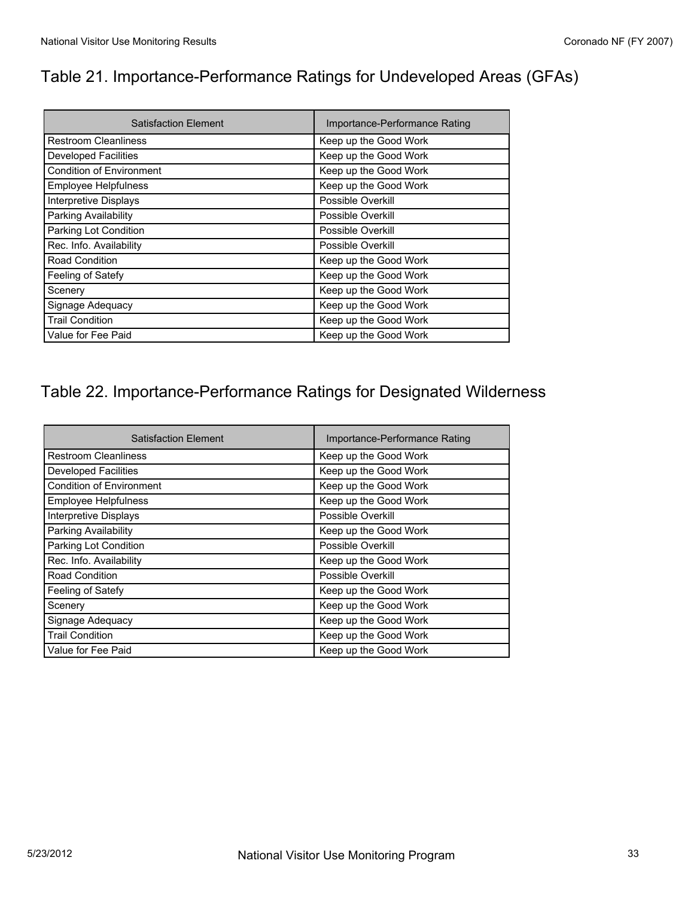# Table 21. Importance-Performance Ratings for Undeveloped Areas (GFAs)

| <b>Satisfaction Element</b>     | Importance-Performance Rating |
|---------------------------------|-------------------------------|
| <b>Restroom Cleanliness</b>     | Keep up the Good Work         |
| <b>Developed Facilities</b>     | Keep up the Good Work         |
| <b>Condition of Environment</b> | Keep up the Good Work         |
| Employee Helpfulness            | Keep up the Good Work         |
| Interpretive Displays           | Possible Overkill             |
| Parking Availability            | Possible Overkill             |
| Parking Lot Condition           | Possible Overkill             |
| Rec. Info. Availability         | Possible Overkill             |
| Road Condition                  | Keep up the Good Work         |
| Feeling of Satefy               | Keep up the Good Work         |
| Scenery                         | Keep up the Good Work         |
| Signage Adequacy                | Keep up the Good Work         |
| <b>Trail Condition</b>          | Keep up the Good Work         |
| Value for Fee Paid              | Keep up the Good Work         |

# Table 22. Importance-Performance Ratings for Designated Wilderness

| <b>Satisfaction Element</b>     | Importance-Performance Rating |
|---------------------------------|-------------------------------|
| <b>Restroom Cleanliness</b>     | Keep up the Good Work         |
| <b>Developed Facilities</b>     | Keep up the Good Work         |
| <b>Condition of Environment</b> | Keep up the Good Work         |
| Employee Helpfulness            | Keep up the Good Work         |
| Interpretive Displays           | Possible Overkill             |
| Parking Availability            | Keep up the Good Work         |
| Parking Lot Condition           | Possible Overkill             |
| Rec. Info. Availability         | Keep up the Good Work         |
| Road Condition                  | Possible Overkill             |
| Feeling of Satefy               | Keep up the Good Work         |
| Scenery                         | Keep up the Good Work         |
| Signage Adequacy                | Keep up the Good Work         |
| <b>Trail Condition</b>          | Keep up the Good Work         |
| Value for Fee Paid              | Keep up the Good Work         |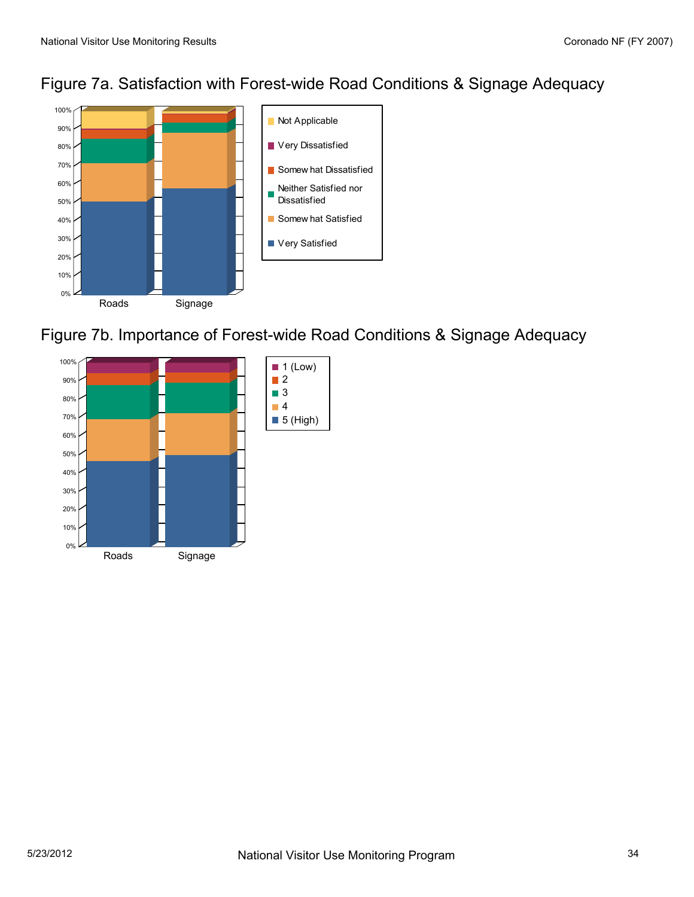



Figure 7b. Importance of Forest-wide Road Conditions & Signage Adequacy

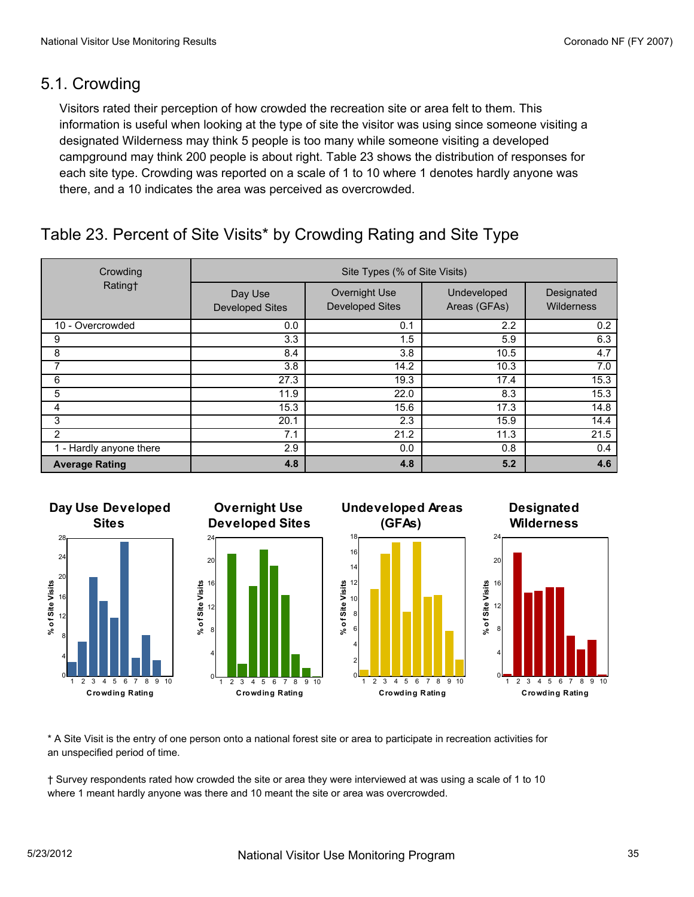### 5.1. Crowding

Visitors rated their perception of how crowded the recreation site or area felt to them. This information is useful when looking at the type of site the visitor was using since someone visiting a designated Wilderness may think 5 people is too many while someone visiting a developed campground may think 200 people is about right. Table 23 shows the distribution of responses for each site type. Crowding was reported on a scale of 1 to 10 where 1 denotes hardly anyone was there, and a 10 indicates the area was perceived as overcrowded.

# Table 23. Percent of Site Visits\* by Crowding Rating and Site Type

| Crowding              | Site Types (% of Site Visits)     |                                         |                             |                                 |
|-----------------------|-----------------------------------|-----------------------------------------|-----------------------------|---------------------------------|
| Rating†               | Day Use<br><b>Developed Sites</b> | Overnight Use<br><b>Developed Sites</b> | Undeveloped<br>Areas (GFAs) | Designated<br><b>Wilderness</b> |
| 10 - Overcrowded      | 0.0                               | 0.1                                     | 2.2                         | 0.2                             |
| 9                     | 3.3                               | 1.5                                     | 5.9                         | 6.3                             |
| 8                     | 8.4                               | 3.8                                     | 10.5                        | 4.7                             |
|                       | 3.8                               | 14.2                                    | 10.3                        | 7.0                             |
| 6                     | 27.3                              | 19.3                                    | 17.4                        | 15.3                            |
| 5                     | 11.9                              | 22.0                                    | 8.3                         | 15.3                            |
| 4                     | 15.3                              | 15.6                                    | 17.3                        | 14.8                            |
| 3                     | 20.1                              | 2.3                                     | 15.9                        | 14.4                            |
| $\overline{2}$        | 7.1                               | 21.2                                    | 11.3                        | 21.5                            |
| - Hardly anyone there | 2.9                               | 0.0                                     | 0.8                         | 0.4                             |
| <b>Average Rating</b> | 4.8                               | 4.8                                     | 5.2                         | 4.6                             |









**Designated**

**Crowding Rating**

\* A Site Visit is the entry of one person onto a national forest site or area to participate in recreation activities for an unspecified period of time.

† Survey respondents rated how crowded the site or area they were interviewed at was using a scale of 1 to 10 where 1 meant hardly anyone was there and 10 meant the site or area was overcrowded.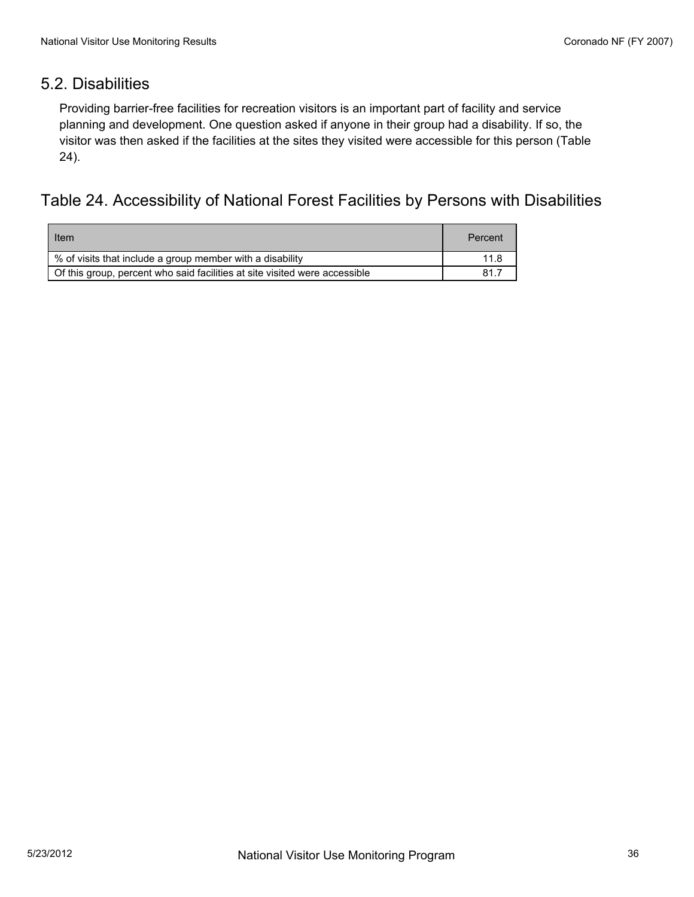### 5.2. Disabilities

Providing barrier-free facilities for recreation visitors is an important part of facility and service planning and development. One question asked if anyone in their group had a disability. If so, the visitor was then asked if the facilities at the sites they visited were accessible for this person (Table 24).

#### Table 24. Accessibility of National Forest Facilities by Persons with Disabilities

| Item                                                                       | Percent |
|----------------------------------------------------------------------------|---------|
| % of visits that include a group member with a disability                  | 11.8    |
| Of this group, percent who said facilities at site visited were accessible | 81.7    |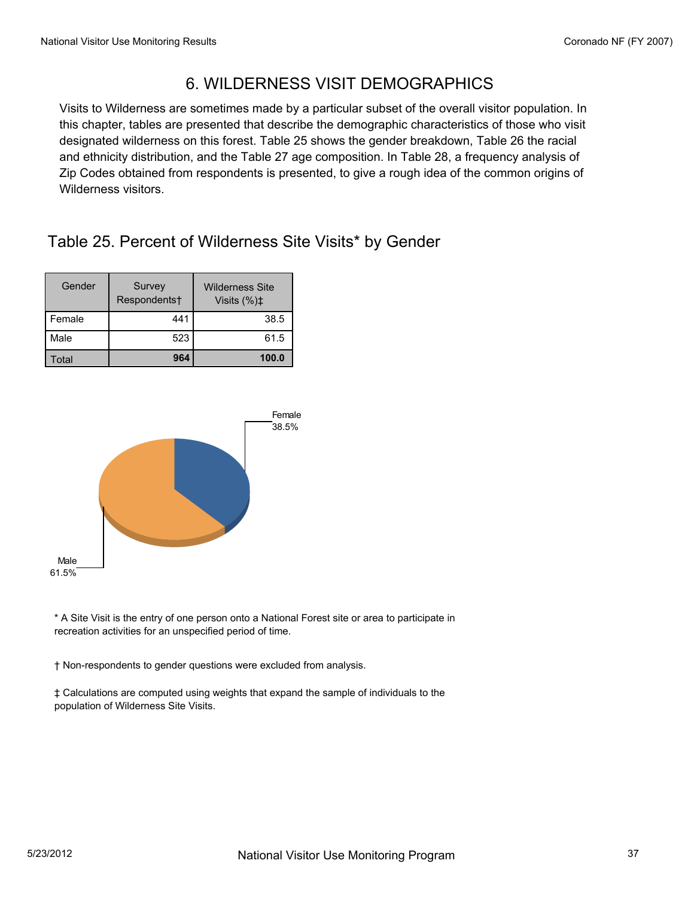# 6. WILDERNESS VISIT DEMOGRAPHICS

Visits to Wilderness are sometimes made by a particular subset of the overall visitor population. In this chapter, tables are presented that describe the demographic characteristics of those who visit designated wilderness on this forest. Table 25 shows the gender breakdown, Table 26 the racial and ethnicity distribution, and the Table 27 age composition. In Table 28, a frequency analysis of Zip Codes obtained from respondents is presented, to give a rough idea of the common origins of Wilderness visitors.

# Table 25. Percent of Wilderness Site Visits\* by Gender

| Gender | Survey<br>Respondents <sup>+</sup> | <b>Wilderness Site</b><br>Visits $(\%)\sharp$ |
|--------|------------------------------------|-----------------------------------------------|
| Female | 441                                | 38.5                                          |
| Male   | 523                                | 61.5                                          |
| otal   | 964                                | 100.0                                         |



\* A Site Visit is the entry of one person onto a National Forest site or area to participate in recreation activities for an unspecified period of time.

† Non-respondents to gender questions were excluded from analysis.

‡ Calculations are computed using weights that expand the sample of individuals to the population of Wilderness Site Visits.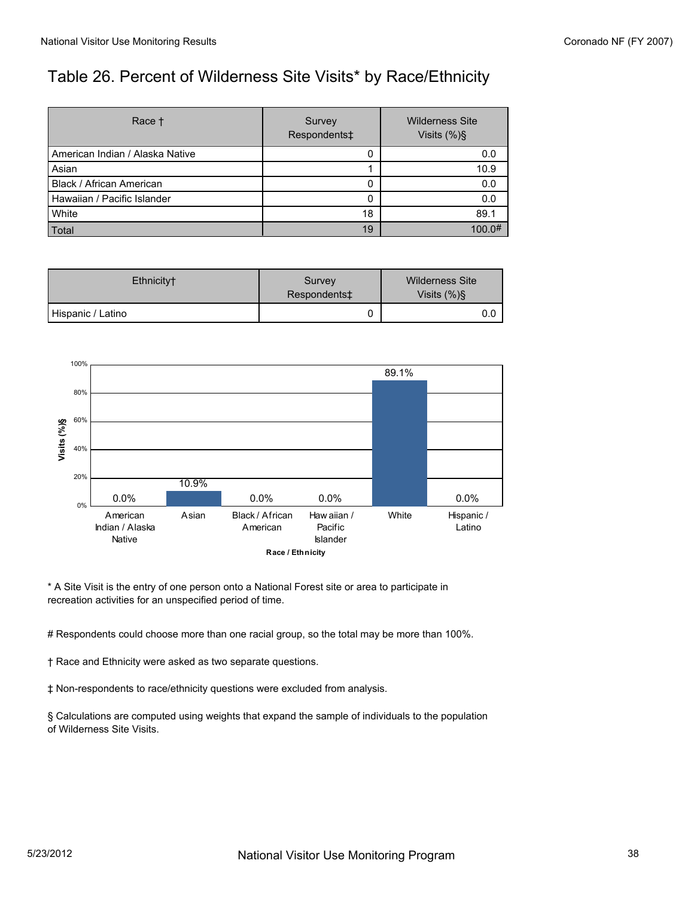# Table 26. Percent of Wilderness Site Visits\* by Race/Ethnicity

| Race <sup>+</sup>                 | Survey<br>Respondents‡ | <b>Wilderness Site</b><br>Visits $(\%)\$ |
|-----------------------------------|------------------------|------------------------------------------|
| l American Indian / Alaska Native | 0                      | 0.0                                      |
| Asian                             |                        | 10.9                                     |
| Black / African American          | 0                      | 0.0                                      |
| l Hawaiian / Pacific Islander     | Ω                      | 0.0                                      |
| White                             | 18                     | 89.1                                     |
| Total                             | 19                     | 100.0#                                   |

| Ethnicity <sup>+</sup> | Survey<br>Respondents‡ | <b>Wilderness Site</b><br>Visits $(\%)\$ |
|------------------------|------------------------|------------------------------------------|
| Hispanic / Latino      |                        | 0.0                                      |



\* A Site Visit is the entry of one person onto a National Forest site or area to participate in recreation activities for an unspecified period of time.

# Respondents could choose more than one racial group, so the total may be more than 100%.

† Race and Ethnicity were asked as two separate questions.

‡ Non-respondents to race/ethnicity questions were excluded from analysis.

§ Calculations are computed using weights that expand the sample of individuals to the population of Wilderness Site Visits.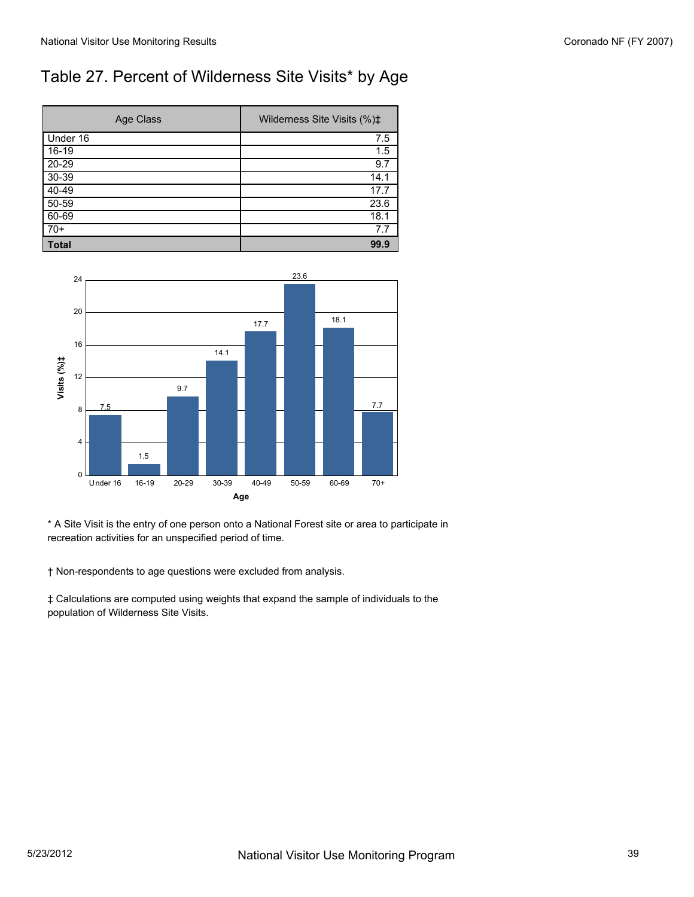# Table 27. Percent of Wilderness Site Visits\* by Age

| Age Class | Wilderness Site Visits (%)‡ |
|-----------|-----------------------------|
| Under 16  | 7.5                         |
| $16-19$   | 1.5                         |
| $20 - 29$ | 9.7                         |
| $30 - 39$ | 14.1                        |
| $40-49$   | 17.7                        |
| $50 - 59$ | 23.6                        |
| 60-69     | 18.1                        |
| $70+$     | 7.7                         |
| Total     | 99.9                        |



\* A Site Visit is the entry of one person onto a National Forest site or area to participate in recreation activities for an unspecified period of time.

† Non-respondents to age questions were excluded from analysis.

‡ Calculations are computed using weights that expand the sample of individuals to the population of Wilderness Site Visits.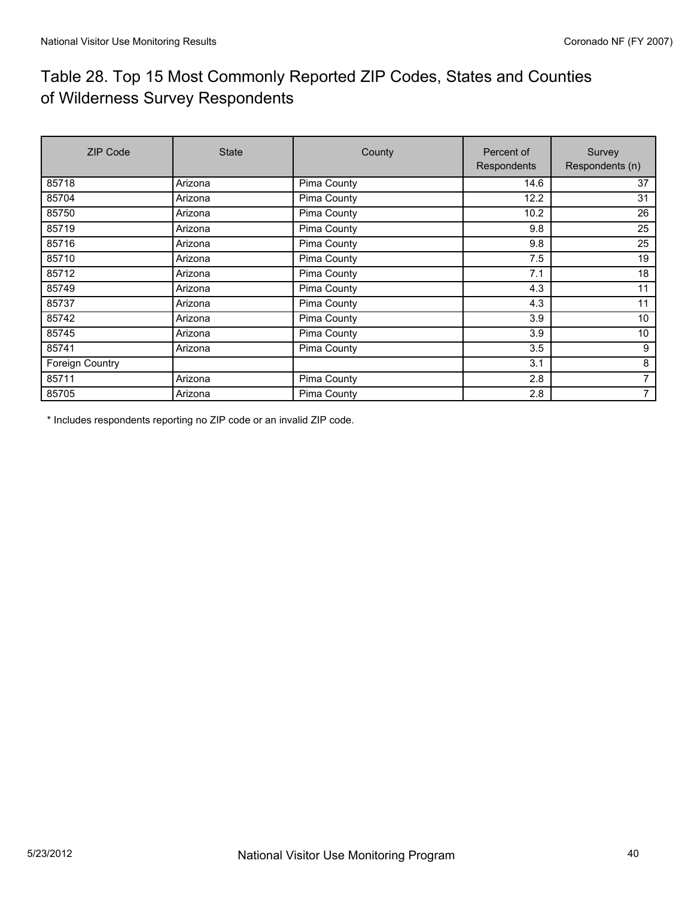# Table 28. Top 15 Most Commonly Reported ZIP Codes, States and Counties of Wilderness Survey Respondents

| <b>ZIP Code</b> | <b>State</b> | County      | Percent of<br>Respondents | Survey<br>Respondents (n) |
|-----------------|--------------|-------------|---------------------------|---------------------------|
| 85718           | Arizona      | Pima County | 14.6                      | 37                        |
| 85704           | Arizona      | Pima County | 12.2                      | 31                        |
| 85750           | Arizona      | Pima County | 10.2                      | 26                        |
| 85719           | Arizona      | Pima County | 9.8                       | 25                        |
| 85716           | Arizona      | Pima County | 9.8                       | 25                        |
| 85710           | Arizona      | Pima County | 7.5                       | 19                        |
| 85712           | Arizona      | Pima County | 7.1                       | 18                        |
| 85749           | Arizona      | Pima County | 4.3                       | 11                        |
| 85737           | Arizona      | Pima County | 4.3                       | 11                        |
| 85742           | Arizona      | Pima County | 3.9                       | 10                        |
| 85745           | Arizona      | Pima County | 3.9                       | 10                        |
| 85741           | Arizona      | Pima County | 3.5                       | 9                         |
| Foreign Country |              |             | 3.1                       | 8                         |
| 85711           | Arizona      | Pima County | 2.8                       | 7                         |
| 85705           | Arizona      | Pima County | 2.8                       | 7                         |

\* Includes respondents reporting no ZIP code or an invalid ZIP code.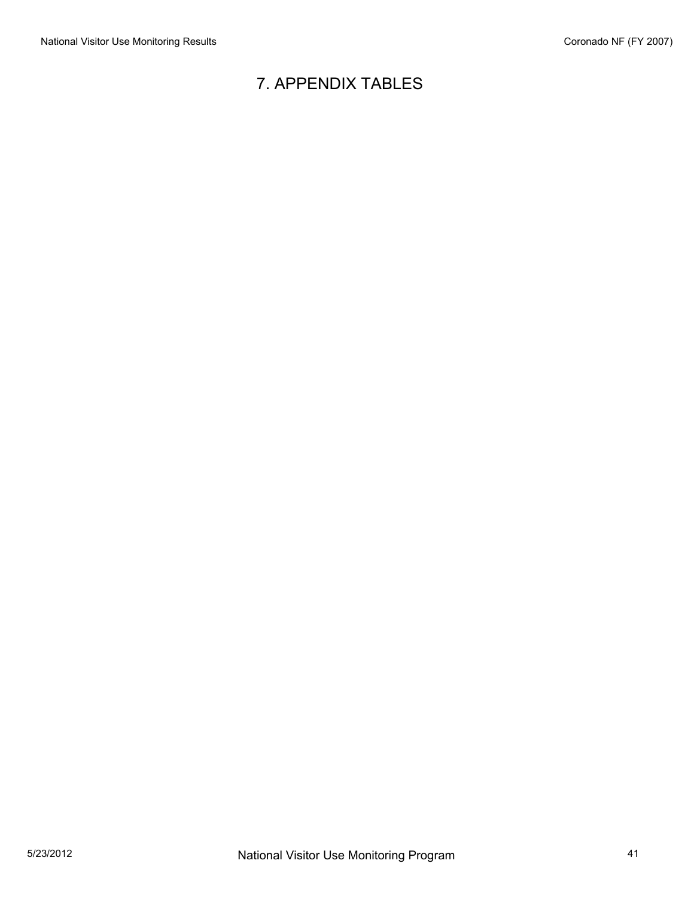# 7. APPENDIX TABLES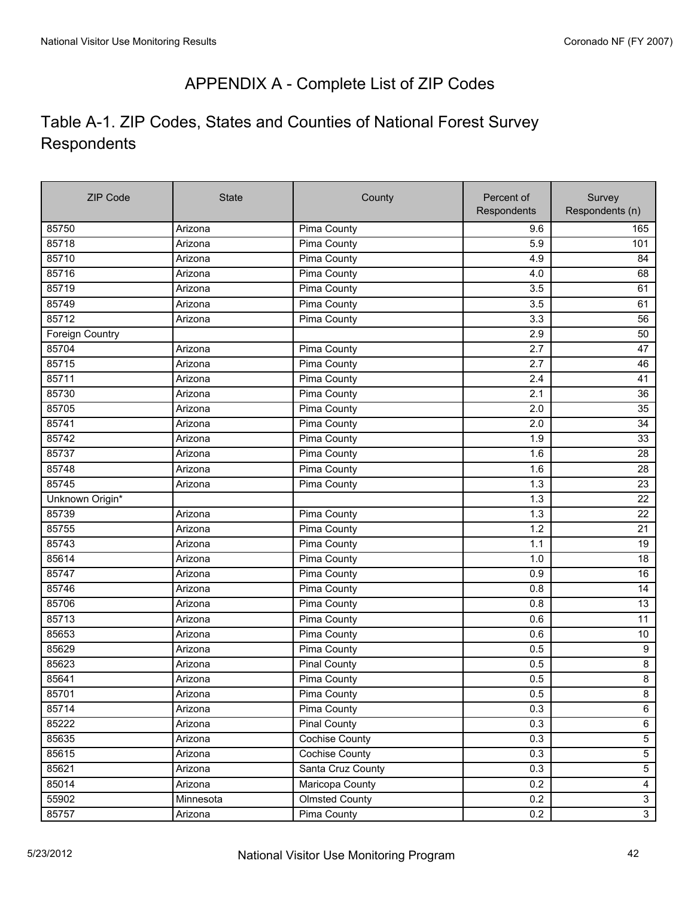# APPENDIX A - Complete List of ZIP Codes

# Table A-1. ZIP Codes, States and Counties of National Forest Survey Respondents

| <b>ZIP Code</b> | <b>State</b> | County                | Percent of  | Survey           |
|-----------------|--------------|-----------------------|-------------|------------------|
|                 |              |                       | Respondents | Respondents (n)  |
| 85750           | Arizona      | Pima County           | 9.6         | 165              |
| 85718           | Arizona      | <b>Pima County</b>    | 5.9         | 101              |
| 85710           | Arizona      | Pima County           | 4.9         | 84               |
| 85716           | Arizona      | Pima County           | 4.0         | 68               |
| 85719           | Arizona      | Pima County           | 3.5         | 61               |
| 85749           | Arizona      | Pima County           | 3.5         | 61               |
| 85712           | Arizona      | Pima County           | 3.3         | 56               |
| Foreign Country |              |                       | 2.9         | 50               |
| 85704           | Arizona      | Pima County           | 2.7         | 47               |
| 85715           | Arizona      | Pima County           | 2.7         | 46               |
| 85711           | Arizona      | Pima County           | 2.4         | 41               |
| 85730           | Arizona      | Pima County           | 2.1         | 36               |
| 85705           | Arizona      | Pima County           | 2.0         | 35               |
| 85741           | Arizona      | Pima County           | 2.0         | 34               |
| 85742           | Arizona      | Pima County           | 1.9         | 33               |
| 85737           | Arizona      | Pima County           | 1.6         | 28               |
| 85748           | Arizona      | <b>Pima County</b>    | 1.6         | 28               |
| 85745           | Arizona      | Pima County           | 1.3         | 23               |
| Unknown Origin* |              |                       | 1.3         | 22               |
| 85739           | Arizona      | Pima County           | 1.3         | $\overline{22}$  |
| 85755           | Arizona      | Pima County           | 1.2         | 21               |
| 85743           | Arizona      | Pima County           | 1.1         | 19               |
| 85614           | Arizona      | Pima County           | 1.0         | 18               |
| 85747           | Arizona      | Pima County           | 0.9         | 16               |
| 85746           | Arizona      | Pima County           | 0.8         | 14               |
| 85706           | Arizona      | Pima County           | 0.8         | 13               |
| 85713           | Arizona      | Pima County           | 0.6         | 11               |
| 85653           | Arizona      | Pima County           | 0.6         | $10$             |
| 85629           | Arizona      | Pima County           | 0.5         | $\boldsymbol{9}$ |
| 85623           | Arizona      | <b>Pinal County</b>   | 0.5         | $\bf 8$          |
| 85641           | Arizona      | Pima County           | 0.5         | $\bf 8$          |
| 85701           | Arizona      | <b>Pima County</b>    | 0.5         | $\overline{8}$   |
| 85714           | Arizona      | Pima County           | 0.3         | 6                |
| 85222           | Arizona      | <b>Pinal County</b>   | 0.3         | $\,6\,$          |
| 85635           | Arizona      | <b>Cochise County</b> | 0.3         | $\sqrt{5}$       |
| 85615           | Arizona      | Cochise County        | 0.3         | $\sqrt{5}$       |
| 85621           | Arizona      | Santa Cruz County     | 0.3         | $\overline{5}$   |
| 85014           | Arizona      | Maricopa County       | 0.2         | $\overline{4}$   |
| 55902           | Minnesota    | <b>Olmsted County</b> | 0.2         | $\mathbf{3}$     |
| 85757           | Arizona      | Pima County           | 0.2         | $\overline{3}$   |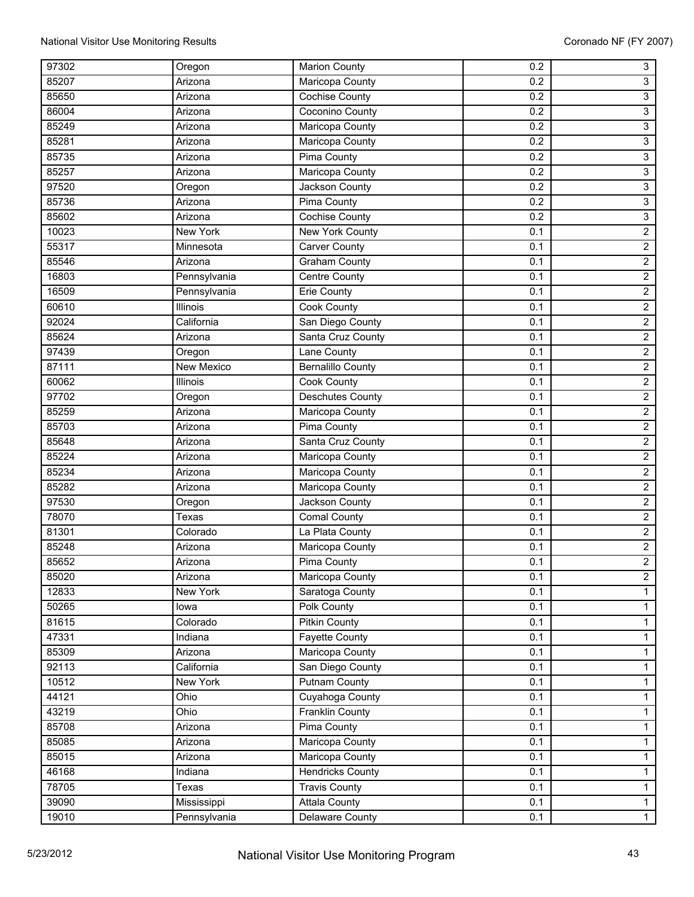| 97302 | Oregon            | <b>Marion County</b>     | 0.2 | $\overline{3}$          |
|-------|-------------------|--------------------------|-----|-------------------------|
| 85207 | Arizona           | Maricopa County          | 0.2 | $\overline{3}$          |
| 85650 | Arizona           | <b>Cochise County</b>    | 0.2 | $\overline{3}$          |
| 86004 | Arizona           | Coconino County          | 0.2 | 3                       |
| 85249 | Arizona           | Maricopa County          | 0.2 | $\mathbf{3}$            |
| 85281 | Arizona           | Maricopa County          | 0.2 | $\overline{3}$          |
| 85735 | Arizona           | <b>Pima County</b>       | 0.2 | 3                       |
| 85257 | Arizona           | Maricopa County          | 0.2 | 3                       |
| 97520 | Oregon            | Jackson County           | 0.2 | $\overline{3}$          |
| 85736 | Arizona           | <b>Pima County</b>       | 0.2 | $\overline{3}$          |
| 85602 | Arizona           | <b>Cochise County</b>    | 0.2 | $\overline{3}$          |
| 10023 | <b>New York</b>   | <b>New York County</b>   | 0.1 | $\overline{2}$          |
| 55317 | Minnesota         | <b>Carver County</b>     | 0.1 | $\overline{2}$          |
| 85546 | Arizona           | <b>Graham County</b>     | 0.1 | $\overline{2}$          |
| 16803 | Pennsylvania      | Centre County            | 0.1 | $\overline{2}$          |
| 16509 | Pennsylvania      | Erie County              | 0.1 | $\overline{2}$          |
| 60610 | Illinois          | <b>Cook County</b>       | 0.1 | $\overline{2}$          |
| 92024 | California        | San Diego County         | 0.1 | $\overline{2}$          |
| 85624 | Arizona           | Santa Cruz County        | 0.1 | $\overline{\mathbf{c}}$ |
| 97439 | Oregon            | Lane County              | 0.1 | $\overline{2}$          |
| 87111 | <b>New Mexico</b> | <b>Bernalillo County</b> | 0.1 | $\overline{2}$          |
| 60062 | Illinois          | <b>Cook County</b>       | 0.1 | $\overline{2}$          |
| 97702 | Oregon            | <b>Deschutes County</b>  | 0.1 | $\overline{2}$          |
| 85259 | Arizona           | Maricopa County          | 0.1 | $\overline{c}$          |
| 85703 | Arizona           | Pima County              | 0.1 | $\overline{2}$          |
| 85648 | Arizona           | Santa Cruz County        | 0.1 | $\overline{2}$          |
| 85224 | Arizona           | Maricopa County          | 0.1 | $\overline{2}$          |
| 85234 | Arizona           | Maricopa County          | 0.1 | $\overline{2}$          |
| 85282 | Arizona           | Maricopa County          | 0.1 | $\overline{2}$          |
| 97530 | Oregon            | Jackson County           | 0.1 | $\overline{2}$          |
| 78070 | Texas             | Comal County             | 0.1 | $\overline{2}$          |
| 81301 | Colorado          | La Plata County          | 0.1 | $\overline{2}$          |
| 85248 | Arizona           | Maricopa County          | 0.1 | $\overline{2}$          |
| 85652 | Arizona           | <b>Pima County</b>       | 0.1 | $\overline{2}$          |
| 85020 | Arizona           | Maricopa County          | 0.1 | $\overline{2}$          |
| 12833 | New York          | Saratoga County          | 0.1 | $\mathbf{1}$            |
| 50265 | lowa              | Polk County              | 0.1 | 1                       |
| 81615 | Colorado          | <b>Pitkin County</b>     | 0.1 | $\mathbf{1}$            |
| 47331 | Indiana           | Fayette County           | 0.1 | $\mathbf{1}$            |
| 85309 | Arizona           | Maricopa County          | 0.1 | $\mathbf{1}$            |
| 92113 | California        | San Diego County         | 0.1 | $\mathbf{1}$            |
| 10512 | New York          | <b>Putnam County</b>     | 0.1 | $\mathbf{1}$            |
| 44121 | Ohio              | Cuyahoga County          | 0.1 | 1                       |
| 43219 | Ohio              | Franklin County          | 0.1 | $\mathbf{1}$            |
| 85708 | Arizona           | <b>Pima County</b>       | 0.1 | $\mathbf{1}$            |
| 85085 | Arizona           | Maricopa County          | 0.1 | $\mathbf{1}$            |
| 85015 | Arizona           | Maricopa County          | 0.1 | $\mathbf{1}$            |
| 46168 | Indiana           | <b>Hendricks County</b>  | 0.1 | $\mathbf{1}$            |
| 78705 | Texas             | <b>Travis County</b>     | 0.1 | 1                       |
| 39090 | Mississippi       | <b>Attala County</b>     | 0.1 | 1                       |
| 19010 | Pennsylvania      | Delaware County          | 0.1 | $\overline{1}$          |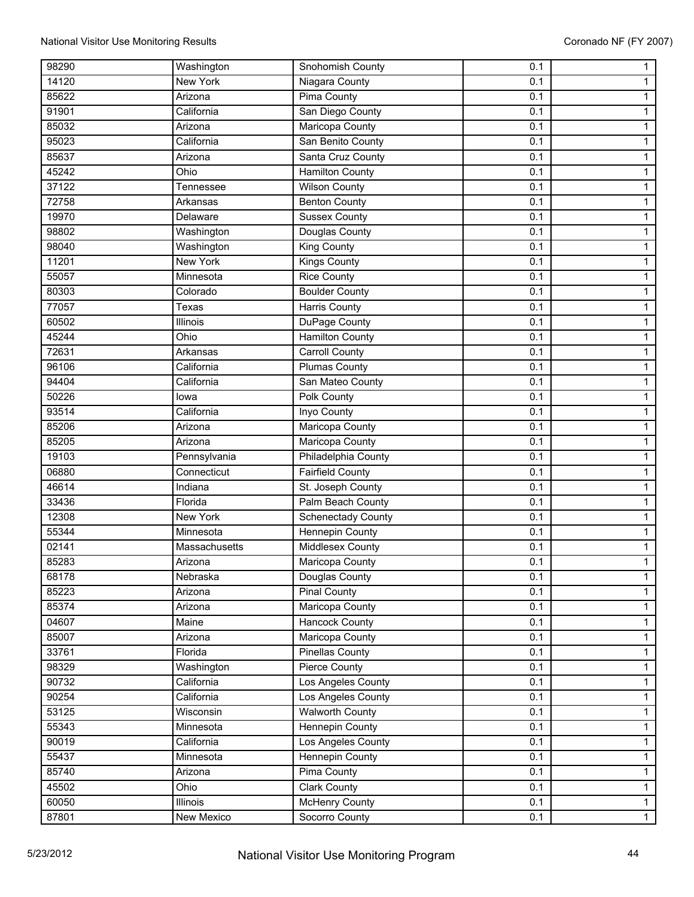| 98290 | Washington      | Snohomish County          | 0.1 | 1              |
|-------|-----------------|---------------------------|-----|----------------|
| 14120 | New York        | Niagara County            | 0.1 | 1              |
| 85622 | Arizona         | Pima County               | 0.1 | $\mathbf{1}$   |
| 91901 | California      | San Diego County          | 0.1 | 1              |
| 85032 | Arizona         | Maricopa County           | 0.1 | 1              |
| 95023 | California      | San Benito County         | 0.1 | 1              |
| 85637 | Arizona         | Santa Cruz County         | 0.1 | 1              |
| 45242 | Ohio            | <b>Hamilton County</b>    | 0.1 | $\mathbf{1}$   |
| 37122 | Tennessee       | <b>Wilson County</b>      | 0.1 | 1              |
| 72758 | Arkansas        | <b>Benton County</b>      | 0.1 | $\mathbf{1}$   |
| 19970 | Delaware        | <b>Sussex County</b>      | 0.1 | $\mathbf{1}$   |
| 98802 | Washington      | Douglas County            | 0.1 | 1              |
| 98040 | Washington      | King County               | 0.1 | 1              |
| 11201 | New York        | Kings County              | 0.1 | 1              |
| 55057 | Minnesota       | <b>Rice County</b>        | 0.1 | $\mathbf{1}$   |
| 80303 | Colorado        | <b>Boulder County</b>     | 0.1 | 1              |
| 77057 | Texas           | Harris County             | 0.1 | $\mathbf{1}$   |
| 60502 | Illinois        | DuPage County             | 0.1 | $\mathbf{1}$   |
| 45244 | Ohio            | <b>Hamilton County</b>    | 0.1 | $\mathbf{1}$   |
| 72631 | Arkansas        | <b>Carroll County</b>     | 0.1 | 1              |
| 96106 | California      | <b>Plumas County</b>      | 0.1 | 1              |
| 94404 | California      | San Mateo County          | 0.1 | $\mathbf{1}$   |
| 50226 | lowa            | Polk County               | 0.1 | $\mathbf{1}$   |
| 93514 | California      | Inyo County               | 0.1 | 1              |
| 85206 | Arizona         | Maricopa County           | 0.1 | $\mathbf{1}$   |
| 85205 | Arizona         | Maricopa County           | 0.1 | $\mathbf{1}$   |
| 19103 | Pennsylvania    | Philadelphia County       | 0.1 | $\mathbf{1}$   |
| 06880 | Connecticut     | <b>Fairfield County</b>   | 0.1 | $\mathbf{1}$   |
| 46614 | Indiana         | St. Joseph County         | 0.1 | 1              |
| 33436 | Florida         | Palm Beach County         | 0.1 | $\mathbf{1}$   |
| 12308 | <b>New York</b> | <b>Schenectady County</b> | 0.1 | 1              |
| 55344 | Minnesota       | <b>Hennepin County</b>    | 0.1 | $\mathbf{1}$   |
| 02141 | Massachusetts   | <b>Middlesex County</b>   | 0.1 | 1              |
| 85283 | Arizona         | Maricopa County           | 0.1 | $\mathbf{1}$   |
| 68178 | Nebraska        | Douglas County            | 0.1 | 1              |
| 85223 | Arizona         | <b>Pinal County</b>       | 0.1 | 1              |
| 85374 | Arizona         | Maricopa County           | 0.1 | $\mathbf{1}$   |
| 04607 | Maine           | Hancock County            | 0.1 | $\mathbf{1}$   |
| 85007 | Arizona         | Maricopa County           | 0.1 | $\mathbf{1}$   |
| 33761 | Florida         | <b>Pinellas County</b>    | 0.1 | $\mathbf{1}$   |
| 98329 | Washington      | Pierce County             | 0.1 | $\mathbf{1}$   |
| 90732 | California      | Los Angeles County        | 0.1 | $\mathbf{1}$   |
| 90254 | California      | Los Angeles County        | 0.1 | $\mathbf{1}$   |
| 53125 | Wisconsin       | <b>Walworth County</b>    | 0.1 | $\mathbf{1}$   |
| 55343 | Minnesota       | <b>Hennepin County</b>    | 0.1 | 1              |
| 90019 | California      | Los Angeles County        | 0.1 | $\mathbf{1}$   |
| 55437 | Minnesota       | Hennepin County           | 0.1 | $\mathbf{1}$   |
| 85740 | Arizona         | Pima County               | 0.1 | $\mathbf{1}$   |
| 45502 | Ohio            | <b>Clark County</b>       | 0.1 | $\mathbf{1}$   |
| 60050 | Illinois        | <b>McHenry County</b>     | 0.1 | $\mathbf{1}$   |
| 87801 | New Mexico      | Socorro County            | 0.1 | $\overline{1}$ |
|       |                 |                           |     |                |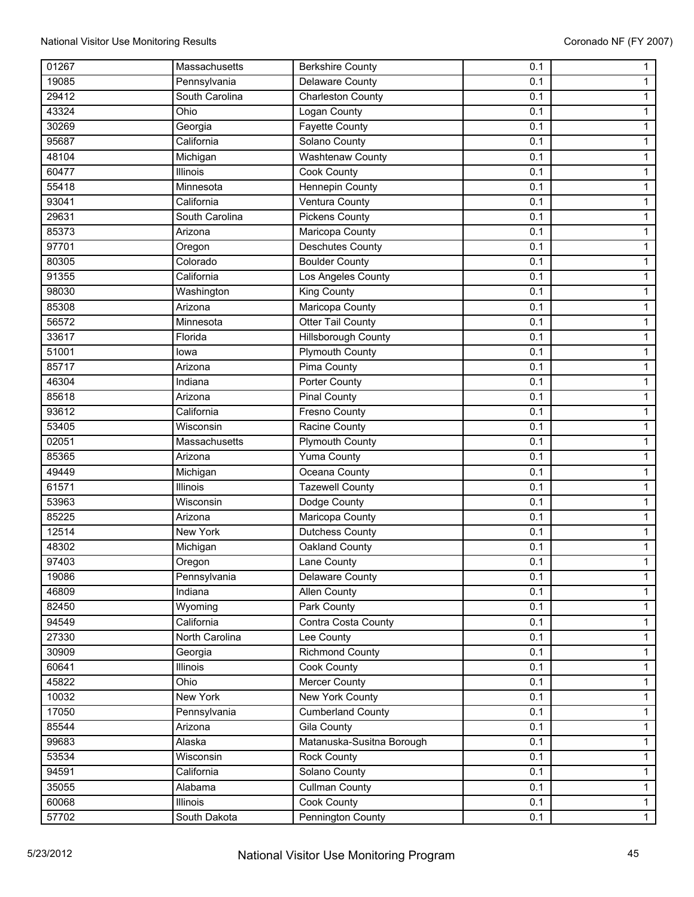| 01267 | Massachusetts  | <b>Berkshire County</b>    | 0.1 | $\mathbf{1}$   |
|-------|----------------|----------------------------|-----|----------------|
| 19085 | Pennsylvania   | Delaware County            | 0.1 | $\mathbf{1}$   |
| 29412 | South Carolina | <b>Charleston County</b>   | 0.1 | $\mathbf{1}$   |
| 43324 | Ohio           | Logan County               | 0.1 | $\mathbf{1}$   |
| 30269 | Georgia        | <b>Fayette County</b>      | 0.1 | $\mathbf{1}$   |
| 95687 | California     | Solano County              | 0.1 | $\mathbf 1$    |
| 48104 | Michigan       | <b>Washtenaw County</b>    | 0.1 | $\mathbf{1}$   |
| 60477 | Illinois       | Cook County                | 0.1 | $\mathbf{1}$   |
| 55418 | Minnesota      | <b>Hennepin County</b>     | 0.1 | 1              |
| 93041 | California     | Ventura County             | 0.1 | $\mathbf{1}$   |
| 29631 | South Carolina | <b>Pickens County</b>      | 0.1 | $\mathbf{1}$   |
| 85373 | Arizona        | Maricopa County            | 0.1 | $\mathbf{1}$   |
| 97701 | Oregon         | <b>Deschutes County</b>    | 0.1 | $\mathbf{1}$   |
| 80305 | Colorado       | <b>Boulder County</b>      | 0.1 | 1              |
| 91355 | California     | Los Angeles County         | 0.1 | $\mathbf{1}$   |
| 98030 | Washington     | <b>King County</b>         | 0.1 | $\mathbf{1}$   |
| 85308 | Arizona        | Maricopa County            | 0.1 | $\mathbf{1}$   |
| 56572 | Minnesota      | <b>Otter Tail County</b>   | 0.1 | $\mathbf{1}$   |
| 33617 | Florida        | <b>Hillsborough County</b> | 0.1 | $\mathbf{1}$   |
| 51001 | lowa           | <b>Plymouth County</b>     | 0.1 | $\mathbf{1}$   |
| 85717 | Arizona        | <b>Pima County</b>         | 0.1 | $\mathbf{1}$   |
| 46304 | Indiana        | <b>Porter County</b>       | 0.1 | $\mathbf{1}$   |
| 85618 | Arizona        | <b>Pinal County</b>        | 0.1 | $\mathbf{1}$   |
| 93612 | California     | <b>Fresno County</b>       | 0.1 | $\mathbf{1}$   |
| 53405 | Wisconsin      | Racine County              | 0.1 | $\mathbf{1}$   |
| 02051 | Massachusetts  | <b>Plymouth County</b>     | 0.1 | $\mathbf{1}$   |
| 85365 | Arizona        | <b>Yuma County</b>         | 0.1 | $\mathbf{1}$   |
| 49449 | Michigan       | Oceana County              | 0.1 | $\mathbf{1}$   |
| 61571 | Illinois       | <b>Tazewell County</b>     | 0.1 | $\mathbf{1}$   |
| 53963 | Wisconsin      | Dodge County               | 0.1 | $\mathbf{1}$   |
| 85225 | Arizona        | <b>Maricopa County</b>     | 0.1 | $\mathbf{1}$   |
| 12514 | New York       | Dutchess County            | 0.1 | $\mathbf{1}$   |
| 48302 | Michigan       | Oakland County             | 0.1 | 1              |
| 97403 | Oregon         | Lane County                | 0.1 | $\mathbf{1}$   |
| 19086 | Pennsylvania   | Delaware County            | 0.1 | $\mathbf{1}$   |
| 46809 | Indiana        | Allen County               | 0.1 | $\mathbf{1}$   |
| 82450 | Wyoming        | Park County                | 0.1 | $\mathbf{1}$   |
| 94549 | California     | Contra Costa County        | 0.1 | $\mathbf 1$    |
| 27330 | North Carolina | Lee County                 | 0.1 | $\mathbf{1}$   |
| 30909 | Georgia        | <b>Richmond County</b>     | 0.1 | $\mathbf{1}$   |
| 60641 | Illinois       | Cook County                | 0.1 | $\mathbf{1}$   |
| 45822 | Ohio           | <b>Mercer County</b>       | 0.1 | $\mathbf{1}$   |
| 10032 | New York       | <b>New York County</b>     | 0.1 | $\mathbf{1}$   |
| 17050 | Pennsylvania   | <b>Cumberland County</b>   | 0.1 | $\mathbf{1}$   |
| 85544 | Arizona        | Gila County                | 0.1 | $\mathbf{1}$   |
| 99683 | Alaska         | Matanuska-Susitna Borough  | 0.1 | $\mathbf{1}$   |
| 53534 | Wisconsin      | <b>Rock County</b>         | 0.1 | $\mathbf{1}$   |
| 94591 | California     | Solano County              | 0.1 | $\mathbf{1}$   |
| 35055 | Alabama        | <b>Cullman County</b>      | 0.1 | $\mathbf{1}$   |
| 60068 | Illinois       | Cook County                | 0.1 | $\mathbf{1}$   |
| 57702 | South Dakota   | Pennington County          | 0.1 | $\overline{1}$ |
|       |                |                            |     |                |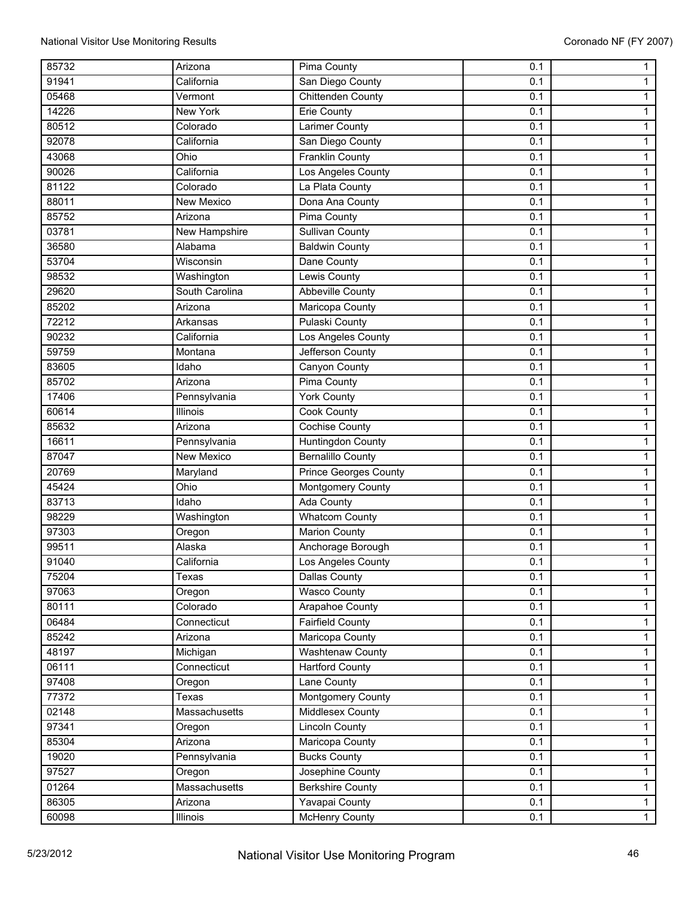| 85732 | Arizona           | Pima County              | 0.1 | 1              |
|-------|-------------------|--------------------------|-----|----------------|
| 91941 | California        | San Diego County         | 0.1 | 1              |
| 05468 | Vermont           | <b>Chittenden County</b> | 0.1 | $\mathbf{1}$   |
| 14226 | <b>New York</b>   | <b>Erie County</b>       | 0.1 | $\mathbf 1$    |
| 80512 | Colorado          | Larimer County           | 0.1 | 1              |
| 92078 | California        | San Diego County         | 0.1 | 1              |
| 43068 | Ohio              | <b>Franklin County</b>   | 0.1 | $\mathbf{1}$   |
| 90026 | California        | Los Angeles County       | 0.1 | $\mathbf{1}$   |
| 81122 | Colorado          | La Plata County          | 0.1 | 1              |
| 88011 | New Mexico        | Dona Ana County          | 0.1 | $\mathbf{1}$   |
| 85752 | Arizona           | Pima County              | 0.1 | 1              |
| 03781 | New Hampshire     | <b>Sullivan County</b>   | 0.1 |                |
| 36580 | Alabama           | <b>Baldwin County</b>    | 0.1 | $\mathbf{1}$   |
|       |                   |                          |     | 1              |
| 53704 | Wisconsin         | Dane County              | 0.1 | 1              |
| 98532 | Washington        | Lewis County             | 0.1 | 1              |
| 29620 | South Carolina    | Abbeville County         | 0.1 | 1              |
| 85202 | Arizona           | Maricopa County          | 0.1 | $\mathbf{1}$   |
| 72212 | Arkansas          | <b>Pulaski County</b>    | 0.1 | 1              |
| 90232 | California        | Los Angeles County       | 0.1 | $\mathbf{1}$   |
| 59759 | Montana           | Jefferson County         | 0.1 | $\mathbf{1}$   |
| 83605 | Idaho             | Canyon County            | 0.1 | 1              |
| 85702 | Arizona           | <b>Pima County</b>       | 0.1 | 1              |
| 17406 | Pennsylvania      | <b>York County</b>       | 0.1 | 1              |
| 60614 | Illinois          | Cook County              | 0.1 | $\mathbf{1}$   |
| 85632 | Arizona           | <b>Cochise County</b>    | 0.1 | 1              |
| 16611 | Pennsylvania      | Huntingdon County        | 0.1 | $\mathbf{1}$   |
| 87047 | <b>New Mexico</b> | <b>Bernalillo County</b> | 0.1 | $\mathbf{1}$   |
| 20769 | Maryland          | Prince Georges County    | 0.1 | 1              |
| 45424 | Ohio              | Montgomery County        | 0.1 | $\mathbf{1}$   |
| 83713 | Idaho             | <b>Ada County</b>        | 0.1 | 1              |
| 98229 | Washington        | <b>Whatcom County</b>    | 0.1 | $\mathbf{1}$   |
| 97303 | Oregon            | <b>Marion County</b>     | 0.1 | $\mathbf{1}$   |
| 99511 | Alaska            | Anchorage Borough        | 0.1 | 1              |
| 91040 | California        | Los Angeles County       | 0.1 | $\mathbf{1}$   |
| 75204 | Texas             | <b>Dallas County</b>     | 0.1 | $\mathbf{1}$   |
| 97063 | Oregon            | <b>Wasco County</b>      | 0.1 | $\mathbf{1}$   |
| 80111 | Colorado          | Arapahoe County          | 0.1 | $\mathbf{1}$   |
| 06484 | Connecticut       | <b>Fairfield County</b>  | 0.1 | $\mathbf 1$    |
| 85242 | Arizona           | Maricopa County          | 0.1 | $\mathbf{1}$   |
| 48197 | Michigan          | Washtenaw County         | 0.1 | $\mathbf{1}$   |
| 06111 | Connecticut       | <b>Hartford County</b>   | 0.1 | $\mathbf{1}$   |
| 97408 | Oregon            | <b>Lane County</b>       | 0.1 | $\mathbf{1}$   |
| 77372 | Texas             | <b>Montgomery County</b> | 0.1 | $\mathbf{1}$   |
| 02148 | Massachusetts     | Middlesex County         | 0.1 | $\mathbf{1}$   |
| 97341 | Oregon            | <b>Lincoln County</b>    | 0.1 | 1              |
| 85304 | Arizona           | Maricopa County          | 0.1 | $\mathbf{1}$   |
| 19020 | Pennsylvania      | <b>Bucks County</b>      | 0.1 | $\mathbf{1}$   |
| 97527 | Oregon            | Josephine County         | 0.1 | $\mathbf{1}$   |
| 01264 | Massachusetts     | <b>Berkshire County</b>  | 0.1 | $\mathbf{1}$   |
| 86305 | Arizona           | Yavapai County           | 0.1 | $\mathbf{1}$   |
| 60098 | Illinois          | <b>McHenry County</b>    | 0.1 | $\overline{1}$ |
|       |                   |                          |     |                |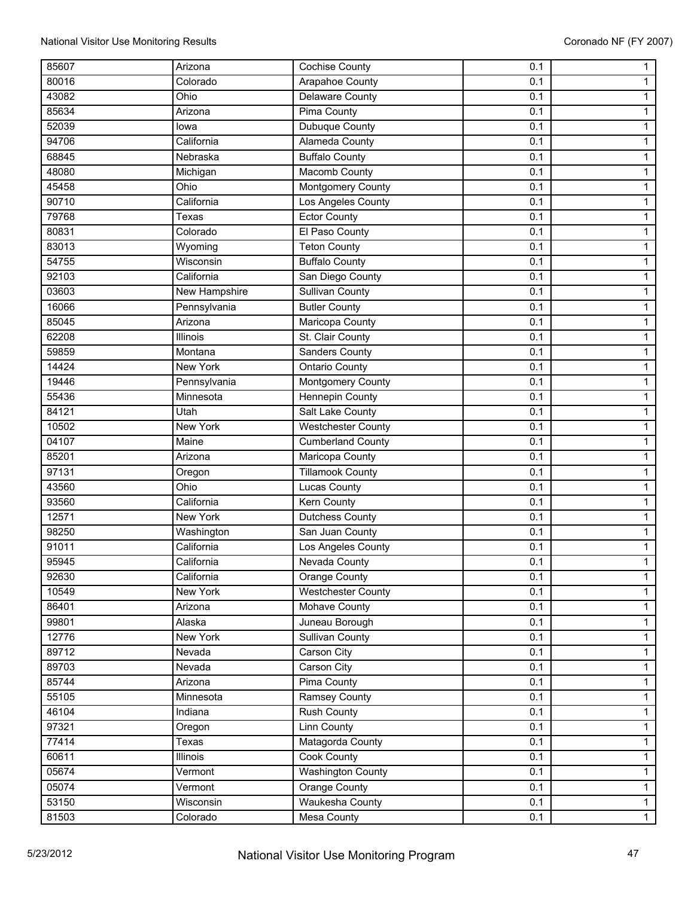| 85607 | Arizona         | <b>Cochise County</b>     | 0.1 | $\mathbf{1}$   |
|-------|-----------------|---------------------------|-----|----------------|
| 80016 | Colorado        | Arapahoe County           | 0.1 | 1              |
| 43082 | Ohio            | <b>Delaware County</b>    | 0.1 | $\mathbf{1}$   |
| 85634 | Arizona         | <b>Pima County</b>        | 0.1 | $\mathbf{1}$   |
| 52039 | lowa            | Dubuque County            | 0.1 | $\mathbf{1}$   |
| 94706 | California      | Alameda County            | 0.1 | $\mathbf{1}$   |
| 68845 | Nebraska        | <b>Buffalo County</b>     | 0.1 | 1              |
| 48080 | Michigan        | Macomb County             | 0.1 | $\mathbf{1}$   |
| 45458 | Ohio            | <b>Montgomery County</b>  | 0.1 | $\mathbf{1}$   |
| 90710 | California      | Los Angeles County        | 0.1 | $\mathbf{1}$   |
| 79768 | Texas           | <b>Ector County</b>       | 0.1 | $\mathbf{1}$   |
| 80831 | Colorado        | El Paso County            | 0.1 | $\mathbf{1}$   |
| 83013 | Wyoming         | <b>Teton County</b>       | 0.1 | $\mathbf{1}$   |
| 54755 | Wisconsin       | <b>Buffalo County</b>     | 0.1 | 1              |
| 92103 | California      | San Diego County          | 0.1 | $\mathbf{1}$   |
| 03603 | New Hampshire   | <b>Sullivan County</b>    | 0.1 | $\mathbf{1}$   |
| 16066 | Pennsylvania    | <b>Butler County</b>      | 0.1 | $\mathbf{1}$   |
| 85045 | Arizona         | Maricopa County           | 0.1 | $\mathbf{1}$   |
| 62208 | Illinois        | St. Clair County          | 0.1 | 1              |
| 59859 | Montana         | Sanders County            | 0.1 | $\mathbf{1}$   |
| 14424 | <b>New York</b> | <b>Ontario County</b>     | 0.1 | $\mathbf{1}$   |
| 19446 | Pennsylvania    | Montgomery County         | 0.1 | $\mathbf{1}$   |
| 55436 | Minnesota       | Hennepin County           | 0.1 | $\mathbf{1}$   |
| 84121 | Utah            | Salt Lake County          | 0.1 | $\mathbf{1}$   |
| 10502 | <b>New York</b> | <b>Westchester County</b> | 0.1 | $\mathbf{1}$   |
| 04107 | Maine           | <b>Cumberland County</b>  | 0.1 | 1              |
| 85201 | Arizona         | Maricopa County           | 0.1 | $\mathbf{1}$   |
| 97131 | Oregon          | <b>Tillamook County</b>   | 0.1 | 1              |
| 43560 | Ohio            | <b>Lucas County</b>       | 0.1 | $\mathbf{1}$   |
| 93560 | California      | <b>Kern County</b>        | 0.1 | $\mathbf{1}$   |
| 12571 | New York        | <b>Dutchess County</b>    | 0.1 | $\mathbf{1}$   |
| 98250 | Washington      | San Juan County           | 0.1 | $\mathbf{1}$   |
| 91011 | California      | Los Angeles County        | 0.1 | 1              |
| 95945 | California      | Nevada County             | 0.1 | $\mathbf{1}$   |
| 92630 | California      | Orange County             | 0.1 | $\mathbf{1}$   |
| 10549 | New York        | <b>Westchester County</b> | 0.1 | $\mathbf{1}$   |
| 86401 | Arizona         | Mohave County             | 0.1 | $\mathbf{1}$   |
| 99801 | Alaska          | Juneau Borough            | 0.1 | $\mathbf 1$    |
| 12776 | New York        | <b>Sullivan County</b>    | 0.1 | $\mathbf{1}$   |
| 89712 | Nevada          | Carson City               | 0.1 | $\mathbf{1}$   |
| 89703 | Nevada          | Carson City               | 0.1 | $\mathbf{1}$   |
| 85744 | Arizona         | Pima County               | 0.1 | $\mathbf{1}$   |
| 55105 | Minnesota       | <b>Ramsey County</b>      | 0.1 | $\mathbf{1}$   |
|       |                 |                           |     |                |
| 46104 | Indiana         | Rush County               | 0.1 | $\mathbf{1}$   |
| 97321 | Oregon          | <b>Linn County</b>        | 0.1 | $\mathbf{1}$   |
| 77414 | Texas           | Matagorda County          | 0.1 | $\mathbf{1}$   |
| 60611 | Illinois        | Cook County               | 0.1 | $\mathbf{1}$   |
| 05674 | Vermont         | <b>Washington County</b>  | 0.1 | $\mathbf{1}$   |
| 05074 | Vermont         | Orange County             | 0.1 | $\mathbf{1}$   |
| 53150 | Wisconsin       | Waukesha County           | 0.1 | $\mathbf{1}$   |
| 81503 | Colorado        | Mesa County               | 0.1 | $\overline{1}$ |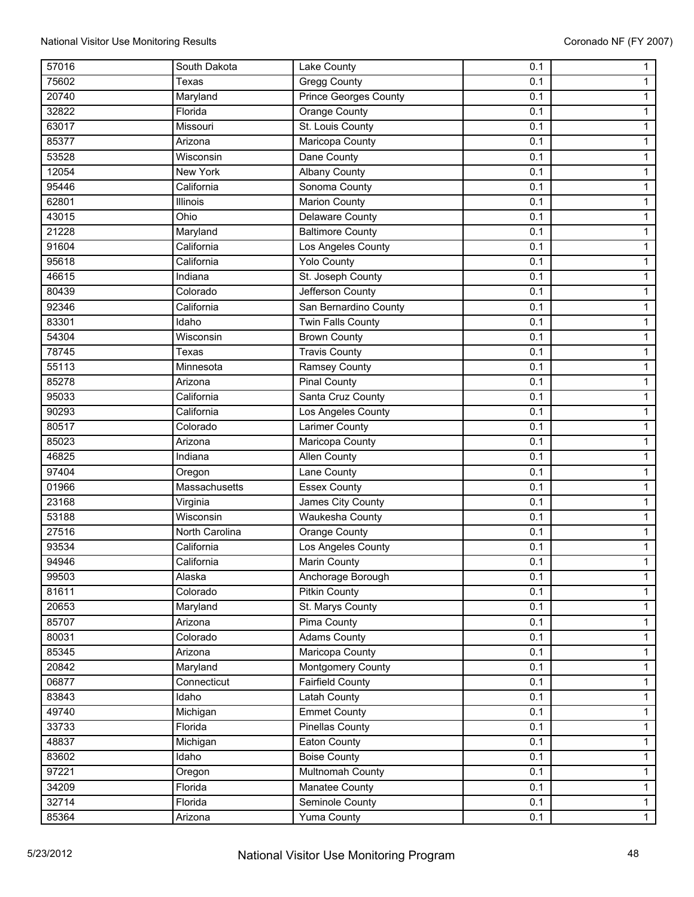| 57016 | South Dakota   | Lake County                  | 0.1 | $\mathbf{1}$   |
|-------|----------------|------------------------------|-----|----------------|
| 75602 | Texas          | <b>Gregg County</b>          | 0.1 | 1              |
| 20740 | Maryland       | <b>Prince Georges County</b> | 0.1 | $\mathbf{1}$   |
| 32822 | Florida        | <b>Orange County</b>         | 0.1 | $\mathbf{1}$   |
| 63017 | Missouri       | St. Louis County             | 0.1 | $\mathbf{1}$   |
| 85377 | Arizona        | Maricopa County              | 0.1 | $\mathbf{1}$   |
| 53528 | Wisconsin      | Dane County                  | 0.1 | 1              |
| 12054 | New York       | <b>Albany County</b>         | 0.1 | $\mathbf{1}$   |
| 95446 | California     | Sonoma County                | 0.1 | $\mathbf{1}$   |
| 62801 | Illinois       | <b>Marion County</b>         | 0.1 | $\mathbf{1}$   |
| 43015 | Ohio           | Delaware County              | 0.1 | $\mathbf{1}$   |
| 21228 | Maryland       | <b>Baltimore County</b>      | 0.1 | $\mathbf{1}$   |
| 91604 | California     | Los Angeles County           | 0.1 | $\mathbf{1}$   |
| 95618 | California     | <b>Yolo County</b>           | 0.1 | 1              |
| 46615 | Indiana        | St. Joseph County            | 0.1 | $\mathbf{1}$   |
| 80439 | Colorado       | Jefferson County             | 0.1 | $\mathbf{1}$   |
| 92346 | California     | San Bernardino County        | 0.1 | $\mathbf{1}$   |
| 83301 | Idaho          | <b>Twin Falls County</b>     | 0.1 | $\mathbf{1}$   |
| 54304 | Wisconsin      | <b>Brown County</b>          | 0.1 | 1              |
| 78745 | Texas          | <b>Travis County</b>         | 0.1 | $\mathbf{1}$   |
| 55113 | Minnesota      | <b>Ramsey County</b>         | 0.1 | $\mathbf{1}$   |
| 85278 | Arizona        | <b>Pinal County</b>          | 0.1 | $\mathbf{1}$   |
| 95033 | California     | Santa Cruz County            | 0.1 | $\mathbf{1}$   |
| 90293 | California     | Los Angeles County           | 0.1 | $\mathbf{1}$   |
| 80517 | Colorado       | Larimer County               | 0.1 | $\mathbf{1}$   |
| 85023 | Arizona        | Maricopa County              | 0.1 | 1              |
| 46825 | Indiana        | <b>Allen County</b>          | 0.1 | $\mathbf{1}$   |
| 97404 | Oregon         | <b>Lane County</b>           | 0.1 | 1              |
| 01966 | Massachusetts  | <b>Essex County</b>          | 0.1 | $\mathbf{1}$   |
| 23168 | Virginia       | James City County            | 0.1 | $\mathbf{1}$   |
| 53188 | Wisconsin      | <b>Waukesha County</b>       | 0.1 | $\mathbf{1}$   |
| 27516 | North Carolina | Orange County                | 0.1 | $\mathbf{1}$   |
| 93534 | California     | Los Angeles County           | 0.1 | 1              |
| 94946 | California     | Marin County                 | 0.1 | $\mathbf{1}$   |
| 99503 | Alaska         | Anchorage Borough            | 0.1 | $\mathbf{1}$   |
| 81611 | Colorado       | <b>Pitkin County</b>         | 0.1 | $\mathbf{1}$   |
| 20653 | Maryland       | St. Marys County             | 0.1 | $\mathbf{1}$   |
| 85707 | Arizona        | Pima County                  | 0.1 | $\mathbf 1$    |
| 80031 | Colorado       | <b>Adams County</b>          | 0.1 | $\mathbf{1}$   |
| 85345 | Arizona        | Maricopa County              | 0.1 | $\mathbf{1}$   |
| 20842 | Maryland       | Montgomery County            | 0.1 | $\mathbf{1}$   |
| 06877 | Connecticut    | <b>Fairfield County</b>      | 0.1 | $\mathbf{1}$   |
| 83843 | Idaho          | Latah County                 | 0.1 | $\mathbf{1}$   |
| 49740 | Michigan       | <b>Emmet County</b>          | 0.1 | $\mathbf{1}$   |
| 33733 | Florida        | <b>Pinellas County</b>       | 0.1 | $\mathbf{1}$   |
| 48837 | Michigan       | Eaton County                 | 0.1 | $\mathbf{1}$   |
| 83602 | Idaho          | <b>Boise County</b>          | 0.1 | $\mathbf{1}$   |
| 97221 | Oregon         | Multnomah County             | 0.1 | $\mathbf{1}$   |
| 34209 | Florida        | Manatee County               | 0.1 | $\mathbf{1}$   |
| 32714 | Florida        | Seminole County              | 0.1 | $\mathbf{1}$   |
| 85364 | Arizona        | <b>Yuma County</b>           | 0.1 | $\overline{1}$ |
|       |                |                              |     |                |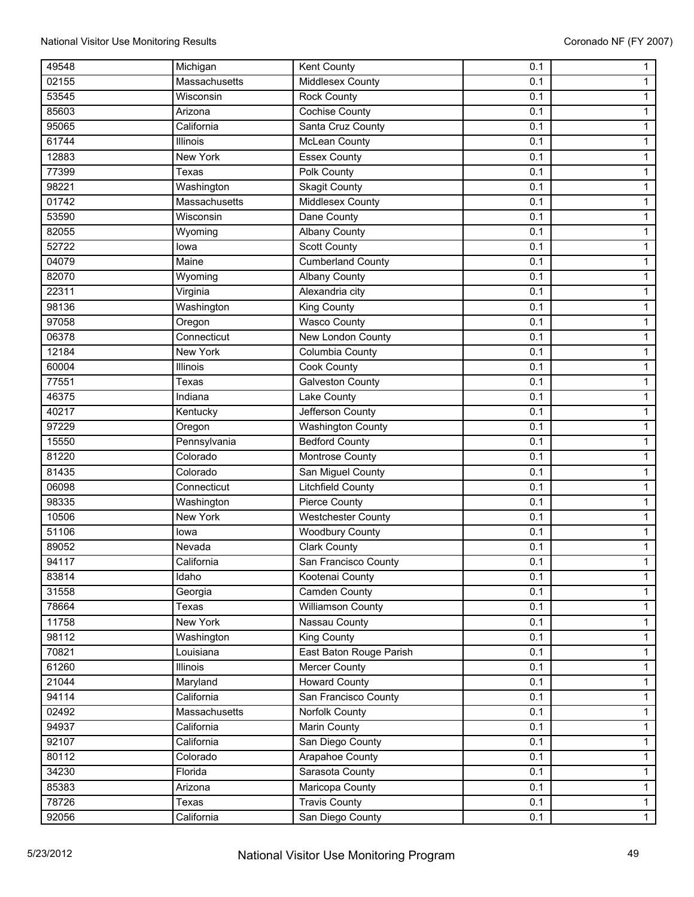| 49548 | Michigan        | <b>Kent County</b>        | 0.1 | 1            |
|-------|-----------------|---------------------------|-----|--------------|
| 02155 | Massachusetts   | Middlesex County          | 0.1 | 1            |
| 53545 | Wisconsin       | <b>Rock County</b>        | 0.1 | $\mathbf{1}$ |
| 85603 | Arizona         | Cochise County            | 0.1 | $\mathbf 1$  |
| 95065 | California      | Santa Cruz County         | 0.1 | 1            |
| 61744 | Illinois        | McLean County             | 0.1 | 1            |
| 12883 | <b>New York</b> | <b>Essex County</b>       | 0.1 | $\mathbf{1}$ |
| 77399 | Texas           | Polk County               | 0.1 | $\mathbf{1}$ |
| 98221 | Washington      | <b>Skagit County</b>      | 0.1 | 1            |
| 01742 | Massachusetts   | <b>Middlesex County</b>   | 0.1 | $\mathbf{1}$ |
| 53590 | Wisconsin       | Dane County               | 0.1 | 1            |
| 82055 | Wyoming         | <b>Albany County</b>      | 0.1 | $\mathbf{1}$ |
| 52722 | lowa            | <b>Scott County</b>       | 0.1 | 1            |
| 04079 | Maine           | <b>Cumberland County</b>  | 0.1 | 1            |
| 82070 | Wyoming         | <b>Albany County</b>      | 0.1 | 1            |
| 22311 | Virginia        | Alexandria city           | 0.1 | 1            |
| 98136 | Washington      | King County               | 0.1 | $\mathbf{1}$ |
| 97058 | Oregon          | <b>Wasco County</b>       | 0.1 | 1            |
| 06378 | Connecticut     | New London County         | 0.1 | $\mathbf{1}$ |
| 12184 | <b>New York</b> | Columbia County           | 0.1 | $\mathbf{1}$ |
| 60004 | Illinois        | <b>Cook County</b>        | 0.1 | 1            |
| 77551 | Texas           | <b>Galveston County</b>   | 0.1 | 1            |
| 46375 | Indiana         | Lake County               | 0.1 | 1            |
| 40217 | Kentucky        | Jefferson County          | 0.1 | $\mathbf{1}$ |
| 97229 | Oregon          | <b>Washington County</b>  | 0.1 | 1            |
| 15550 | Pennsylvania    | <b>Bedford County</b>     | 0.1 | $\mathbf{1}$ |
| 81220 | Colorado        | Montrose County           | 0.1 | $\mathbf{1}$ |
| 81435 | Colorado        | San Miguel County         | 0.1 | $\mathbf 1$  |
| 06098 | Connecticut     | <b>Litchfield County</b>  | 0.1 | $\mathbf{1}$ |
| 98335 | Washington      | Pierce County             | 0.1 | 1            |
| 10506 | <b>New York</b> | <b>Westchester County</b> | 0.1 | $\mathbf{1}$ |
| 51106 | lowa            | <b>Woodbury County</b>    | 0.1 | $\mathbf{1}$ |
| 89052 | Nevada          | <b>Clark County</b>       | 0.1 | 1            |
| 94117 | California      | San Francisco County      | 0.1 | $\mathbf{1}$ |
| 83814 | Idaho           | Kootenai County           | 0.1 | $\mathbf{1}$ |
| 31558 | Georgia         | <b>Camden County</b>      | 0.1 | $\mathbf{1}$ |
| 78664 | Texas           | <b>Williamson County</b>  | 0.1 | $\mathbf{1}$ |
| 11758 | <b>New York</b> | Nassau County             | 0.1 | $\mathbf 1$  |
| 98112 | Washington      | King County               | 0.1 | $\mathbf{1}$ |
| 70821 | Louisiana       | East Baton Rouge Parish   | 0.1 | $\mathbf{1}$ |
| 61260 | Illinois        | Mercer County             | 0.1 | $\mathbf{1}$ |
| 21044 | Maryland        | <b>Howard County</b>      | 0.1 | $\mathbf{1}$ |
| 94114 | California      | San Francisco County      | 0.1 | $\mathbf{1}$ |
| 02492 | Massachusetts   | Norfolk County            | 0.1 | $\mathbf{1}$ |
| 94937 | California      | <b>Marin County</b>       | 0.1 | 1            |
| 92107 | California      | San Diego County          | 0.1 | $\mathbf{1}$ |
| 80112 | Colorado        | Arapahoe County           | 0.1 | $\mathbf{1}$ |
| 34230 | Florida         | Sarasota County           | 0.1 | $\mathbf{1}$ |
| 85383 | Arizona         | Maricopa County           | 0.1 | $\mathbf{1}$ |
| 78726 | Texas           | <b>Travis County</b>      | 0.1 | $\mathbf{1}$ |
| 92056 | California      | San Diego County          | 0.1 | $\mathbf{1}$ |
|       |                 |                           |     |              |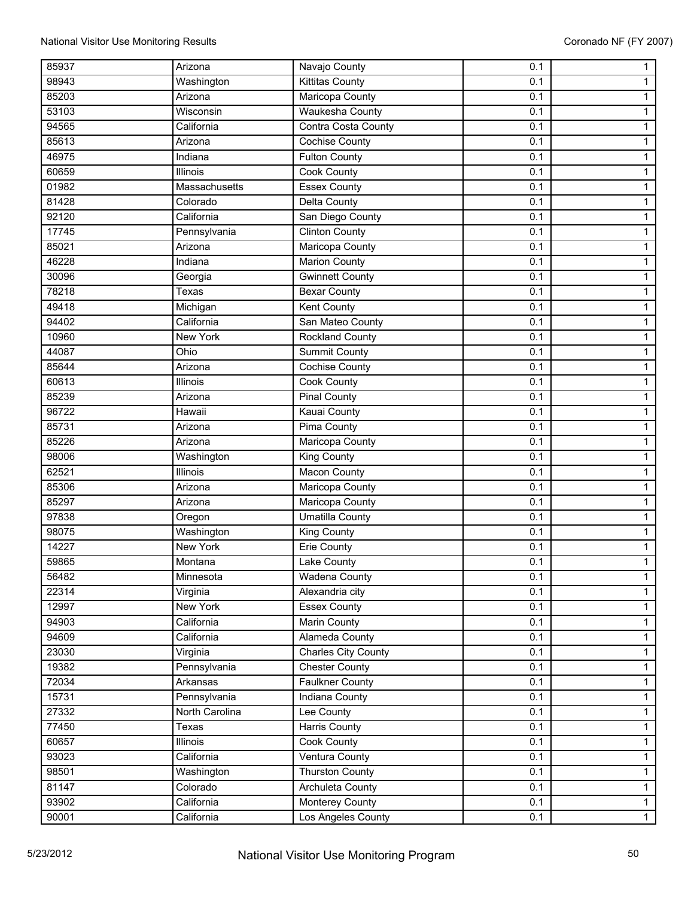| 85937 | Arizona         | Navajo County              | 0.1 | 1              |
|-------|-----------------|----------------------------|-----|----------------|
| 98943 | Washington      | <b>Kittitas County</b>     | 0.1 | $\mathbf{1}$   |
| 85203 | Arizona         | Maricopa County            | 0.1 | $\mathbf{1}$   |
| 53103 | Wisconsin       | <b>Waukesha County</b>     | 0.1 | $\mathbf 1$    |
| 94565 | California      | Contra Costa County        | 0.1 | 1              |
| 85613 | Arizona         | <b>Cochise County</b>      | 0.1 | 1              |
| 46975 | Indiana         | Fulton County              | 0.1 | $\mathbf{1}$   |
| 60659 | Illinois        | Cook County                | 0.1 | $\mathbf{1}$   |
| 01982 | Massachusetts   | <b>Essex County</b>        | 0.1 | 1              |
| 81428 | Colorado        | <b>Delta County</b>        | 0.1 | $\mathbf{1}$   |
| 92120 | California      | San Diego County           | 0.1 | $\mathbf{1}$   |
| 17745 | Pennsylvania    | <b>Clinton County</b>      | 0.1 | $\mathbf{1}$   |
| 85021 | Arizona         | Maricopa County            | 0.1 | 1              |
| 46228 | Indiana         | <b>Marion County</b>       | 0.1 | 1              |
| 30096 | Georgia         | <b>Gwinnett County</b>     | 0.1 | 1              |
| 78218 | Texas           | <b>Bexar County</b>        | 0.1 | 1              |
| 49418 | Michigan        | Kent County                | 0.1 | $\mathbf{1}$   |
| 94402 | California      | San Mateo County           | 0.1 | 1              |
| 10960 | <b>New York</b> | <b>Rockland County</b>     | 0.1 | $\mathbf{1}$   |
| 44087 | Ohio            | <b>Summit County</b>       | 0.1 | $\mathbf{1}$   |
| 85644 | Arizona         | <b>Cochise County</b>      | 0.1 | 1              |
| 60613 | <b>Illinois</b> | <b>Cook County</b>         | 0.1 | 1              |
| 85239 | Arizona         | <b>Pinal County</b>        | 0.1 | 1              |
| 96722 | Hawaii          | <b>Kauai County</b>        | 0.1 | $\mathbf{1}$   |
| 85731 | Arizona         | <b>Pima County</b>         | 0.1 | 1              |
| 85226 | Arizona         | Maricopa County            | 0.1 | $\mathbf{1}$   |
| 98006 | Washington      | <b>King County</b>         | 0.1 | $\mathbf{1}$   |
| 62521 | <b>Illinois</b> | <b>Macon County</b>        | 0.1 | 1              |
| 85306 | Arizona         | Maricopa County            | 0.1 | $\mathbf{1}$   |
| 85297 | Arizona         | Maricopa County            | 0.1 | $\mathbf{1}$   |
| 97838 | Oregon          | <b>Umatilla County</b>     | 0.1 | $\mathbf{1}$   |
| 98075 | Washington      | King County                | 0.1 | $\mathbf{1}$   |
| 14227 | <b>New York</b> | <b>Erie County</b>         | 0.1 | 1              |
| 59865 | Montana         | Lake County                | 0.1 | $\mathbf{1}$   |
| 56482 | Minnesota       | Wadena County              | 0.1 | $\mathbf{1}$   |
| 22314 | Virginia        | Alexandria city            | 0.1 | $\mathbf{1}$   |
| 12997 | <b>New York</b> | <b>Essex County</b>        | 0.1 | $\mathbf{1}$   |
| 94903 | California      | Marin County               | 0.1 | 1              |
| 94609 | California      | Alameda County             | 0.1 | $\mathbf{1}$   |
| 23030 | Virginia        | <b>Charles City County</b> | 0.1 | $\mathbf{1}$   |
| 19382 | Pennsylvania    | <b>Chester County</b>      | 0.1 | $\mathbf{1}$   |
| 72034 | Arkansas        | <b>Faulkner County</b>     | 0.1 | $\mathbf{1}$   |
| 15731 | Pennsylvania    | Indiana County             | 0.1 | $\mathbf{1}$   |
| 27332 | North Carolina  | Lee County                 | 0.1 | $\mathbf{1}$   |
| 77450 | Texas           | <b>Harris County</b>       | 0.1 | 1              |
| 60657 | Illinois        | Cook County                | 0.1 | $\mathbf{1}$   |
| 93023 | California      | Ventura County             | 0.1 | $\mathbf{1}$   |
| 98501 | Washington      | <b>Thurston County</b>     | 0.1 | $\mathbf{1}$   |
| 81147 | Colorado        | Archuleta County           | 0.1 | $\mathbf{1}$   |
| 93902 | California      | Monterey County            | 0.1 | $\mathbf{1}$   |
| 90001 | California      | Los Angeles County         | 0.1 | $\overline{1}$ |
|       |                 |                            |     |                |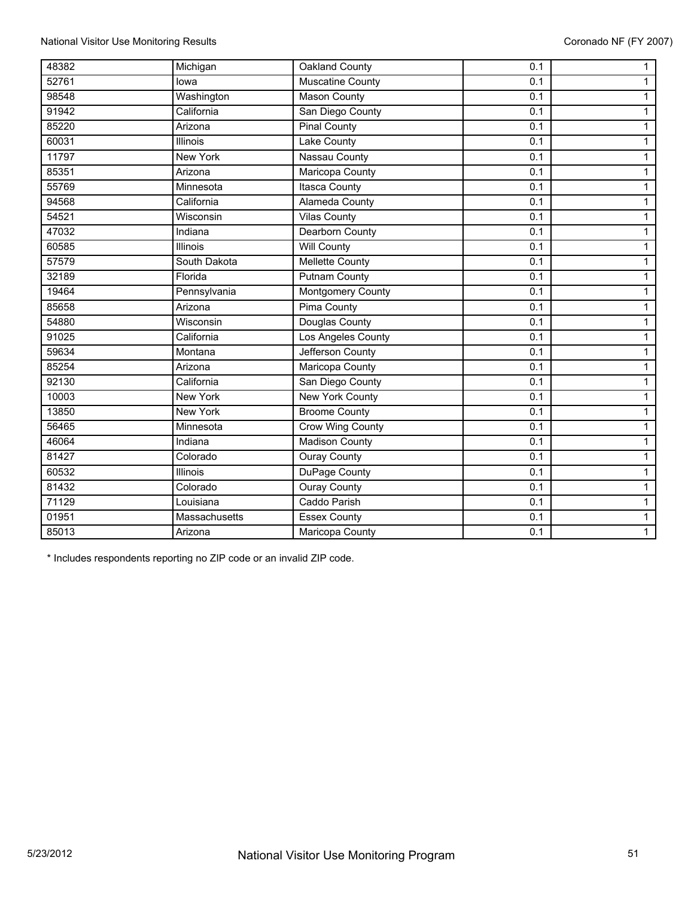| 48382 | Michigan        | Oakland County           | 0.1 | $\mathbf{1}$   |
|-------|-----------------|--------------------------|-----|----------------|
| 52761 | lowa            | Muscatine County         | 0.1 | $\mathbf{1}$   |
| 98548 | Washington      | <b>Mason County</b>      | 0.1 | $\mathbf{1}$   |
| 91942 | California      | San Diego County         | 0.1 | $\mathbf{1}$   |
| 85220 | Arizona         | <b>Pinal County</b>      | 0.1 | $\mathbf{1}$   |
| 60031 | <b>Illinois</b> | <b>Lake County</b>       | 0.1 | $\mathbf{1}$   |
| 11797 | <b>New York</b> | Nassau County            | 0.1 | $\mathbf{1}$   |
| 85351 | Arizona         | Maricopa County          | 0.1 | $\mathbf{1}$   |
| 55769 | Minnesota       | <b>Itasca County</b>     | 0.1 | $\mathbf{1}$   |
| 94568 | California      | <b>Alameda County</b>    | 0.1 | $\overline{1}$ |
| 54521 | Wisconsin       | <b>Vilas County</b>      | 0.1 | $\mathbf{1}$   |
| 47032 | Indiana         | <b>Dearborn County</b>   | 0.1 | $\mathbf{1}$   |
| 60585 | <b>Illinois</b> | <b>Will County</b>       | 0.1 | $\overline{1}$ |
| 57579 | South Dakota    | <b>Mellette County</b>   | 0.1 | $\mathbf{1}$   |
| 32189 | Florida         | <b>Putnam County</b>     | 0.1 | $\mathbf{1}$   |
| 19464 | Pennsylvania    | <b>Montgomery County</b> | 0.1 | $\mathbf{1}$   |
| 85658 | Arizona         | <b>Pima County</b>       | 0.1 | $\mathbf{1}$   |
| 54880 | Wisconsin       | Douglas County           | 0.1 | $\mathbf{1}$   |
| 91025 | California      | Los Angeles County       | 0.1 | $\mathbf{1}$   |
| 59634 | Montana         | Jefferson County         | 0.1 | $\mathbf{1}$   |
| 85254 | Arizona         | Maricopa County          | 0.1 | $\mathbf{1}$   |
| 92130 | California      | San Diego County         | 0.1 | $\mathbf{1}$   |
| 10003 | New York        | <b>New York County</b>   | 0.1 | $\mathbf{1}$   |
| 13850 | <b>New York</b> | <b>Broome County</b>     | 0.1 | $\mathbf{1}$   |
| 56465 | Minnesota       | <b>Crow Wing County</b>  | 0.1 | $\mathbf{1}$   |
| 46064 | Indiana         | Madison County           | 0.1 | $\mathbf{1}$   |
| 81427 | Colorado        | <b>Ouray County</b>      | 0.1 | $\mathbf{1}$   |
| 60532 | <b>Illinois</b> | DuPage County            | 0.1 | $\overline{1}$ |
| 81432 | Colorado        | <b>Ouray County</b>      | 0.1 | $\mathbf{1}$   |
| 71129 | Louisiana       | Caddo Parish             | 0.1 | $\overline{1}$ |
| 01951 | Massachusetts   | <b>Essex County</b>      | 0.1 | $\overline{1}$ |
| 85013 | Arizona         | Maricopa County          | 0.1 | $\mathbf{1}$   |

\* Includes respondents reporting no ZIP code or an invalid ZIP code.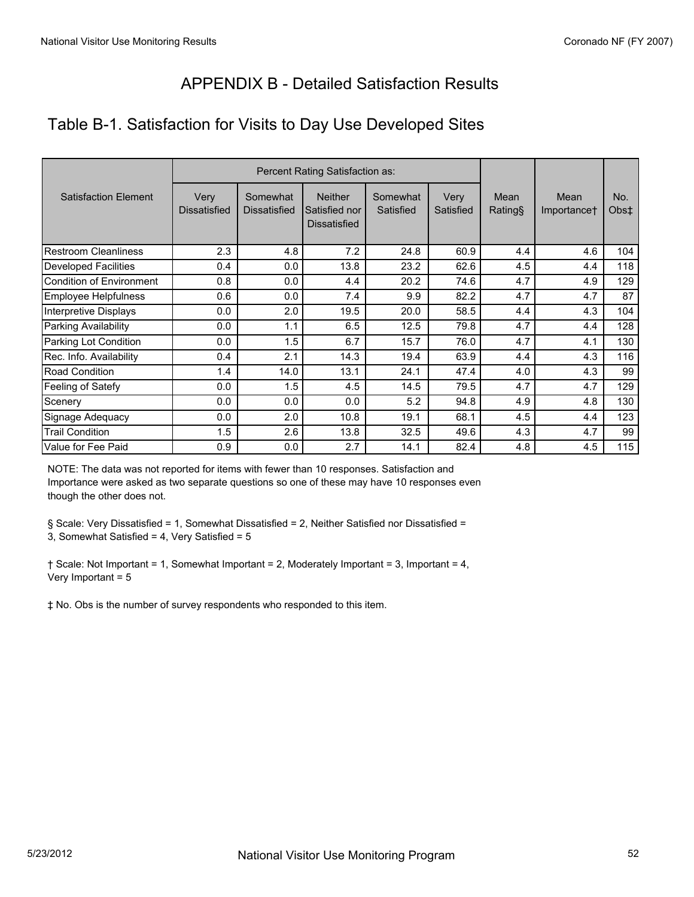# APPENDIX B - Detailed Satisfaction Results

# Table B-1. Satisfaction for Visits to Day Use Developed Sites

|                             | Percent Rating Satisfaction as: |                                 |                                                        |                       |                   |                 |                     |             |
|-----------------------------|---------------------------------|---------------------------------|--------------------------------------------------------|-----------------------|-------------------|-----------------|---------------------|-------------|
| <b>Satisfaction Element</b> | Very<br><b>Dissatisfied</b>     | Somewhat<br><b>Dissatisfied</b> | <b>Neither</b><br>Satisfied nor<br><b>Dissatisfied</b> | Somewhat<br>Satisfied | Very<br>Satisfied | Mean<br>Rating§ | Mean<br>Importance† | No.<br>Obs‡ |
| <b>Restroom Cleanliness</b> | 2.3                             | 4.8                             | 7.2                                                    | 24.8                  | 60.9              | 4.4             | 4.6                 | 104         |
| <b>Developed Facilities</b> | 0.4                             | 0.0                             | 13.8                                                   | 23.2                  | 62.6              | 4.5             | 4.4                 | 118         |
| Condition of Environment    | 0.8                             | 0.0                             | 4.4                                                    | 20.2                  | 74.6              | 4.7             | 4.9                 | 129         |
| Employee Helpfulness        | 0.6                             | 0.0                             | 7.4                                                    | 9.9                   | 82.2              | 4.7             | 4.7                 | 87          |
| Interpretive Displays       | 0.0                             | 2.0                             | 19.5                                                   | 20.0                  | 58.5              | 4.4             | 4.3                 | 104         |
| Parking Availability        | 0.0                             | 1.1                             | 6.5                                                    | 12.5                  | 79.8              | 4.7             | 4.4                 | 128         |
| Parking Lot Condition       | 0.0                             | 1.5                             | 6.7                                                    | 15.7                  | 76.0              | 4.7             | 4.1                 | 130         |
| Rec. Info. Availability     | 0.4                             | 2.1                             | 14.3                                                   | 19.4                  | 63.9              | 4.4             | 4.3                 | 116         |
| <b>Road Condition</b>       | 1.4                             | 14.0                            | 13.1                                                   | 24.1                  | 47.4              | 4.0             | 4.3                 | 99          |
| Feeling of Satefy           | 0.0                             | 1.5                             | 4.5                                                    | 14.5                  | 79.5              | 4.7             | 4.7                 | 129         |
| Scenery                     | 0.0                             | 0.0                             | 0.0                                                    | 5.2                   | 94.8              | 4.9             | 4.8                 | 130         |
| Signage Adequacy            | 0.0                             | 2.0                             | 10.8                                                   | 19.1                  | 68.1              | 4.5             | 4.4                 | 123         |
| <b>Trail Condition</b>      | 1.5                             | 2.6                             | 13.8                                                   | 32.5                  | 49.6              | 4.3             | 4.7                 | 99          |
| Value for Fee Paid          | 0.9                             | 0.0                             | 2.7                                                    | 14.1                  | 82.4              | 4.8             | 4.5                 | 115         |

NOTE: The data was not reported for items with fewer than 10 responses. Satisfaction and Importance were asked as two separate questions so one of these may have 10 responses even though the other does not.

§ Scale: Very Dissatisfied = 1, Somewhat Dissatisfied = 2, Neither Satisfied nor Dissatisfied = 3, Somewhat Satisfied = 4, Very Satisfied = 5

† Scale: Not Important = 1, Somewhat Important = 2, Moderately Important = 3, Important = 4, Very Important = 5

‡ No. Obs is the number of survey respondents who responded to this item.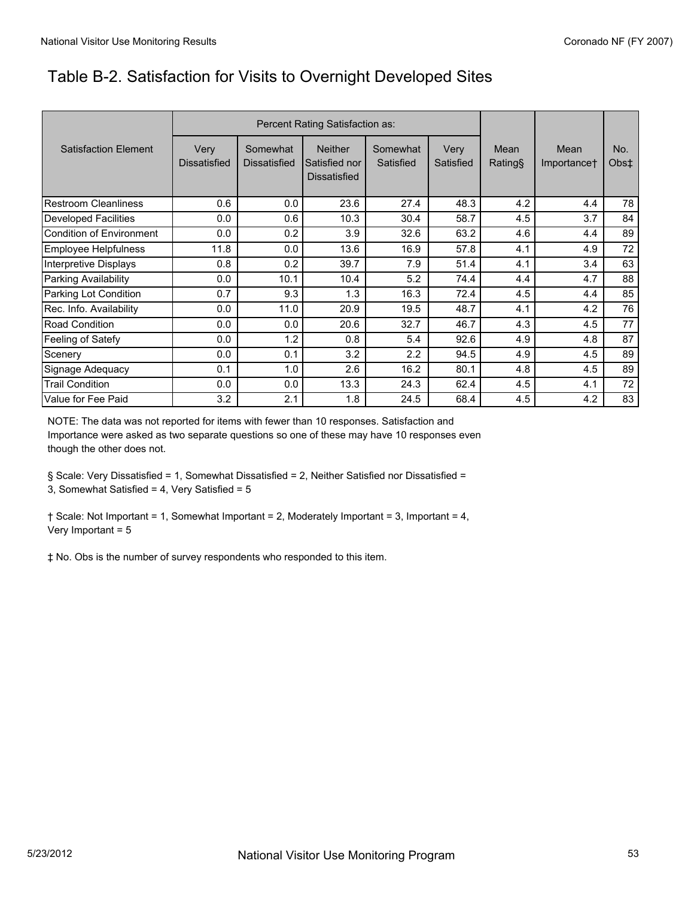# Table B-2. Satisfaction for Visits to Overnight Developed Sites

|                                 | Percent Rating Satisfaction as: |                                 |                                                        |                       |                   |                 |                     |                         |
|---------------------------------|---------------------------------|---------------------------------|--------------------------------------------------------|-----------------------|-------------------|-----------------|---------------------|-------------------------|
| <b>Satisfaction Element</b>     | Very<br><b>Dissatisfied</b>     | Somewhat<br><b>Dissatisfied</b> | <b>Neither</b><br>Satisfied nor<br><b>Dissatisfied</b> | Somewhat<br>Satisfied | Very<br>Satisfied | Mean<br>Rating§ | Mean<br>Importance† | No.<br>Obs <sup>±</sup> |
| <b>Restroom Cleanliness</b>     | 0.6                             | 0.0                             | 23.6                                                   | 27.4                  | 48.3              | 4.2             | 4.4                 | 78                      |
| Developed Facilities            | 0.0                             | 0.6                             | 10.3                                                   | 30.4                  | 58.7              | 4.5             | 3.7                 | 84                      |
| <b>Condition of Environment</b> | 0.0                             | 0.2                             | 3.9                                                    | 32.6                  | 63.2              | 4.6             | 4.4                 | 89                      |
| Employee Helpfulness            | 11.8                            | 0.0                             | 13.6                                                   | 16.9                  | 57.8              | 4.1             | 4.9                 | 72                      |
| Interpretive Displays           | 0.8                             | 0.2                             | 39.7                                                   | 7.9                   | 51.4              | 4.1             | 3.4                 | 63                      |
| Parking Availability            | 0.0                             | 10.1                            | 10.4                                                   | 5.2                   | 74.4              | 4.4             | 4.7                 | 88                      |
| Parking Lot Condition           | 0.7                             | 9.3                             | 1.3                                                    | 16.3                  | 72.4              | 4.5             | 4.4                 | 85                      |
| Rec. Info. Availability         | 0.0                             | 11.0                            | 20.9                                                   | 19.5                  | 48.7              | 4.1             | 4.2                 | 76                      |
| <b>Road Condition</b>           | 0.0                             | 0.0                             | 20.6                                                   | 32.7                  | 46.7              | 4.3             | 4.5                 | 77                      |
| Feeling of Satefy               | 0.0                             | 1.2                             | 0.8                                                    | 5.4                   | 92.6              | 4.9             | 4.8                 | 87                      |
| Scenery                         | 0.0                             | 0.1                             | 3.2                                                    | 2.2                   | 94.5              | 4.9             | 4.5                 | 89                      |
| Signage Adequacy                | 0.1                             | 1.0                             | 2.6                                                    | 16.2                  | 80.1              | 4.8             | 4.5                 | 89                      |
| <b>Trail Condition</b>          | 0.0                             | 0.0                             | 13.3                                                   | 24.3                  | 62.4              | 4.5             | 4.1                 | 72                      |
| Value for Fee Paid              | 3.2                             | 2.1                             | 1.8                                                    | 24.5                  | 68.4              | 4.5             | 4.2                 | 83                      |

NOTE: The data was not reported for items with fewer than 10 responses. Satisfaction and Importance were asked as two separate questions so one of these may have 10 responses even though the other does not.

§ Scale: Very Dissatisfied = 1, Somewhat Dissatisfied = 2, Neither Satisfied nor Dissatisfied = 3, Somewhat Satisfied = 4, Very Satisfied = 5

† Scale: Not Important = 1, Somewhat Important = 2, Moderately Important = 3, Important = 4, Very Important = 5

‡ No. Obs is the number of survey respondents who responded to this item.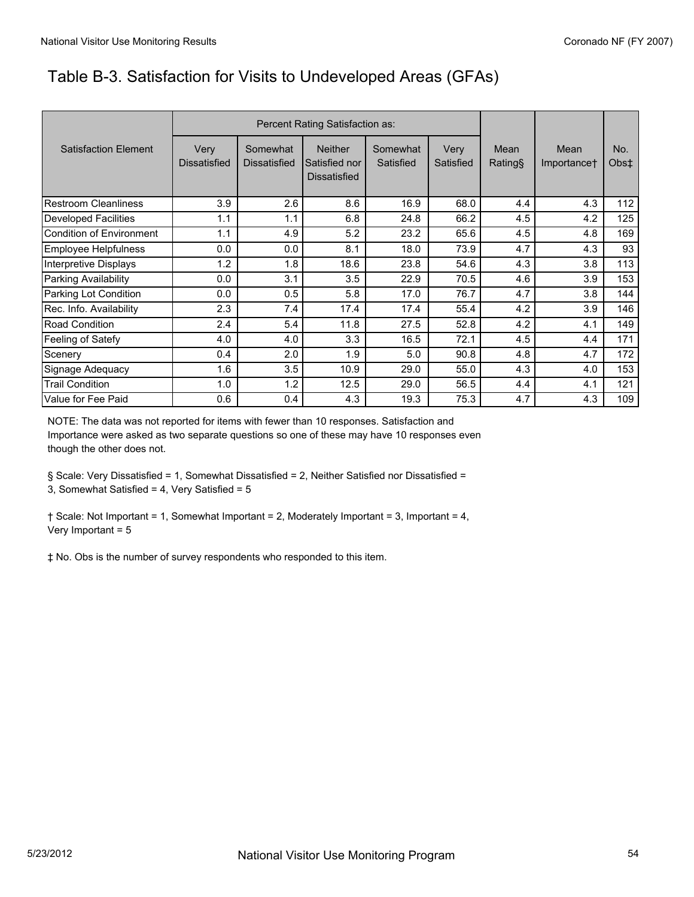# Table B-3. Satisfaction for Visits to Undeveloped Areas (GFAs)

|                             | Percent Rating Satisfaction as: |                                 |                                                        |                       |                   |                 |                     |                         |
|-----------------------------|---------------------------------|---------------------------------|--------------------------------------------------------|-----------------------|-------------------|-----------------|---------------------|-------------------------|
| <b>Satisfaction Element</b> | Very<br><b>Dissatisfied</b>     | Somewhat<br><b>Dissatisfied</b> | <b>Neither</b><br>Satisfied nor<br><b>Dissatisfied</b> | Somewhat<br>Satisfied | Very<br>Satisfied | Mean<br>Rating§ | Mean<br>Importance† | No.<br>Obs <sup>±</sup> |
| Restroom Cleanliness        | 3.9                             | 2.6                             | 8.6                                                    | 16.9                  | 68.0              | 4.4             | 4.3                 | 112                     |
| Developed Facilities        | 1.1                             | 1.1                             | 6.8                                                    | 24.8                  | 66.2              | 4.5             | 4.2                 | 125                     |
| Condition of Environment    | 1.1                             | 4.9                             | 5.2                                                    | 23.2                  | 65.6              | 4.5             | 4.8                 | 169                     |
| Employee Helpfulness        | 0.0                             | 0.0                             | 8.1                                                    | 18.0                  | 73.9              | 4.7             | 4.3                 | 93                      |
| Interpretive Displays       | 1.2                             | 1.8                             | 18.6                                                   | 23.8                  | 54.6              | 4.3             | 3.8                 | 113                     |
| Parking Availability        | 0.0                             | 3.1                             | 3.5                                                    | 22.9                  | 70.5              | 4.6             | 3.9                 | 153                     |
| Parking Lot Condition       | 0.0                             | 0.5                             | 5.8                                                    | 17.0                  | 76.7              | 4.7             | 3.8                 | 144                     |
| Rec. Info. Availability     | 2.3                             | 7.4                             | 17.4                                                   | 17.4                  | 55.4              | 4.2             | 3.9                 | 146                     |
| Road Condition              | 2.4                             | 5.4                             | 11.8                                                   | 27.5                  | 52.8              | 4.2             | 4.1                 | 149                     |
| Feeling of Satefy           | 4.0                             | 4.0                             | 3.3                                                    | 16.5                  | 72.1              | 4.5             | 4.4                 | 171                     |
| Scenery                     | 0.4                             | 2.0                             | 1.9                                                    | 5.0                   | 90.8              | 4.8             | 4.7                 | 172                     |
| Signage Adequacy            | 1.6                             | 3.5                             | 10.9                                                   | 29.0                  | 55.0              | 4.3             | 4.0                 | 153                     |
| <b>Trail Condition</b>      | 1.0                             | 1.2                             | 12.5                                                   | 29.0                  | 56.5              | 4.4             | 4.1                 | 121                     |
| Value for Fee Paid          | 0.6                             | 0.4                             | 4.3                                                    | 19.3                  | 75.3              | 4.7             | 4.3                 | 109                     |

NOTE: The data was not reported for items with fewer than 10 responses. Satisfaction and Importance were asked as two separate questions so one of these may have 10 responses even though the other does not.

§ Scale: Very Dissatisfied = 1, Somewhat Dissatisfied = 2, Neither Satisfied nor Dissatisfied = 3, Somewhat Satisfied = 4, Very Satisfied = 5

† Scale: Not Important = 1, Somewhat Important = 2, Moderately Important = 3, Important = 4, Very Important = 5

‡ No. Obs is the number of survey respondents who responded to this item.